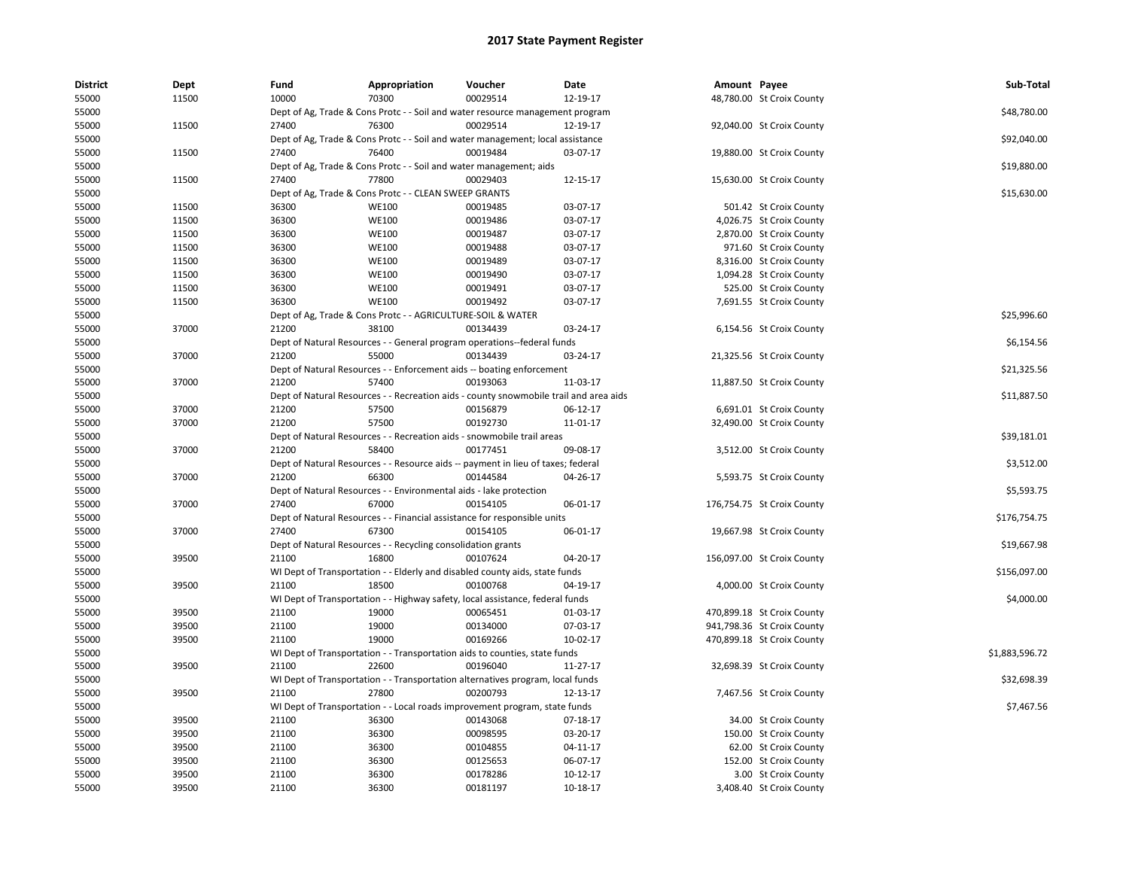| <b>District</b> | Dept  | Fund  | Appropriation                                                                         | Voucher  | Date     | Amount Payee |                            | Sub-Total      |
|-----------------|-------|-------|---------------------------------------------------------------------------------------|----------|----------|--------------|----------------------------|----------------|
| 55000           | 11500 | 10000 | 70300                                                                                 | 00029514 | 12-19-17 |              | 48,780.00 St Croix County  |                |
| 55000           |       |       | Dept of Ag, Trade & Cons Protc - - Soil and water resource management program         |          |          |              |                            | \$48,780.00    |
| 55000           | 11500 | 27400 | 76300                                                                                 | 00029514 | 12-19-17 |              | 92,040.00 St Croix County  |                |
| 55000           |       |       | Dept of Ag, Trade & Cons Protc - - Soil and water management; local assistance        |          |          |              |                            | \$92,040.00    |
| 55000           | 11500 | 27400 | 76400                                                                                 | 00019484 | 03-07-17 |              | 19,880.00 St Croix County  |                |
| 55000           |       |       | Dept of Ag, Trade & Cons Protc - - Soil and water management; aids                    |          |          |              |                            | \$19,880.00    |
| 55000           | 11500 | 27400 | 77800                                                                                 | 00029403 | 12-15-17 |              | 15,630.00 St Croix County  |                |
| 55000           |       |       | Dept of Ag, Trade & Cons Protc - - CLEAN SWEEP GRANTS                                 |          |          |              |                            | \$15,630.00    |
| 55000           | 11500 | 36300 | <b>WE100</b>                                                                          | 00019485 | 03-07-17 |              | 501.42 St Croix County     |                |
| 55000           | 11500 | 36300 | <b>WE100</b>                                                                          | 00019486 | 03-07-17 |              | 4,026.75 St Croix County   |                |
| 55000           | 11500 | 36300 | <b>WE100</b>                                                                          | 00019487 | 03-07-17 |              | 2,870.00 St Croix County   |                |
| 55000           | 11500 | 36300 | <b>WE100</b>                                                                          | 00019488 | 03-07-17 |              | 971.60 St Croix County     |                |
| 55000           | 11500 | 36300 | <b>WE100</b>                                                                          | 00019489 | 03-07-17 |              | 8,316.00 St Croix County   |                |
| 55000           | 11500 | 36300 | <b>WE100</b>                                                                          | 00019490 | 03-07-17 |              | 1,094.28 St Croix County   |                |
| 55000           | 11500 | 36300 | <b>WE100</b>                                                                          | 00019491 | 03-07-17 |              | 525.00 St Croix County     |                |
| 55000           | 11500 | 36300 | WE100                                                                                 | 00019492 | 03-07-17 |              | 7,691.55 St Croix County   |                |
| 55000           |       |       | Dept of Ag, Trade & Cons Protc - - AGRICULTURE-SOIL & WATER                           |          |          |              |                            | \$25,996.60    |
| 55000           | 37000 | 21200 | 38100                                                                                 | 00134439 | 03-24-17 |              | 6,154.56 St Croix County   |                |
| 55000           |       |       | Dept of Natural Resources - - General program operations--federal funds               |          |          |              |                            | \$6,154.56     |
| 55000           | 37000 | 21200 | 55000                                                                                 | 00134439 | 03-24-17 |              | 21,325.56 St Croix County  |                |
| 55000           |       |       | Dept of Natural Resources - - Enforcement aids -- boating enforcement                 |          |          |              |                            | \$21,325.56    |
| 55000           | 37000 | 21200 | 57400                                                                                 | 00193063 | 11-03-17 |              | 11,887.50 St Croix County  |                |
| 55000           |       |       | Dept of Natural Resources - - Recreation aids - county snowmobile trail and area aids |          |          |              |                            | \$11,887.50    |
| 55000           | 37000 | 21200 | 57500                                                                                 | 00156879 | 06-12-17 |              | 6,691.01 St Croix County   |                |
| 55000           | 37000 | 21200 | 57500                                                                                 | 00192730 | 11-01-17 |              | 32,490.00 St Croix County  |                |
| 55000           |       |       | Dept of Natural Resources - - Recreation aids - snowmobile trail areas                |          |          |              |                            | \$39,181.01    |
| 55000           | 37000 | 21200 | 58400                                                                                 | 00177451 | 09-08-17 |              | 3,512.00 St Croix County   |                |
| 55000           |       |       | Dept of Natural Resources - - Resource aids -- payment in lieu of taxes; federal      |          |          |              |                            | \$3,512.00     |
| 55000           | 37000 | 21200 | 66300                                                                                 | 00144584 | 04-26-17 |              | 5,593.75 St Croix County   |                |
| 55000           |       |       | Dept of Natural Resources - - Environmental aids - lake protection                    |          |          |              |                            | \$5,593.75     |
| 55000           | 37000 | 27400 | 67000                                                                                 | 00154105 | 06-01-17 |              | 176,754.75 St Croix County |                |
| 55000           |       |       | Dept of Natural Resources - - Financial assistance for responsible units              |          |          |              |                            | \$176,754.75   |
| 55000           | 37000 | 27400 | 67300                                                                                 | 00154105 | 06-01-17 |              | 19,667.98 St Croix County  |                |
| 55000           |       |       | Dept of Natural Resources - - Recycling consolidation grants                          |          |          |              |                            | \$19,667.98    |
| 55000           | 39500 | 21100 | 16800                                                                                 | 00107624 | 04-20-17 |              | 156,097.00 St Croix County |                |
| 55000           |       |       | WI Dept of Transportation - - Elderly and disabled county aids, state funds           |          |          |              |                            | \$156,097.00   |
| 55000           | 39500 | 21100 | 18500                                                                                 | 00100768 | 04-19-17 |              | 4,000.00 St Croix County   |                |
| 55000           |       |       | WI Dept of Transportation - - Highway safety, local assistance, federal funds         |          |          |              |                            | \$4,000.00     |
| 55000           | 39500 | 21100 | 19000                                                                                 | 00065451 | 01-03-17 |              | 470,899.18 St Croix County |                |
| 55000           | 39500 | 21100 | 19000                                                                                 | 00134000 | 07-03-17 |              | 941,798.36 St Croix County |                |
| 55000           | 39500 | 21100 | 19000                                                                                 | 00169266 | 10-02-17 |              | 470,899.18 St Croix County |                |
| 55000           |       |       | WI Dept of Transportation - - Transportation aids to counties, state funds            |          |          |              |                            | \$1,883,596.72 |
| 55000           | 39500 | 21100 | 22600                                                                                 | 00196040 | 11-27-17 |              | 32,698.39 St Croix County  |                |
| 55000           |       |       | WI Dept of Transportation - - Transportation alternatives program, local funds        |          |          |              |                            | \$32,698.39    |
| 55000           | 39500 | 21100 | 27800                                                                                 | 00200793 | 12-13-17 |              | 7,467.56 St Croix County   |                |
| 55000           |       |       | WI Dept of Transportation - - Local roads improvement program, state funds            |          |          |              |                            | \$7,467.56     |
| 55000           | 39500 | 21100 | 36300                                                                                 | 00143068 | 07-18-17 |              | 34.00 St Croix County      |                |
| 55000           | 39500 | 21100 | 36300                                                                                 | 00098595 | 03-20-17 |              | 150.00 St Croix County     |                |
| 55000           | 39500 | 21100 | 36300                                                                                 | 00104855 | 04-11-17 |              | 62.00 St Croix County      |                |
| 55000           | 39500 | 21100 | 36300                                                                                 | 00125653 | 06-07-17 |              | 152.00 St Croix County     |                |
| 55000           | 39500 | 21100 | 36300                                                                                 | 00178286 | 10-12-17 |              | 3.00 St Croix County       |                |
| 55000           | 39500 | 21100 | 36300                                                                                 | 00181197 | 10-18-17 |              | 3,408.40 St Croix County   |                |
|                 |       |       |                                                                                       |          |          |              |                            |                |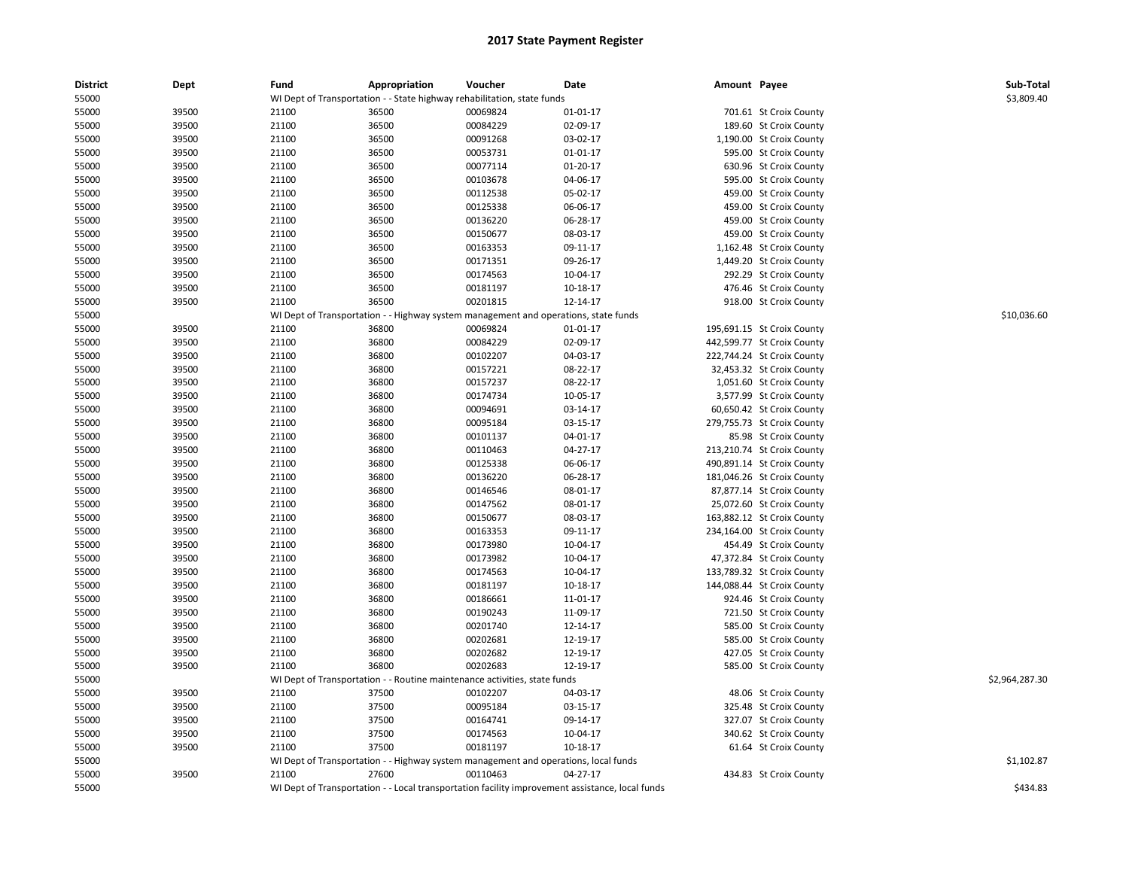| <b>District</b> | Dept  | Fund  | Appropriation | Voucher                                                                             | Date                                                                                            | Amount Payee |                            | Sub-Total      |
|-----------------|-------|-------|---------------|-------------------------------------------------------------------------------------|-------------------------------------------------------------------------------------------------|--------------|----------------------------|----------------|
| 55000           |       |       |               | WI Dept of Transportation - - State highway rehabilitation, state funds             |                                                                                                 |              |                            | \$3,809.40     |
| 55000           | 39500 | 21100 | 36500         | 00069824                                                                            | 01-01-17                                                                                        |              | 701.61 St Croix County     |                |
| 55000           | 39500 | 21100 | 36500         | 00084229                                                                            | 02-09-17                                                                                        |              | 189.60 St Croix County     |                |
| 55000           | 39500 | 21100 | 36500         | 00091268                                                                            | 03-02-17                                                                                        |              | 1,190.00 St Croix County   |                |
| 55000           | 39500 | 21100 | 36500         | 00053731                                                                            | 01-01-17                                                                                        |              | 595.00 St Croix County     |                |
| 55000           | 39500 | 21100 | 36500         | 00077114                                                                            | 01-20-17                                                                                        |              | 630.96 St Croix County     |                |
| 55000           | 39500 | 21100 | 36500         | 00103678                                                                            | 04-06-17                                                                                        |              | 595.00 St Croix County     |                |
| 55000           | 39500 | 21100 | 36500         | 00112538                                                                            | 05-02-17                                                                                        |              | 459.00 St Croix County     |                |
| 55000           | 39500 | 21100 | 36500         | 00125338                                                                            | 06-06-17                                                                                        |              | 459.00 St Croix County     |                |
| 55000           | 39500 | 21100 | 36500         | 00136220                                                                            | 06-28-17                                                                                        |              | 459.00 St Croix County     |                |
| 55000           | 39500 | 21100 | 36500         | 00150677                                                                            | 08-03-17                                                                                        |              | 459.00 St Croix County     |                |
| 55000           | 39500 | 21100 | 36500         | 00163353                                                                            | 09-11-17                                                                                        |              | 1,162.48 St Croix County   |                |
| 55000           | 39500 | 21100 | 36500         | 00171351                                                                            | 09-26-17                                                                                        |              | 1,449.20 St Croix County   |                |
| 55000           | 39500 | 21100 | 36500         | 00174563                                                                            | 10-04-17                                                                                        |              | 292.29 St Croix County     |                |
| 55000           | 39500 | 21100 | 36500         | 00181197                                                                            | 10-18-17                                                                                        |              | 476.46 St Croix County     |                |
| 55000           | 39500 | 21100 | 36500         | 00201815                                                                            | 12-14-17                                                                                        |              | 918.00 St Croix County     |                |
| 55000           |       |       |               | WI Dept of Transportation - - Highway system management and operations, state funds |                                                                                                 |              |                            | \$10,036.60    |
| 55000           | 39500 | 21100 | 36800         | 00069824                                                                            | $01 - 01 - 17$                                                                                  |              | 195,691.15 St Croix County |                |
| 55000           | 39500 | 21100 | 36800         | 00084229                                                                            | 02-09-17                                                                                        |              | 442,599.77 St Croix County |                |
| 55000           | 39500 | 21100 | 36800         | 00102207                                                                            | 04-03-17                                                                                        |              | 222,744.24 St Croix County |                |
| 55000           | 39500 | 21100 | 36800         | 00157221                                                                            | 08-22-17                                                                                        |              | 32,453.32 St Croix County  |                |
| 55000           | 39500 | 21100 | 36800         | 00157237                                                                            | 08-22-17                                                                                        |              | 1,051.60 St Croix County   |                |
| 55000           | 39500 | 21100 | 36800         | 00174734                                                                            | 10-05-17                                                                                        |              | 3,577.99 St Croix County   |                |
| 55000           | 39500 | 21100 | 36800         | 00094691                                                                            | 03-14-17                                                                                        |              | 60,650.42 St Croix County  |                |
| 55000           | 39500 | 21100 | 36800         | 00095184                                                                            | 03-15-17                                                                                        |              | 279,755.73 St Croix County |                |
| 55000           | 39500 | 21100 | 36800         | 00101137                                                                            | 04-01-17                                                                                        |              | 85.98 St Croix County      |                |
| 55000           | 39500 | 21100 | 36800         | 00110463                                                                            | $04 - 27 - 17$                                                                                  |              | 213,210.74 St Croix County |                |
| 55000           | 39500 | 21100 | 36800         | 00125338                                                                            | 06-06-17                                                                                        |              | 490,891.14 St Croix County |                |
| 55000           | 39500 | 21100 | 36800         | 00136220                                                                            | 06-28-17                                                                                        |              | 181,046.26 St Croix County |                |
| 55000           | 39500 | 21100 | 36800         | 00146546                                                                            | 08-01-17                                                                                        |              | 87,877.14 St Croix County  |                |
| 55000           | 39500 | 21100 | 36800         | 00147562                                                                            | 08-01-17                                                                                        |              | 25,072.60 St Croix County  |                |
| 55000           | 39500 | 21100 | 36800         |                                                                                     | 08-03-17                                                                                        |              |                            |                |
|                 | 39500 |       |               | 00150677                                                                            |                                                                                                 |              | 163,882.12 St Croix County |                |
| 55000           |       | 21100 | 36800         | 00163353                                                                            | 09-11-17                                                                                        |              | 234,164.00 St Croix County |                |
| 55000           | 39500 | 21100 | 36800         | 00173980                                                                            | 10-04-17                                                                                        |              | 454.49 St Croix County     |                |
| 55000           | 39500 | 21100 | 36800         | 00173982                                                                            | 10-04-17                                                                                        |              | 47,372.84 St Croix County  |                |
| 55000           | 39500 | 21100 | 36800         | 00174563                                                                            | 10-04-17                                                                                        |              | 133,789.32 St Croix County |                |
| 55000           | 39500 | 21100 | 36800         | 00181197                                                                            | 10-18-17                                                                                        |              | 144,088.44 St Croix County |                |
| 55000           | 39500 | 21100 | 36800         | 00186661                                                                            | 11-01-17                                                                                        |              | 924.46 St Croix County     |                |
| 55000           | 39500 | 21100 | 36800         | 00190243                                                                            | 11-09-17                                                                                        |              | 721.50 St Croix County     |                |
| 55000           | 39500 | 21100 | 36800         | 00201740                                                                            | 12-14-17                                                                                        |              | 585.00 St Croix County     |                |
| 55000           | 39500 | 21100 | 36800         | 00202681                                                                            | 12-19-17                                                                                        |              | 585.00 St Croix County     |                |
| 55000           | 39500 | 21100 | 36800         | 00202682                                                                            | 12-19-17                                                                                        |              | 427.05 St Croix County     |                |
| 55000           | 39500 | 21100 | 36800         | 00202683                                                                            | 12-19-17                                                                                        |              | 585.00 St Croix County     |                |
| 55000           |       |       |               | WI Dept of Transportation - - Routine maintenance activities, state funds           |                                                                                                 |              |                            | \$2,964,287.30 |
| 55000           | 39500 | 21100 | 37500         | 00102207                                                                            | 04-03-17                                                                                        |              | 48.06 St Croix County      |                |
| 55000           | 39500 | 21100 | 37500         | 00095184                                                                            | 03-15-17                                                                                        |              | 325.48 St Croix County     |                |
| 55000           | 39500 | 21100 | 37500         | 00164741                                                                            | 09-14-17                                                                                        |              | 327.07 St Croix County     |                |
| 55000           | 39500 | 21100 | 37500         | 00174563                                                                            | 10-04-17                                                                                        |              | 340.62 St Croix County     |                |
| 55000           | 39500 | 21100 | 37500         | 00181197                                                                            | 10-18-17                                                                                        |              | 61.64 St Croix County      |                |
| 55000           |       |       |               | WI Dept of Transportation - - Highway system management and operations, local funds |                                                                                                 |              |                            | \$1,102.87     |
| 55000           | 39500 | 21100 | 27600         | 00110463                                                                            | 04-27-17                                                                                        |              | 434.83 St Croix County     |                |
| 55000           |       |       |               |                                                                                     | WI Dept of Transportation - - Local transportation facility improvement assistance, local funds |              |                            | \$434.83       |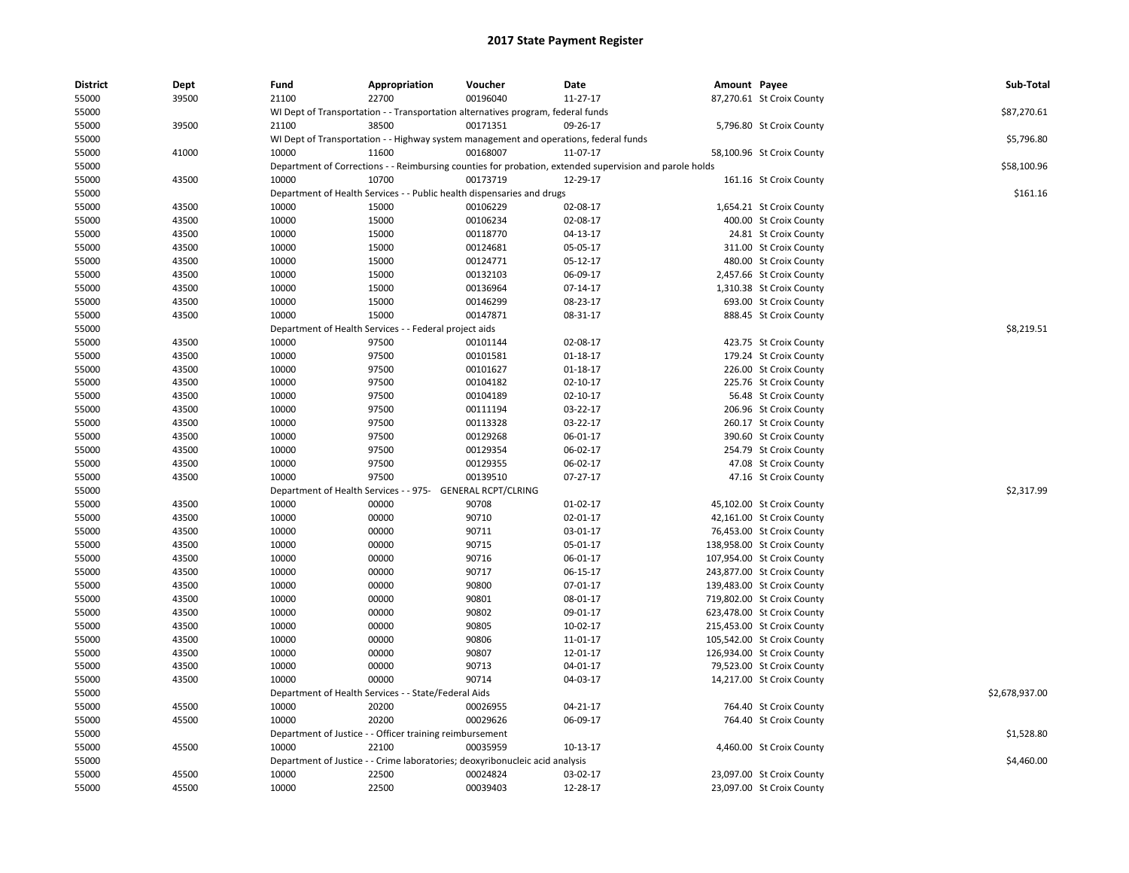| <b>District</b> | Dept  | Fund  | Appropriation                                              | Voucher                                                                               | Date                                                                                                    | Amount Payee |                            | Sub-Total      |
|-----------------|-------|-------|------------------------------------------------------------|---------------------------------------------------------------------------------------|---------------------------------------------------------------------------------------------------------|--------------|----------------------------|----------------|
| 55000           | 39500 | 21100 | 22700                                                      | 00196040                                                                              | 11-27-17                                                                                                |              | 87,270.61 St Croix County  |                |
| 55000           |       |       |                                                            | WI Dept of Transportation - - Transportation alternatives program, federal funds      |                                                                                                         |              |                            | \$87,270.61    |
| 55000           | 39500 | 21100 | 38500                                                      | 00171351                                                                              | 09-26-17                                                                                                |              | 5,796.80 St Croix County   |                |
| 55000           |       |       |                                                            | WI Dept of Transportation - - Highway system management and operations, federal funds |                                                                                                         |              |                            | \$5,796.80     |
| 55000           | 41000 | 10000 | 11600                                                      | 00168007                                                                              | 11-07-17                                                                                                |              | 58,100.96 St Croix County  |                |
| 55000           |       |       |                                                            |                                                                                       | Department of Corrections - - Reimbursing counties for probation, extended supervision and parole holds |              |                            | \$58,100.96    |
| 55000           | 43500 | 10000 | 10700                                                      | 00173719                                                                              | 12-29-17                                                                                                |              | 161.16 St Croix County     |                |
| 55000           |       |       |                                                            | Department of Health Services - - Public health dispensaries and drugs                |                                                                                                         |              |                            | \$161.16       |
| 55000           | 43500 | 10000 | 15000                                                      | 00106229                                                                              | 02-08-17                                                                                                |              | 1,654.21 St Croix County   |                |
| 55000           | 43500 | 10000 | 15000                                                      | 00106234                                                                              | 02-08-17                                                                                                |              | 400.00 St Croix County     |                |
| 55000           | 43500 | 10000 | 15000                                                      | 00118770                                                                              | 04-13-17                                                                                                |              | 24.81 St Croix County      |                |
| 55000           | 43500 | 10000 | 15000                                                      | 00124681                                                                              | 05-05-17                                                                                                |              | 311.00 St Croix County     |                |
| 55000           | 43500 | 10000 | 15000                                                      | 00124771                                                                              | 05-12-17                                                                                                |              | 480.00 St Croix County     |                |
| 55000           | 43500 | 10000 | 15000                                                      | 00132103                                                                              | 06-09-17                                                                                                |              | 2,457.66 St Croix County   |                |
| 55000           | 43500 | 10000 | 15000                                                      | 00136964                                                                              | 07-14-17                                                                                                |              | 1,310.38 St Croix County   |                |
| 55000           | 43500 | 10000 | 15000                                                      | 00146299                                                                              | 08-23-17                                                                                                |              | 693.00 St Croix County     |                |
| 55000           | 43500 | 10000 | 15000                                                      | 00147871                                                                              | 08-31-17                                                                                                |              | 888.45 St Croix County     |                |
| 55000           |       |       | Department of Health Services - - Federal project aids     |                                                                                       |                                                                                                         |              |                            | \$8,219.51     |
| 55000           | 43500 | 10000 | 97500                                                      | 00101144                                                                              | 02-08-17                                                                                                |              | 423.75 St Croix County     |                |
| 55000           | 43500 | 10000 | 97500                                                      | 00101581                                                                              | 01-18-17                                                                                                |              | 179.24 St Croix County     |                |
| 55000           | 43500 | 10000 | 97500                                                      | 00101627                                                                              | 01-18-17                                                                                                |              | 226.00 St Croix County     |                |
| 55000           | 43500 | 10000 | 97500                                                      | 00104182                                                                              | 02-10-17                                                                                                |              | 225.76 St Croix County     |                |
| 55000           | 43500 | 10000 | 97500                                                      | 00104189                                                                              | 02-10-17                                                                                                |              | 56.48 St Croix County      |                |
| 55000           | 43500 | 10000 | 97500                                                      | 00111194                                                                              | 03-22-17                                                                                                |              | 206.96 St Croix County     |                |
| 55000           | 43500 | 10000 | 97500                                                      | 00113328                                                                              | 03-22-17                                                                                                |              | 260.17 St Croix County     |                |
| 55000           | 43500 | 10000 | 97500                                                      | 00129268                                                                              | 06-01-17                                                                                                |              | 390.60 St Croix County     |                |
| 55000           | 43500 | 10000 | 97500                                                      | 00129354                                                                              | 06-02-17                                                                                                |              | 254.79 St Croix County     |                |
| 55000           | 43500 | 10000 | 97500                                                      | 00129355                                                                              | 06-02-17                                                                                                |              | 47.08 St Croix County      |                |
| 55000           | 43500 | 10000 | 97500                                                      | 00139510                                                                              | $07 - 27 - 17$                                                                                          |              | 47.16 St Croix County      |                |
| 55000           |       |       | Department of Health Services - - 975- GENERAL RCPT/CLRING |                                                                                       |                                                                                                         |              |                            | \$2,317.99     |
| 55000           | 43500 | 10000 | 00000                                                      | 90708                                                                                 | $01-02-17$                                                                                              |              | 45,102.00 St Croix County  |                |
| 55000           | 43500 | 10000 | 00000                                                      | 90710                                                                                 | 02-01-17                                                                                                |              | 42,161.00 St Croix County  |                |
| 55000           | 43500 | 10000 | 00000                                                      | 90711                                                                                 | 03-01-17                                                                                                |              | 76,453.00 St Croix County  |                |
| 55000           | 43500 | 10000 | 00000                                                      | 90715                                                                                 | 05-01-17                                                                                                |              | 138,958.00 St Croix County |                |
| 55000           | 43500 | 10000 | 00000                                                      | 90716                                                                                 | 06-01-17                                                                                                |              | 107,954.00 St Croix County |                |
| 55000           | 43500 | 10000 | 00000                                                      | 90717                                                                                 | 06-15-17                                                                                                |              | 243,877.00 St Croix County |                |
| 55000           | 43500 | 10000 | 00000                                                      | 90800                                                                                 | 07-01-17                                                                                                |              | 139,483.00 St Croix County |                |
| 55000           | 43500 | 10000 | 00000                                                      | 90801                                                                                 | 08-01-17                                                                                                |              | 719,802.00 St Croix County |                |
| 55000           | 43500 | 10000 | 00000                                                      | 90802                                                                                 | 09-01-17                                                                                                |              | 623,478.00 St Croix County |                |
| 55000           | 43500 | 10000 | 00000                                                      | 90805                                                                                 | 10-02-17                                                                                                |              | 215,453.00 St Croix County |                |
| 55000           | 43500 | 10000 | 00000                                                      | 90806                                                                                 | 11-01-17                                                                                                |              | 105,542.00 St Croix County |                |
| 55000           | 43500 | 10000 | 00000                                                      | 90807                                                                                 | 12-01-17                                                                                                |              | 126,934.00 St Croix County |                |
| 55000           | 43500 | 10000 | 00000                                                      | 90713                                                                                 | 04-01-17                                                                                                |              | 79,523.00 St Croix County  |                |
| 55000           | 43500 | 10000 | 00000                                                      | 90714                                                                                 | 04-03-17                                                                                                |              | 14,217.00 St Croix County  |                |
| 55000           |       |       | Department of Health Services - - State/Federal Aids       |                                                                                       |                                                                                                         |              |                            | \$2,678,937.00 |
| 55000           | 45500 | 10000 | 20200                                                      | 00026955                                                                              | 04-21-17                                                                                                |              | 764.40 St Croix County     |                |
| 55000           | 45500 | 10000 | 20200                                                      | 00029626                                                                              | 06-09-17                                                                                                |              | 764.40 St Croix County     |                |
| 55000           |       |       | Department of Justice - - Officer training reimbursement   |                                                                                       |                                                                                                         |              |                            | \$1,528.80     |
| 55000           | 45500 | 10000 | 22100                                                      | 00035959                                                                              | 10-13-17                                                                                                |              | 4,460.00 St Croix County   |                |
| 55000           |       |       |                                                            | Department of Justice - - Crime laboratories; deoxyribonucleic acid analysis          |                                                                                                         |              |                            | \$4,460.00     |
| 55000           | 45500 | 10000 | 22500                                                      | 00024824                                                                              | 03-02-17                                                                                                |              | 23,097.00 St Croix County  |                |
| 55000           | 45500 | 10000 | 22500                                                      | 00039403                                                                              | 12-28-17                                                                                                |              | 23,097.00 St Croix County  |                |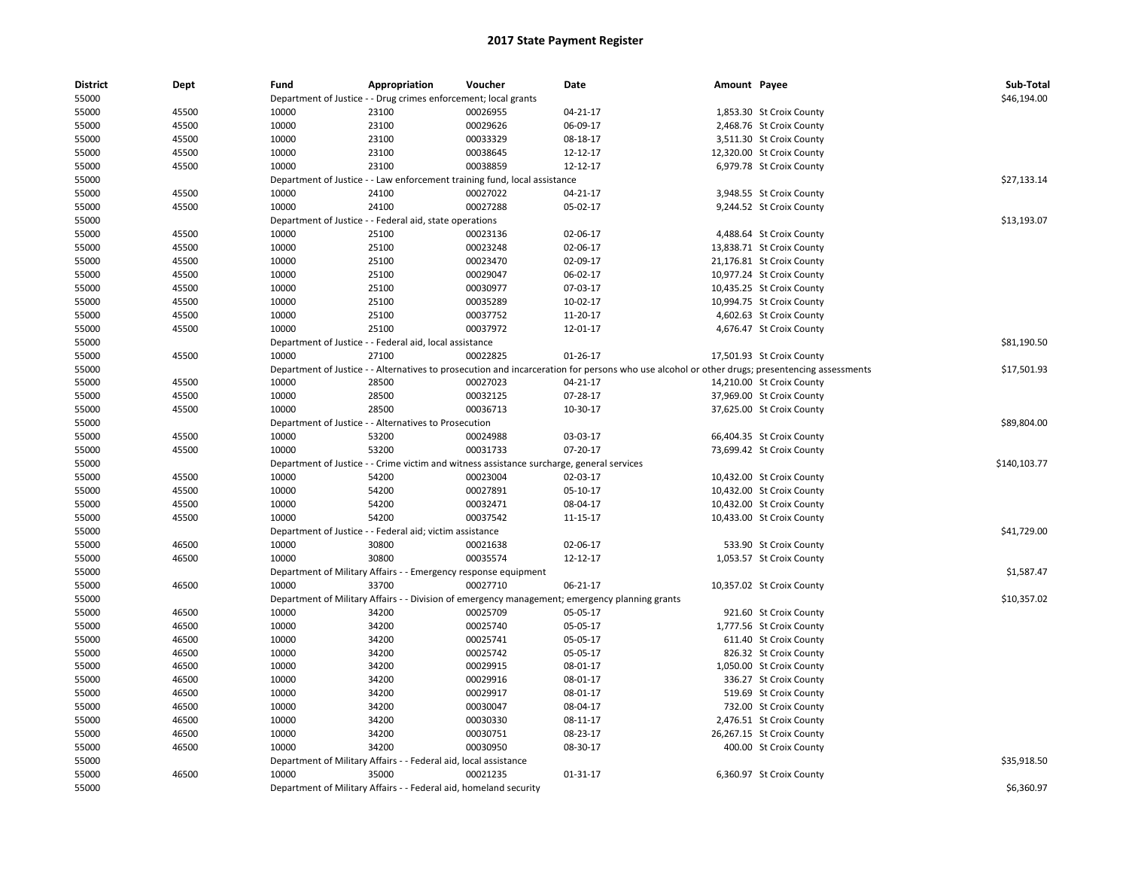| <b>District</b> | Dept  | Fund  | Appropriation                                                     | Voucher                                                                                   | Date                                                                                                                                          | Amount Payee |                           | Sub-Total    |
|-----------------|-------|-------|-------------------------------------------------------------------|-------------------------------------------------------------------------------------------|-----------------------------------------------------------------------------------------------------------------------------------------------|--------------|---------------------------|--------------|
| 55000           |       |       | Department of Justice - - Drug crimes enforcement; local grants   |                                                                                           |                                                                                                                                               |              |                           | \$46,194.00  |
| 55000           | 45500 | 10000 | 23100                                                             | 00026955                                                                                  | $04 - 21 - 17$                                                                                                                                |              | 1,853.30 St Croix County  |              |
| 55000           | 45500 | 10000 | 23100                                                             | 00029626                                                                                  | 06-09-17                                                                                                                                      |              | 2,468.76 St Croix County  |              |
| 55000           | 45500 | 10000 | 23100                                                             | 00033329                                                                                  | 08-18-17                                                                                                                                      |              | 3,511.30 St Croix County  |              |
| 55000           | 45500 | 10000 | 23100                                                             | 00038645                                                                                  | 12-12-17                                                                                                                                      |              | 12,320.00 St Croix County |              |
| 55000           | 45500 | 10000 | 23100                                                             | 00038859                                                                                  | 12-12-17                                                                                                                                      |              | 6,979.78 St Croix County  |              |
| 55000           |       |       |                                                                   | Department of Justice - - Law enforcement training fund, local assistance                 |                                                                                                                                               |              |                           | \$27.133.14  |
| 55000           | 45500 | 10000 | 24100                                                             | 00027022                                                                                  | 04-21-17                                                                                                                                      |              | 3,948.55 St Croix County  |              |
| 55000           | 45500 | 10000 | 24100                                                             | 00027288                                                                                  | 05-02-17                                                                                                                                      |              | 9,244.52 St Croix County  |              |
| 55000           |       |       | Department of Justice - - Federal aid, state operations           |                                                                                           |                                                                                                                                               |              |                           | \$13,193.07  |
| 55000           | 45500 | 10000 | 25100                                                             | 00023136                                                                                  | 02-06-17                                                                                                                                      |              | 4,488.64 St Croix County  |              |
| 55000           | 45500 | 10000 | 25100                                                             | 00023248                                                                                  | 02-06-17                                                                                                                                      |              | 13,838.71 St Croix County |              |
| 55000           | 45500 | 10000 | 25100                                                             | 00023470                                                                                  | 02-09-17                                                                                                                                      |              | 21,176.81 St Croix County |              |
| 55000           | 45500 | 10000 | 25100                                                             | 00029047                                                                                  | 06-02-17                                                                                                                                      |              | 10,977.24 St Croix County |              |
| 55000           | 45500 | 10000 | 25100                                                             | 00030977                                                                                  | 07-03-17                                                                                                                                      |              | 10,435.25 St Croix County |              |
| 55000           | 45500 | 10000 | 25100                                                             | 00035289                                                                                  | 10-02-17                                                                                                                                      |              | 10,994.75 St Croix County |              |
| 55000           | 45500 | 10000 | 25100                                                             | 00037752                                                                                  | 11-20-17                                                                                                                                      |              | 4,602.63 St Croix County  |              |
| 55000           | 45500 | 10000 | 25100                                                             | 00037972                                                                                  | 12-01-17                                                                                                                                      |              | 4,676.47 St Croix County  |              |
| 55000           |       |       | Department of Justice - - Federal aid, local assistance           |                                                                                           |                                                                                                                                               |              |                           | \$81,190.50  |
| 55000           | 45500 | 10000 | 27100                                                             | 00022825                                                                                  | 01-26-17                                                                                                                                      |              | 17,501.93 St Croix County |              |
| 55000           |       |       |                                                                   |                                                                                           | Department of Justice - - Alternatives to prosecution and incarceration for persons who use alcohol or other drugs; presentencing assessments |              |                           | \$17,501.93  |
| 55000           | 45500 | 10000 | 28500                                                             | 00027023                                                                                  | 04-21-17                                                                                                                                      |              | 14,210.00 St Croix County |              |
| 55000           | 45500 | 10000 | 28500                                                             | 00032125                                                                                  | 07-28-17                                                                                                                                      |              | 37,969.00 St Croix County |              |
| 55000           | 45500 | 10000 | 28500                                                             | 00036713                                                                                  | 10-30-17                                                                                                                                      |              | 37,625.00 St Croix County |              |
| 55000           |       |       | Department of Justice - - Alternatives to Prosecution             |                                                                                           |                                                                                                                                               |              |                           | \$89,804.00  |
| 55000           | 45500 | 10000 | 53200                                                             | 00024988                                                                                  | 03-03-17                                                                                                                                      |              | 66,404.35 St Croix County |              |
| 55000           | 45500 | 10000 | 53200                                                             | 00031733                                                                                  | 07-20-17                                                                                                                                      |              | 73,699.42 St Croix County |              |
| 55000           |       |       |                                                                   | Department of Justice - - Crime victim and witness assistance surcharge, general services |                                                                                                                                               |              |                           | \$140,103.77 |
| 55000           | 45500 | 10000 | 54200                                                             | 00023004                                                                                  | 02-03-17                                                                                                                                      |              | 10,432.00 St Croix County |              |
| 55000           | 45500 | 10000 | 54200                                                             | 00027891                                                                                  | 05-10-17                                                                                                                                      |              | 10,432.00 St Croix County |              |
| 55000           | 45500 | 10000 | 54200                                                             | 00032471                                                                                  | 08-04-17                                                                                                                                      |              | 10,432.00 St Croix County |              |
| 55000           | 45500 | 10000 | 54200                                                             | 00037542                                                                                  | 11-15-17                                                                                                                                      |              | 10,433.00 St Croix County |              |
| 55000           |       |       | Department of Justice - - Federal aid; victim assistance          |                                                                                           |                                                                                                                                               |              |                           | \$41,729.00  |
| 55000           | 46500 | 10000 | 30800                                                             | 00021638                                                                                  | 02-06-17                                                                                                                                      |              | 533.90 St Croix County    |              |
| 55000           | 46500 | 10000 | 30800                                                             | 00035574                                                                                  | 12-12-17                                                                                                                                      |              | 1,053.57 St Croix County  |              |
| 55000           |       |       | Department of Military Affairs - - Emergency response equipment   |                                                                                           |                                                                                                                                               |              |                           | \$1,587.47   |
| 55000           | 46500 | 10000 | 33700                                                             | 00027710                                                                                  | 06-21-17                                                                                                                                      |              | 10,357.02 St Croix County |              |
| 55000           |       |       |                                                                   |                                                                                           | Department of Military Affairs - - Division of emergency management; emergency planning grants                                                |              |                           | \$10,357.02  |
| 55000           | 46500 | 10000 | 34200                                                             | 00025709                                                                                  | 05-05-17                                                                                                                                      |              | 921.60 St Croix County    |              |
| 55000           | 46500 | 10000 | 34200                                                             | 00025740                                                                                  | 05-05-17                                                                                                                                      |              | 1,777.56 St Croix County  |              |
| 55000           | 46500 | 10000 | 34200                                                             | 00025741                                                                                  | 05-05-17                                                                                                                                      |              | 611.40 St Croix County    |              |
| 55000           | 46500 | 10000 | 34200                                                             | 00025742                                                                                  | 05-05-17                                                                                                                                      |              | 826.32 St Croix County    |              |
| 55000           | 46500 | 10000 | 34200                                                             | 00029915                                                                                  | 08-01-17                                                                                                                                      |              | 1,050.00 St Croix County  |              |
| 55000           | 46500 | 10000 | 34200                                                             | 00029916                                                                                  | 08-01-17                                                                                                                                      |              | 336.27 St Croix County    |              |
| 55000           | 46500 | 10000 | 34200                                                             | 00029917                                                                                  | 08-01-17                                                                                                                                      |              | 519.69 St Croix County    |              |
| 55000           | 46500 | 10000 | 34200                                                             | 00030047                                                                                  | 08-04-17                                                                                                                                      |              | 732.00 St Croix County    |              |
| 55000           | 46500 | 10000 | 34200                                                             | 00030330                                                                                  | 08-11-17                                                                                                                                      |              | 2,476.51 St Croix County  |              |
| 55000           | 46500 | 10000 | 34200                                                             | 00030751                                                                                  | 08-23-17                                                                                                                                      |              | 26,267.15 St Croix County |              |
| 55000           | 46500 | 10000 | 34200                                                             | 00030950                                                                                  | 08-30-17                                                                                                                                      |              | 400.00 St Croix County    |              |
| 55000           |       |       | Department of Military Affairs - - Federal aid, local assistance  |                                                                                           |                                                                                                                                               |              |                           | \$35,918.50  |
| 55000           | 46500 | 10000 | 35000                                                             | 00021235                                                                                  | 01-31-17                                                                                                                                      |              | 6,360.97 St Croix County  |              |
| 55000           |       |       | Department of Military Affairs - - Federal aid, homeland security |                                                                                           |                                                                                                                                               |              |                           | \$6,360.97   |
|                 |       |       |                                                                   |                                                                                           |                                                                                                                                               |              |                           |              |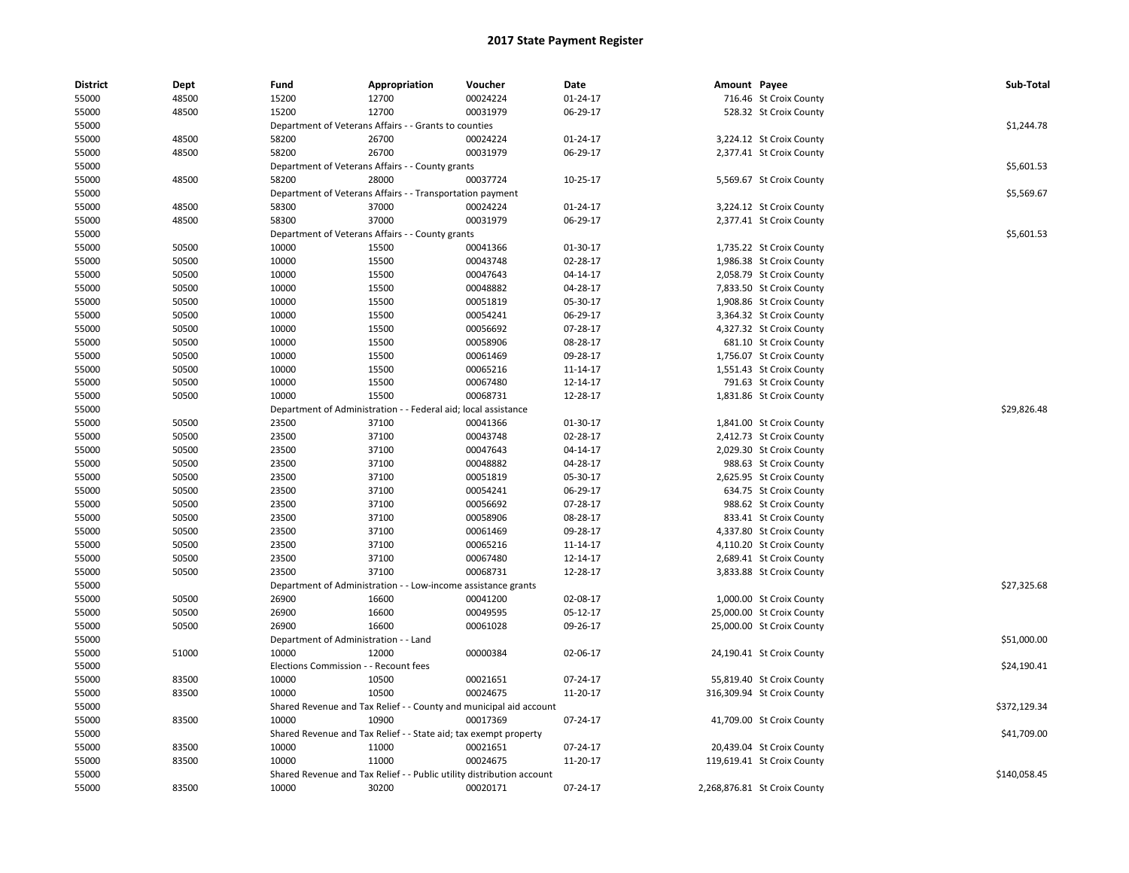| <b>District</b> | Dept  | Fund                         | Appropriation                                                               | Voucher                        | Date     | Amount Payee |                              | Sub-Total    |
|-----------------|-------|------------------------------|-----------------------------------------------------------------------------|--------------------------------|----------|--------------|------------------------------|--------------|
| 55000           | 48500 | 15200                        | 12700                                                                       | 00024224                       | 01-24-17 |              | 716.46 St Croix County       |              |
| 55000           | 48500 | 15200                        | 12700                                                                       | 00031979                       | 06-29-17 |              | 528.32 St Croix County       |              |
| 55000           |       |                              | Department of Veterans Affairs - - Grants to counties                       |                                |          |              |                              | \$1,244.78   |
| 55000           | 48500 | 58200                        | 26700                                                                       | 00024224                       | 01-24-17 |              | 3,224.12 St Croix County     |              |
| 55000           | 48500 | 58200                        | 26700                                                                       | 00031979                       | 06-29-17 |              | 2,377.41 St Croix County     |              |
| 55000           |       |                              | Department of Veterans Affairs - - County grants                            |                                |          |              |                              | \$5,601.53   |
| 55000           | 48500 | 58200                        | 28000                                                                       | 00037724                       | 10-25-17 |              | 5,569.67 St Croix County     |              |
| 55000           |       |                              | Department of Veterans Affairs - - Transportation payment                   |                                |          |              |                              | \$5,569.67   |
| 55000           | 48500 | 58300                        | 37000                                                                       | 00024224                       | 01-24-17 |              | 3,224.12 St Croix County     |              |
| 55000           | 48500 | 58300                        | 37000                                                                       | 00031979                       | 06-29-17 |              | 2,377.41 St Croix County     |              |
| 55000           |       |                              | Department of Veterans Affairs - - County grants                            |                                |          |              |                              | \$5,601.53   |
| 55000           | 50500 | 10000                        | 15500                                                                       | 00041366                       | 01-30-17 |              | 1,735.22 St Croix County     |              |
| 55000           | 50500 | 10000                        | 15500                                                                       | 00043748                       | 02-28-17 |              | 1,986.38 St Croix County     |              |
| 55000           | 50500 | 10000                        | 15500                                                                       | 00047643                       | 04-14-17 |              | 2,058.79 St Croix County     |              |
| 55000           | 50500 | 10000                        | 15500                                                                       | 00048882                       | 04-28-17 |              | 7,833.50 St Croix County     |              |
| 55000           | 50500 | 10000                        | 15500                                                                       | 00051819                       | 05-30-17 |              | 1,908.86 St Croix County     |              |
| 55000           | 50500 | 10000                        | 15500                                                                       | 00054241                       | 06-29-17 |              | 3,364.32 St Croix County     |              |
| 55000           | 50500 | 10000                        | 15500                                                                       | 00056692                       | 07-28-17 |              | 4,327.32 St Croix County     |              |
| 55000           | 50500 | 10000                        | 15500                                                                       | 00058906                       | 08-28-17 |              | 681.10 St Croix County       |              |
| 55000           | 50500 | 10000                        | 15500                                                                       | 00061469                       | 09-28-17 |              | 1,756.07 St Croix County     |              |
| 55000           | 50500 | 10000                        | 15500                                                                       | 00065216                       | 11-14-17 |              | 1,551.43 St Croix County     |              |
| 55000           | 50500 | 10000                        | 15500                                                                       | 00067480                       | 12-14-17 |              | 791.63 St Croix County       |              |
| 55000           | 50500 | 10000                        | 15500                                                                       | 00068731                       | 12-28-17 |              | 1,831.86 St Croix County     |              |
| 55000           |       | Department of Administration |                                                                             | Federal aid; local assistance  |          |              |                              | \$29,826.48  |
| 55000           | 50500 | 23500                        | 37100                                                                       | 00041366                       | 01-30-17 |              | 1,841.00 St Croix County     |              |
| 55000           | 50500 | 23500                        | 37100                                                                       | 00043748                       | 02-28-17 |              | 2,412.73 St Croix County     |              |
| 55000           | 50500 | 23500                        | 37100                                                                       | 00047643                       | 04-14-17 |              | 2,029.30 St Croix County     |              |
| 55000           | 50500 | 23500                        | 37100                                                                       | 00048882                       | 04-28-17 |              | 988.63 St Croix County       |              |
| 55000           | 50500 | 23500                        | 37100                                                                       | 00051819                       | 05-30-17 |              | 2,625.95 St Croix County     |              |
| 55000           | 50500 | 23500                        | 37100                                                                       | 00054241                       | 06-29-17 |              | 634.75 St Croix County       |              |
| 55000           | 50500 | 23500                        | 37100                                                                       | 00056692                       | 07-28-17 |              | 988.62 St Croix County       |              |
| 55000           | 50500 | 23500                        | 37100                                                                       | 00058906                       | 08-28-17 |              | 833.41 St Croix County       |              |
| 55000           | 50500 | 23500                        | 37100                                                                       | 00061469                       | 09-28-17 |              | 4,337.80 St Croix County     |              |
| 55000           | 50500 | 23500                        | 37100                                                                       | 00065216                       | 11-14-17 |              | 4,110.20 St Croix County     |              |
| 55000           | 50500 | 23500                        | 37100                                                                       | 00067480                       | 12-14-17 |              | 2,689.41 St Croix County     |              |
| 55000           | 50500 | 23500                        | 37100                                                                       | 00068731                       | 12-28-17 |              | 3,833.88 St Croix County     |              |
| 55000           |       | Department of Administration |                                                                             | - Low-income assistance grants |          |              |                              | \$27,325.68  |
| 55000           | 50500 | 26900                        | 16600                                                                       | 00041200                       | 02-08-17 |              | 1,000.00 St Croix County     |              |
| 55000           | 50500 | 26900                        | 16600                                                                       | 00049595                       | 05-12-17 |              | 25,000.00 St Croix County    |              |
| 55000           | 50500 | 26900                        | 16600                                                                       | 00061028                       | 09-26-17 |              | 25,000.00 St Croix County    |              |
| 55000           |       |                              | Department of Administration - - Land                                       |                                |          |              |                              | \$51,000.00  |
| 55000           | 51000 | 10000                        | 12000                                                                       | 00000384                       | 02-06-17 |              | 24,190.41 St Croix County    |              |
| 55000           |       |                              | Elections Commission - - Recount fees                                       |                                |          |              |                              | \$24,190.41  |
| 55000           | 83500 | 10000                        | 10500                                                                       | 00021651                       | 07-24-17 |              | 55,819.40 St Croix County    |              |
| 55000           | 83500 | 10000                        | 10500                                                                       | 00024675                       | 11-20-17 |              |                              |              |
| 55000           |       |                              |                                                                             |                                |          |              | 316,309.94 St Croix County   | \$372,129.34 |
|                 | 83500 | 10000                        | Shared Revenue and Tax Relief - - County and municipal aid account<br>10900 | 00017369                       | 07-24-17 |              |                              |              |
| 55000           |       |                              |                                                                             |                                |          |              | 41,709.00 St Croix County    |              |
| 55000           |       |                              | Shared Revenue and Tax Relief - - State aid; tax exempt property            |                                |          |              |                              | \$41,709.00  |
| 55000           | 83500 | 10000<br>10000               | 11000                                                                       | 00021651                       | 07-24-17 |              | 20,439.04 St Croix County    |              |
| 55000           | 83500 |                              | 11000                                                                       | 00024675                       | 11-20-17 |              | 119,619.41 St Croix County   | \$140,058.45 |
| 55000           |       |                              | Shared Revenue and Tax Relief - - Public utility distribution account       |                                |          |              |                              |              |
| 55000           | 83500 | 10000                        | 30200                                                                       | 00020171                       | 07-24-17 |              | 2,268,876.81 St Croix County |              |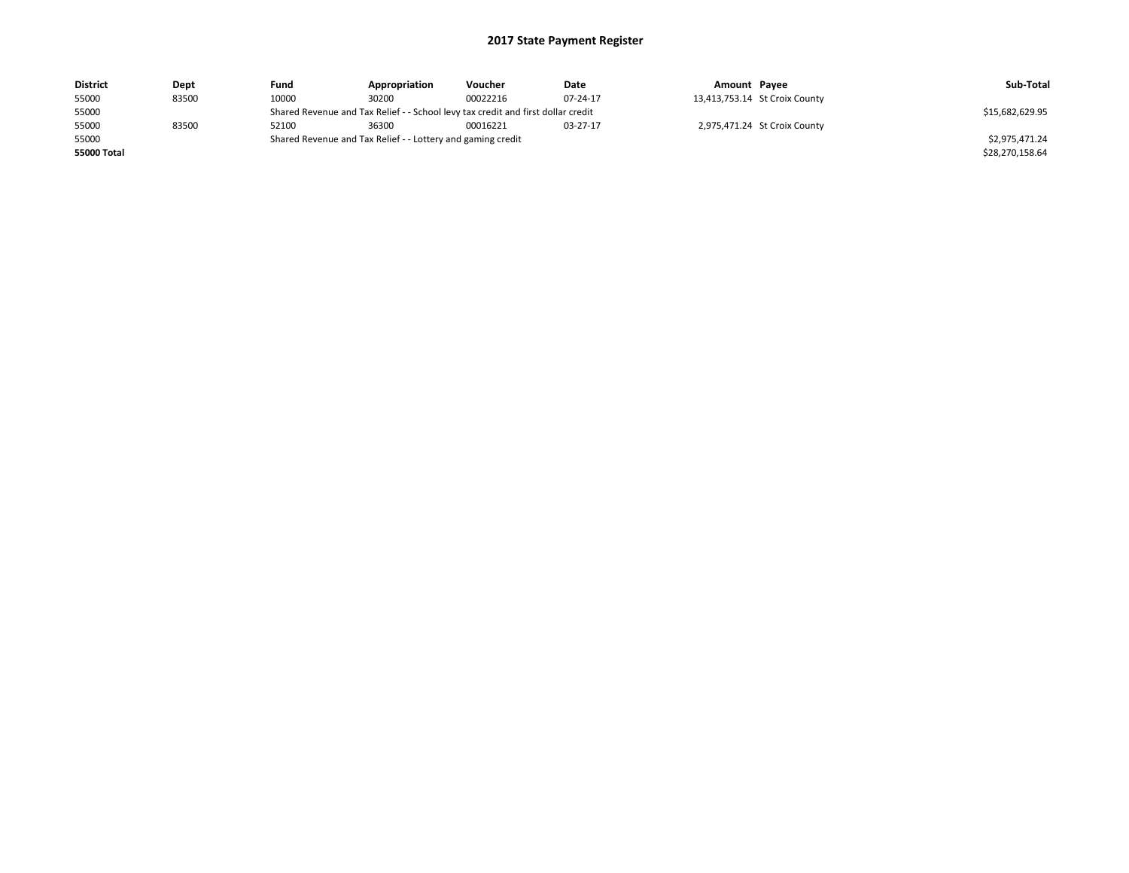| <b>District</b> | Dept  | Fund  | Appropriation                                                                    | Voucher  | Date            | Amount Payee |                               | Sub-Total       |
|-----------------|-------|-------|----------------------------------------------------------------------------------|----------|-----------------|--------------|-------------------------------|-----------------|
| 55000           | 83500 | 10000 | 30200                                                                            | 00022216 | 07-24-17        |              | 13,413,753.14 St Croix County |                 |
| 55000           |       |       | Shared Revenue and Tax Relief - - School levy tax credit and first dollar credit |          | \$15,682,629.95 |              |                               |                 |
| 55000           | 83500 | 52100 | 36300                                                                            | 00016221 | 03-27-17        |              | 2,975,471.24 St Croix County  |                 |
| 55000           |       |       | Shared Revenue and Tax Relief - - Lottery and gaming credit                      |          |                 |              |                               | \$2.975.471.24  |
| 55000 Total     |       |       |                                                                                  |          |                 |              |                               | \$28,270,158.64 |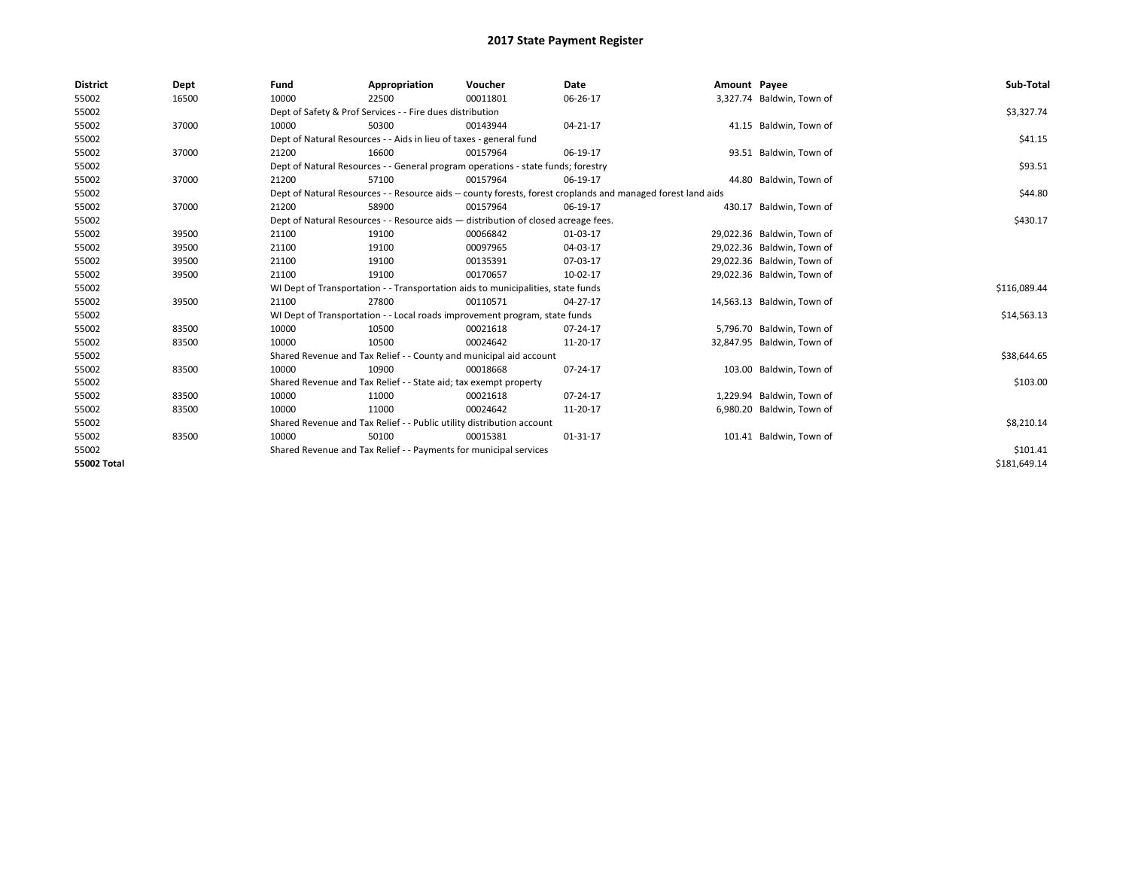| <b>District</b>    | Dept  | Fund  | Appropriation                                                                                                | Voucher  | Date     | Amount Payee |                            | Sub-Total    |
|--------------------|-------|-------|--------------------------------------------------------------------------------------------------------------|----------|----------|--------------|----------------------------|--------------|
| 55002              | 16500 | 10000 | 22500                                                                                                        | 00011801 | 06-26-17 |              | 3,327.74 Baldwin, Town of  |              |
| 55002              |       |       | Dept of Safety & Prof Services - - Fire dues distribution                                                    |          |          |              |                            | \$3,327.74   |
| 55002              | 37000 | 10000 | 50300                                                                                                        | 00143944 | 04-21-17 |              | 41.15 Baldwin, Town of     |              |
| 55002              |       |       | Dept of Natural Resources - - Aids in lieu of taxes - general fund                                           |          |          |              |                            | \$41.15      |
| 55002              | 37000 | 21200 | 16600                                                                                                        | 00157964 | 06-19-17 |              | 93.51 Baldwin, Town of     |              |
| 55002              |       |       | Dept of Natural Resources - - General program operations - state funds; forestry                             |          |          |              |                            | \$93.51      |
| 55002              | 37000 | 21200 | 57100                                                                                                        | 00157964 | 06-19-17 |              | 44.80 Baldwin, Town of     |              |
| 55002              |       |       | Dept of Natural Resources - - Resource aids -- county forests, forest croplands and managed forest land aids |          |          |              |                            | \$44.80      |
| 55002              | 37000 | 21200 | 58900                                                                                                        | 00157964 | 06-19-17 |              | 430.17 Baldwin, Town of    |              |
| 55002              |       |       | Dept of Natural Resources - - Resource aids - distribution of closed acreage fees.                           |          |          |              |                            | \$430.17     |
| 55002              | 39500 | 21100 | 19100                                                                                                        | 00066842 | 01-03-17 |              | 29,022.36 Baldwin, Town of |              |
| 55002              | 39500 | 21100 | 19100                                                                                                        | 00097965 | 04-03-17 |              | 29,022.36 Baldwin, Town of |              |
| 55002              | 39500 | 21100 | 19100                                                                                                        | 00135391 | 07-03-17 |              | 29,022.36 Baldwin, Town of |              |
| 55002              | 39500 | 21100 | 19100                                                                                                        | 00170657 | 10-02-17 |              | 29,022.36 Baldwin, Town of |              |
| 55002              |       |       | WI Dept of Transportation - - Transportation aids to municipalities, state funds                             |          |          |              |                            | \$116,089.44 |
| 55002              | 39500 | 21100 | 27800                                                                                                        | 00110571 | 04-27-17 |              | 14,563.13 Baldwin, Town of |              |
| 55002              |       |       | WI Dept of Transportation - - Local roads improvement program, state funds                                   |          |          |              |                            | \$14,563.13  |
| 55002              | 83500 | 10000 | 10500                                                                                                        | 00021618 | 07-24-17 |              | 5,796.70 Baldwin, Town of  |              |
| 55002              | 83500 | 10000 | 10500                                                                                                        | 00024642 | 11-20-17 |              | 32,847.95 Baldwin, Town of |              |
| 55002              |       |       | Shared Revenue and Tax Relief - - County and municipal aid account                                           |          |          |              |                            | \$38,644.65  |
| 55002              | 83500 | 10000 | 10900                                                                                                        | 00018668 | 07-24-17 |              | 103.00 Baldwin, Town of    |              |
| 55002              |       |       | Shared Revenue and Tax Relief - - State aid; tax exempt property                                             |          |          |              |                            | \$103.00     |
| 55002              | 83500 | 10000 | 11000                                                                                                        | 00021618 | 07-24-17 |              | 1,229.94 Baldwin, Town of  |              |
| 55002              | 83500 | 10000 | 11000                                                                                                        | 00024642 | 11-20-17 |              | 6,980.20 Baldwin, Town of  |              |
| 55002              |       |       | Shared Revenue and Tax Relief - - Public utility distribution account                                        |          |          |              |                            | \$8,210.14   |
| 55002              | 83500 | 10000 | 50100                                                                                                        | 00015381 | 01-31-17 |              | 101.41 Baldwin, Town of    |              |
| 55002              |       |       | Shared Revenue and Tax Relief - - Payments for municipal services                                            |          |          |              |                            | \$101.41     |
| <b>55002 Total</b> |       |       |                                                                                                              |          |          |              |                            | \$181.649.14 |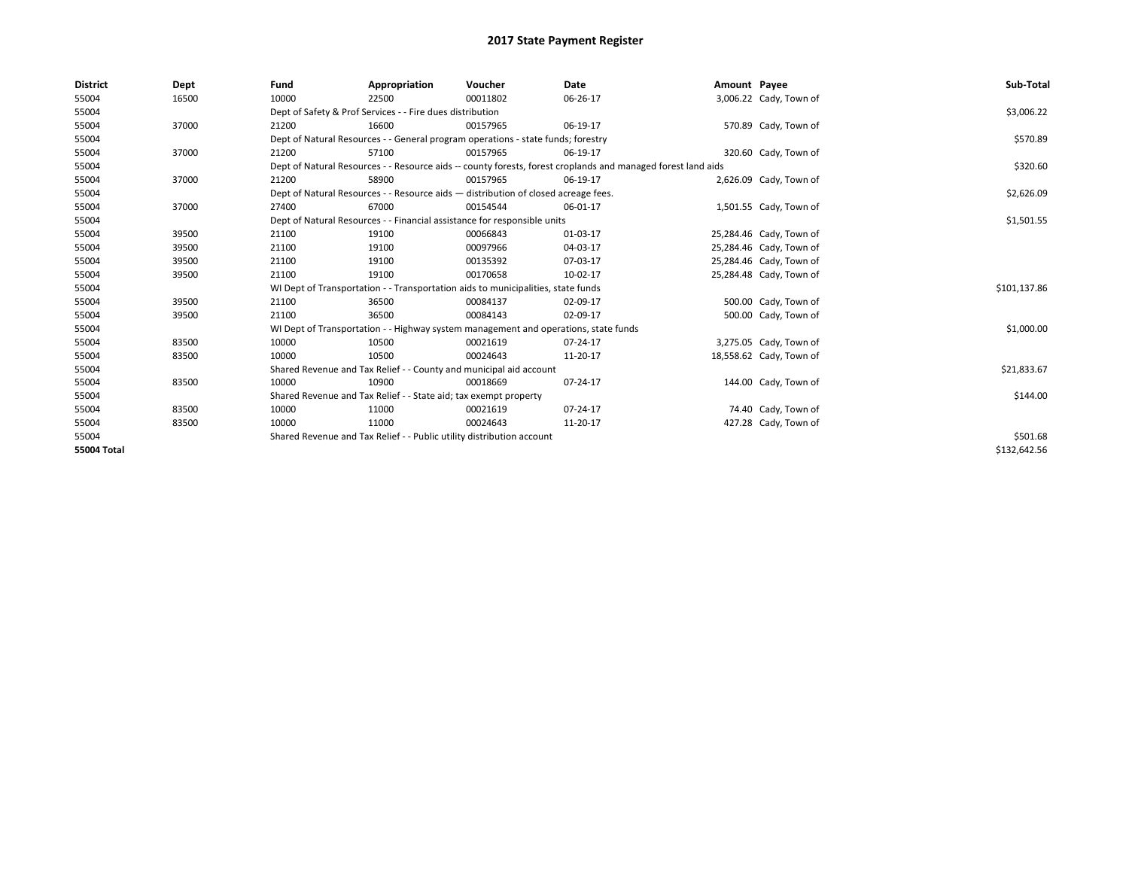| <b>District</b> | Dept  | Fund  | Appropriation                                                                       | Voucher  | Date                                                                                                         | Amount Payee |                         | Sub-Total    |  |
|-----------------|-------|-------|-------------------------------------------------------------------------------------|----------|--------------------------------------------------------------------------------------------------------------|--------------|-------------------------|--------------|--|
| 55004           | 16500 | 10000 | 22500                                                                               | 00011802 | 06-26-17                                                                                                     |              | 3,006.22 Cady, Town of  |              |  |
| 55004           |       |       | Dept of Safety & Prof Services - - Fire dues distribution                           |          |                                                                                                              |              |                         | \$3,006.22   |  |
| 55004           | 37000 | 21200 | 16600                                                                               | 00157965 | 06-19-17                                                                                                     |              | 570.89 Cady, Town of    |              |  |
| 55004           |       |       | Dept of Natural Resources - - General program operations - state funds; forestry    |          |                                                                                                              |              |                         |              |  |
| 55004           | 37000 | 21200 | 57100                                                                               | 00157965 | 06-19-17                                                                                                     |              | 320.60 Cady, Town of    |              |  |
| 55004           |       |       |                                                                                     |          | Dept of Natural Resources - - Resource aids -- county forests, forest croplands and managed forest land aids |              |                         | \$320.60     |  |
| 55004           | 37000 | 21200 | 58900                                                                               | 00157965 | 06-19-17                                                                                                     |              | 2,626.09 Cady, Town of  |              |  |
| 55004           |       |       | Dept of Natural Resources - - Resource aids - distribution of closed acreage fees.  |          |                                                                                                              |              |                         | \$2,626.09   |  |
| 55004           | 37000 | 27400 | 67000                                                                               | 00154544 | 06-01-17                                                                                                     |              | 1,501.55 Cady, Town of  |              |  |
| 55004           |       |       | Dept of Natural Resources - - Financial assistance for responsible units            |          |                                                                                                              |              |                         | \$1,501.55   |  |
| 55004           | 39500 | 21100 | 19100                                                                               | 00066843 | 01-03-17                                                                                                     |              | 25,284.46 Cady, Town of |              |  |
| 55004           | 39500 | 21100 | 19100                                                                               | 00097966 | 04-03-17                                                                                                     |              | 25,284.46 Cady, Town of |              |  |
| 55004           | 39500 | 21100 | 19100                                                                               | 00135392 | 07-03-17                                                                                                     |              | 25,284.46 Cady, Town of |              |  |
| 55004           | 39500 | 21100 | 19100                                                                               | 00170658 | 10-02-17                                                                                                     |              | 25,284.48 Cady, Town of |              |  |
| 55004           |       |       | WI Dept of Transportation - - Transportation aids to municipalities, state funds    |          |                                                                                                              |              |                         | \$101,137.86 |  |
| 55004           | 39500 | 21100 | 36500                                                                               | 00084137 | 02-09-17                                                                                                     |              | 500.00 Cady, Town of    |              |  |
| 55004           | 39500 | 21100 | 36500                                                                               | 00084143 | 02-09-17                                                                                                     |              | 500.00 Cady, Town of    |              |  |
| 55004           |       |       | WI Dept of Transportation - - Highway system management and operations, state funds |          |                                                                                                              |              |                         | \$1,000.00   |  |
| 55004           | 83500 | 10000 | 10500                                                                               | 00021619 | 07-24-17                                                                                                     |              | 3,275.05 Cady, Town of  |              |  |
| 55004           | 83500 | 10000 | 10500                                                                               | 00024643 | 11-20-17                                                                                                     |              | 18,558.62 Cady, Town of |              |  |
| 55004           |       |       | Shared Revenue and Tax Relief - - County and municipal aid account                  |          |                                                                                                              |              |                         | \$21,833.67  |  |
| 55004           | 83500 | 10000 | 10900                                                                               | 00018669 | 07-24-17                                                                                                     |              | 144.00 Cady, Town of    |              |  |
| 55004           |       |       | Shared Revenue and Tax Relief - - State aid; tax exempt property                    |          |                                                                                                              |              |                         | \$144.00     |  |
| 55004           | 83500 | 10000 | 11000                                                                               | 00021619 | 07-24-17                                                                                                     |              | 74.40 Cady, Town of     |              |  |
| 55004           | 83500 | 10000 | 11000                                                                               | 00024643 | 11-20-17                                                                                                     |              | 427.28 Cady, Town of    |              |  |
| 55004           |       |       | Shared Revenue and Tax Relief - - Public utility distribution account               |          |                                                                                                              |              |                         | \$501.68     |  |
| 55004 Total     |       |       |                                                                                     |          |                                                                                                              |              |                         | \$132,642.56 |  |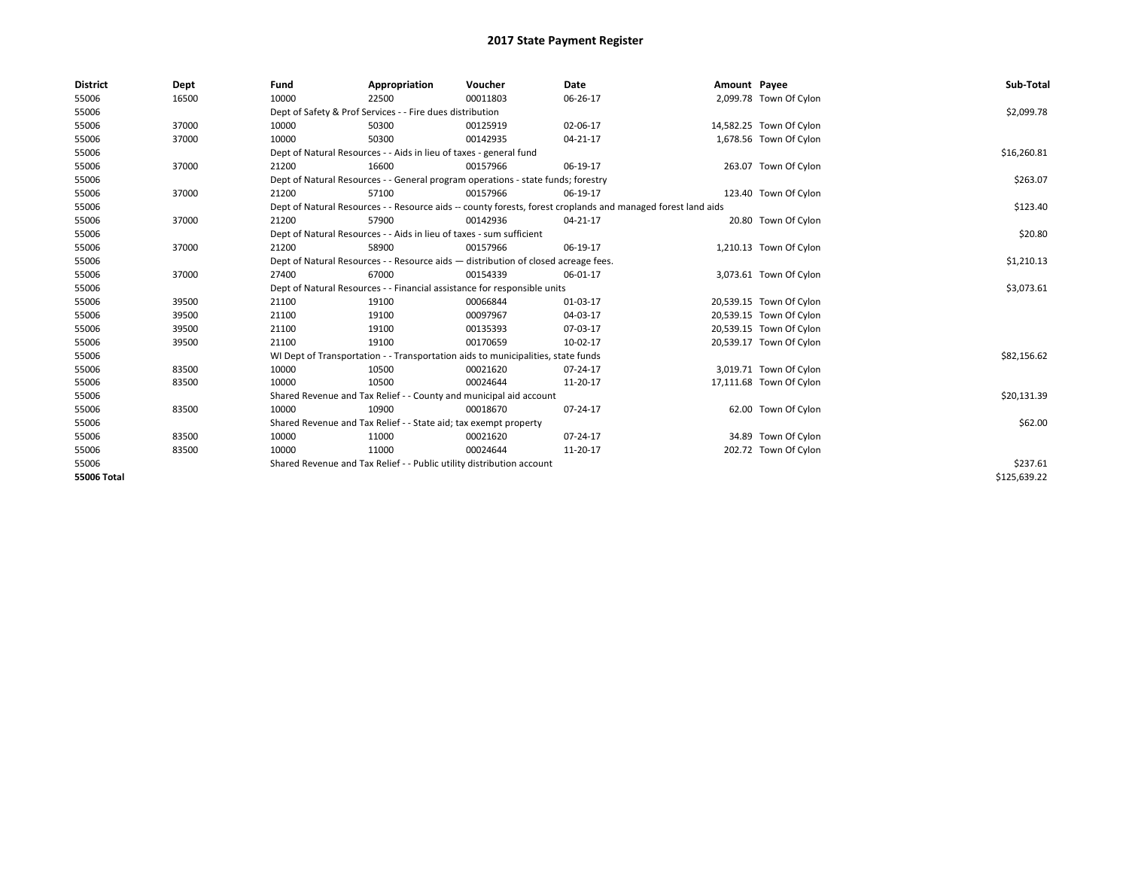| <b>District</b>    | Dept  | Fund                                                                               | Appropriation                                                                    | Voucher    | Date                                                                                                         | Amount Payee |                         | Sub-Total    |
|--------------------|-------|------------------------------------------------------------------------------------|----------------------------------------------------------------------------------|------------|--------------------------------------------------------------------------------------------------------------|--------------|-------------------------|--------------|
| 55006              | 16500 | 10000                                                                              | 22500                                                                            | 00011803   | 06-26-17                                                                                                     |              | 2,099.78 Town Of Cylon  |              |
| 55006              |       |                                                                                    | Dept of Safety & Prof Services - - Fire dues distribution                        |            |                                                                                                              |              |                         | \$2,099.78   |
| 55006              | 37000 | 10000                                                                              | 50300                                                                            | 00125919   | 02-06-17                                                                                                     |              | 14,582.25 Town Of Cylon |              |
| 55006              | 37000 | 10000                                                                              | 50300                                                                            | 00142935   | 04-21-17                                                                                                     |              | 1,678.56 Town Of Cylon  |              |
| 55006              |       |                                                                                    | Dept of Natural Resources - - Aids in lieu of taxes - general fund               |            |                                                                                                              |              |                         | \$16,260.81  |
| 55006              | 37000 | 21200                                                                              | 16600                                                                            | 00157966   | 06-19-17                                                                                                     |              | 263.07 Town Of Cylon    |              |
| 55006              |       |                                                                                    | Dept of Natural Resources - - General program operations - state funds; forestry |            |                                                                                                              |              |                         | \$263.07     |
| 55006              | 37000 | 21200                                                                              | 57100                                                                            | 00157966   | 06-19-17                                                                                                     |              | 123.40 Town Of Cylon    |              |
| 55006              |       |                                                                                    |                                                                                  |            | Dept of Natural Resources - - Resource aids -- county forests, forest croplands and managed forest land aids |              |                         | \$123.40     |
| 55006              | 37000 | 21200                                                                              | 57900                                                                            | 00142936   | 04-21-17                                                                                                     |              | 20.80 Town Of Cylon     |              |
| 55006              |       |                                                                                    | Dept of Natural Resources - - Aids in lieu of taxes - sum sufficient             |            |                                                                                                              |              |                         | \$20.80      |
| 55006              | 37000 | 21200                                                                              | 58900                                                                            | 00157966   | 06-19-17                                                                                                     |              | 1,210.13 Town Of Cylon  |              |
| 55006              |       | Dept of Natural Resources - - Resource aids - distribution of closed acreage fees. |                                                                                  | \$1,210.13 |                                                                                                              |              |                         |              |
| 55006              | 37000 | 27400                                                                              | 67000                                                                            | 00154339   | 06-01-17                                                                                                     |              | 3,073.61 Town Of Cylon  |              |
| 55006              |       |                                                                                    | Dept of Natural Resources - - Financial assistance for responsible units         |            |                                                                                                              |              |                         | \$3,073.61   |
| 55006              | 39500 | 21100                                                                              | 19100                                                                            | 00066844   | 01-03-17                                                                                                     |              | 20,539.15 Town Of Cylon |              |
| 55006              | 39500 | 21100                                                                              | 19100                                                                            | 00097967   | 04-03-17                                                                                                     |              | 20,539.15 Town Of Cylon |              |
| 55006              | 39500 | 21100                                                                              | 19100                                                                            | 00135393   | 07-03-17                                                                                                     |              | 20,539.15 Town Of Cylon |              |
| 55006              | 39500 | 21100                                                                              | 19100                                                                            | 00170659   | 10-02-17                                                                                                     |              | 20,539.17 Town Of Cylon |              |
| 55006              |       |                                                                                    | WI Dept of Transportation - - Transportation aids to municipalities, state funds |            |                                                                                                              |              |                         | \$82,156.62  |
| 55006              | 83500 | 10000                                                                              | 10500                                                                            | 00021620   | 07-24-17                                                                                                     |              | 3,019.71 Town Of Cylon  |              |
| 55006              | 83500 | 10000                                                                              | 10500                                                                            | 00024644   | 11-20-17                                                                                                     |              | 17,111.68 Town Of Cylon |              |
| 55006              |       |                                                                                    | Shared Revenue and Tax Relief - - County and municipal aid account               |            |                                                                                                              |              |                         | \$20,131.39  |
| 55006              | 83500 | 10000                                                                              | 10900                                                                            | 00018670   | 07-24-17                                                                                                     |              | 62.00 Town Of Cylon     |              |
| 55006              |       |                                                                                    | Shared Revenue and Tax Relief - - State aid; tax exempt property                 |            |                                                                                                              |              |                         | \$62.00      |
| 55006              | 83500 | 10000                                                                              | 11000                                                                            | 00021620   | 07-24-17                                                                                                     |              | 34.89 Town Of Cylon     |              |
| 55006              | 83500 | 10000                                                                              | 11000                                                                            | 00024644   | 11-20-17                                                                                                     |              | 202.72 Town Of Cylon    |              |
| 55006              |       | Shared Revenue and Tax Relief - - Public utility distribution account              |                                                                                  | \$237.61   |                                                                                                              |              |                         |              |
| <b>55006 Total</b> |       |                                                                                    |                                                                                  |            |                                                                                                              |              |                         | \$125,639.22 |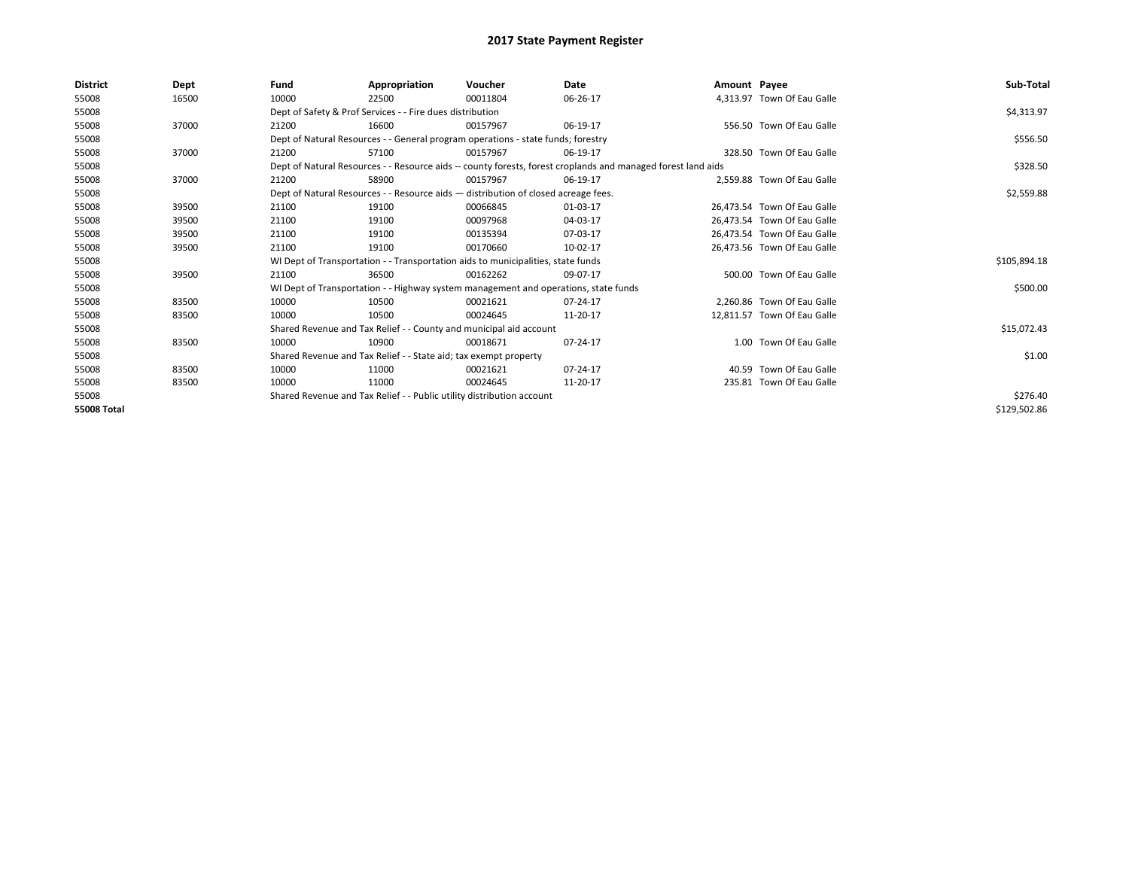| District           | Dept  | Fund  | Appropriation                                                                                                | Voucher  | Date     | Amount Payee |                             | Sub-Total    |
|--------------------|-------|-------|--------------------------------------------------------------------------------------------------------------|----------|----------|--------------|-----------------------------|--------------|
| 55008              | 16500 | 10000 | 22500                                                                                                        | 00011804 | 06-26-17 |              | 4,313.97 Town Of Eau Galle  |              |
| 55008              |       |       | Dept of Safety & Prof Services - - Fire dues distribution                                                    |          |          |              |                             | \$4,313.97   |
| 55008              | 37000 | 21200 | 16600                                                                                                        | 00157967 | 06-19-17 |              | 556.50 Town Of Eau Galle    |              |
| 55008              |       |       | Dept of Natural Resources - - General program operations - state funds; forestry                             |          |          |              |                             | \$556.50     |
| 55008              | 37000 | 21200 | 57100                                                                                                        | 00157967 | 06-19-17 |              | 328.50 Town Of Eau Galle    |              |
| 55008              |       |       | Dept of Natural Resources - - Resource aids -- county forests, forest croplands and managed forest land aids |          |          |              |                             | \$328.50     |
| 55008              | 37000 | 21200 | 58900                                                                                                        | 00157967 | 06-19-17 |              | 2,559.88 Town Of Eau Galle  |              |
| 55008              |       |       | Dept of Natural Resources - - Resource aids - distribution of closed acreage fees.                           |          |          |              |                             | \$2,559.88   |
| 55008              | 39500 | 21100 | 19100                                                                                                        | 00066845 | 01-03-17 |              | 26.473.54 Town Of Eau Galle |              |
| 55008              | 39500 | 21100 | 19100                                                                                                        | 00097968 | 04-03-17 |              | 26.473.54 Town Of Eau Galle |              |
| 55008              | 39500 | 21100 | 19100                                                                                                        | 00135394 | 07-03-17 |              | 26,473.54 Town Of Eau Galle |              |
| 55008              | 39500 | 21100 | 19100                                                                                                        | 00170660 | 10-02-17 |              | 26.473.56 Town Of Eau Galle |              |
| 55008              |       |       | WI Dept of Transportation - - Transportation aids to municipalities, state funds                             |          |          |              |                             | \$105,894.18 |
| 55008              | 39500 | 21100 | 36500                                                                                                        | 00162262 | 09-07-17 |              | 500.00 Town Of Eau Galle    |              |
| 55008              |       |       | WI Dept of Transportation - - Highway system management and operations, state funds                          |          |          |              |                             | \$500.00     |
| 55008              | 83500 | 10000 | 10500                                                                                                        | 00021621 | 07-24-17 |              | 2.260.86 Town Of Eau Galle  |              |
| 55008              | 83500 | 10000 | 10500                                                                                                        | 00024645 | 11-20-17 |              | 12,811.57 Town Of Eau Galle |              |
| 55008              |       |       | Shared Revenue and Tax Relief - - County and municipal aid account                                           |          |          |              |                             | \$15,072.43  |
| 55008              | 83500 | 10000 | 10900                                                                                                        | 00018671 | 07-24-17 |              | 1.00 Town Of Eau Galle      |              |
| 55008              |       |       | Shared Revenue and Tax Relief - - State aid; tax exempt property                                             |          |          |              |                             | \$1.00       |
| 55008              | 83500 | 10000 | 11000                                                                                                        | 00021621 | 07-24-17 |              | 40.59 Town Of Eau Galle     |              |
| 55008              | 83500 | 10000 | 11000                                                                                                        | 00024645 | 11-20-17 |              | 235.81 Town Of Eau Galle    |              |
| 55008              |       |       | Shared Revenue and Tax Relief - - Public utility distribution account                                        |          | \$276.40 |              |                             |              |
| <b>55008 Total</b> |       |       |                                                                                                              |          |          |              |                             | \$129,502.86 |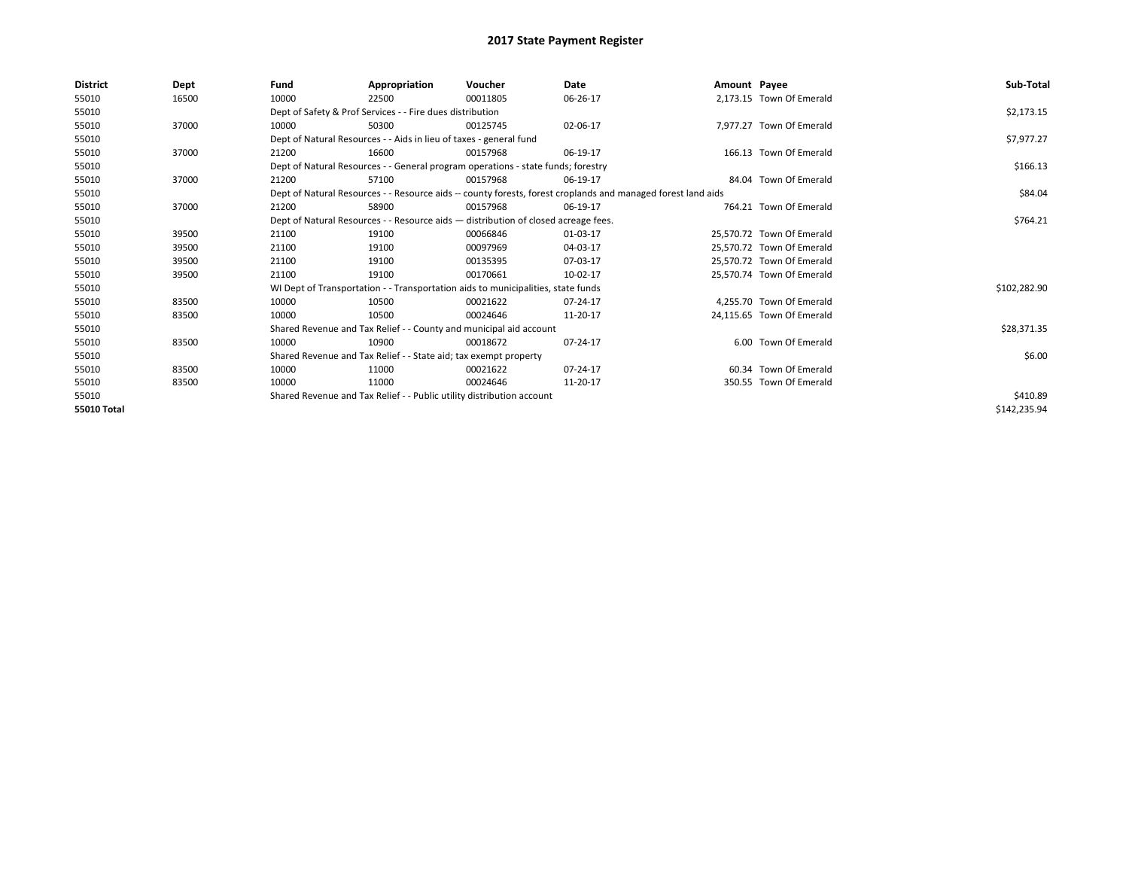| District    | Dept  | Fund                                                                  | Appropriation                                                                      | Voucher  | Date                                                                                                         | Amount Payee |                           | Sub-Total    |
|-------------|-------|-----------------------------------------------------------------------|------------------------------------------------------------------------------------|----------|--------------------------------------------------------------------------------------------------------------|--------------|---------------------------|--------------|
| 55010       | 16500 | 10000                                                                 | 22500                                                                              | 00011805 | 06-26-17                                                                                                     |              | 2,173.15 Town Of Emerald  |              |
| 55010       |       |                                                                       | Dept of Safety & Prof Services - - Fire dues distribution                          |          |                                                                                                              |              |                           | \$2,173.15   |
| 55010       | 37000 | 10000                                                                 | 50300                                                                              | 00125745 | 02-06-17                                                                                                     |              | 7,977.27 Town Of Emerald  |              |
| 55010       |       |                                                                       | Dept of Natural Resources - - Aids in lieu of taxes - general fund                 |          |                                                                                                              |              |                           | \$7,977.27   |
| 55010       | 37000 | 21200                                                                 | 16600                                                                              | 00157968 | 06-19-17                                                                                                     |              | 166.13 Town Of Emerald    |              |
| 55010       |       |                                                                       | Dept of Natural Resources - - General program operations - state funds; forestry   |          |                                                                                                              |              |                           | \$166.13     |
| 55010       | 37000 | 21200                                                                 | 57100                                                                              | 00157968 | 06-19-17                                                                                                     |              | 84.04 Town Of Emerald     |              |
| 55010       |       |                                                                       |                                                                                    |          | Dept of Natural Resources - - Resource aids -- county forests, forest croplands and managed forest land aids |              |                           | \$84.04      |
| 55010       | 37000 | 21200                                                                 | 58900                                                                              | 00157968 | 06-19-17                                                                                                     |              | 764.21 Town Of Emerald    |              |
| 55010       |       |                                                                       | Dept of Natural Resources - - Resource aids - distribution of closed acreage fees. |          |                                                                                                              |              |                           | \$764.21     |
| 55010       | 39500 | 21100                                                                 | 19100                                                                              | 00066846 | 01-03-17                                                                                                     |              | 25.570.72 Town Of Emerald |              |
| 55010       | 39500 | 21100                                                                 | 19100                                                                              | 00097969 | 04-03-17                                                                                                     |              | 25,570.72 Town Of Emerald |              |
| 55010       | 39500 | 21100                                                                 | 19100                                                                              | 00135395 | 07-03-17                                                                                                     |              | 25.570.72 Town Of Emerald |              |
| 55010       | 39500 | 21100                                                                 | 19100                                                                              | 00170661 | 10-02-17                                                                                                     |              | 25,570.74 Town Of Emerald |              |
| 55010       |       |                                                                       | WI Dept of Transportation - - Transportation aids to municipalities, state funds   |          |                                                                                                              |              |                           | \$102,282.90 |
| 55010       | 83500 | 10000                                                                 | 10500                                                                              | 00021622 | 07-24-17                                                                                                     |              | 4.255.70 Town Of Emerald  |              |
| 55010       | 83500 | 10000                                                                 | 10500                                                                              | 00024646 | 11-20-17                                                                                                     |              | 24,115.65 Town Of Emerald |              |
| 55010       |       |                                                                       | Shared Revenue and Tax Relief - - County and municipal aid account                 |          |                                                                                                              |              |                           | \$28,371.35  |
| 55010       | 83500 | 10000                                                                 | 10900                                                                              | 00018672 | 07-24-17                                                                                                     |              | 6.00 Town Of Emerald      |              |
| 55010       |       |                                                                       | Shared Revenue and Tax Relief - - State aid; tax exempt property                   |          |                                                                                                              |              |                           | \$6.00       |
| 55010       | 83500 | 10000                                                                 | 11000                                                                              | 00021622 | 07-24-17                                                                                                     |              | 60.34 Town Of Emerald     |              |
| 55010       | 83500 | 10000                                                                 | 11000                                                                              | 00024646 | 11-20-17                                                                                                     |              | 350.55 Town Of Emerald    |              |
| 55010       |       | Shared Revenue and Tax Relief - - Public utility distribution account |                                                                                    | \$410.89 |                                                                                                              |              |                           |              |
| 55010 Total |       |                                                                       |                                                                                    |          |                                                                                                              |              |                           | \$142,235.94 |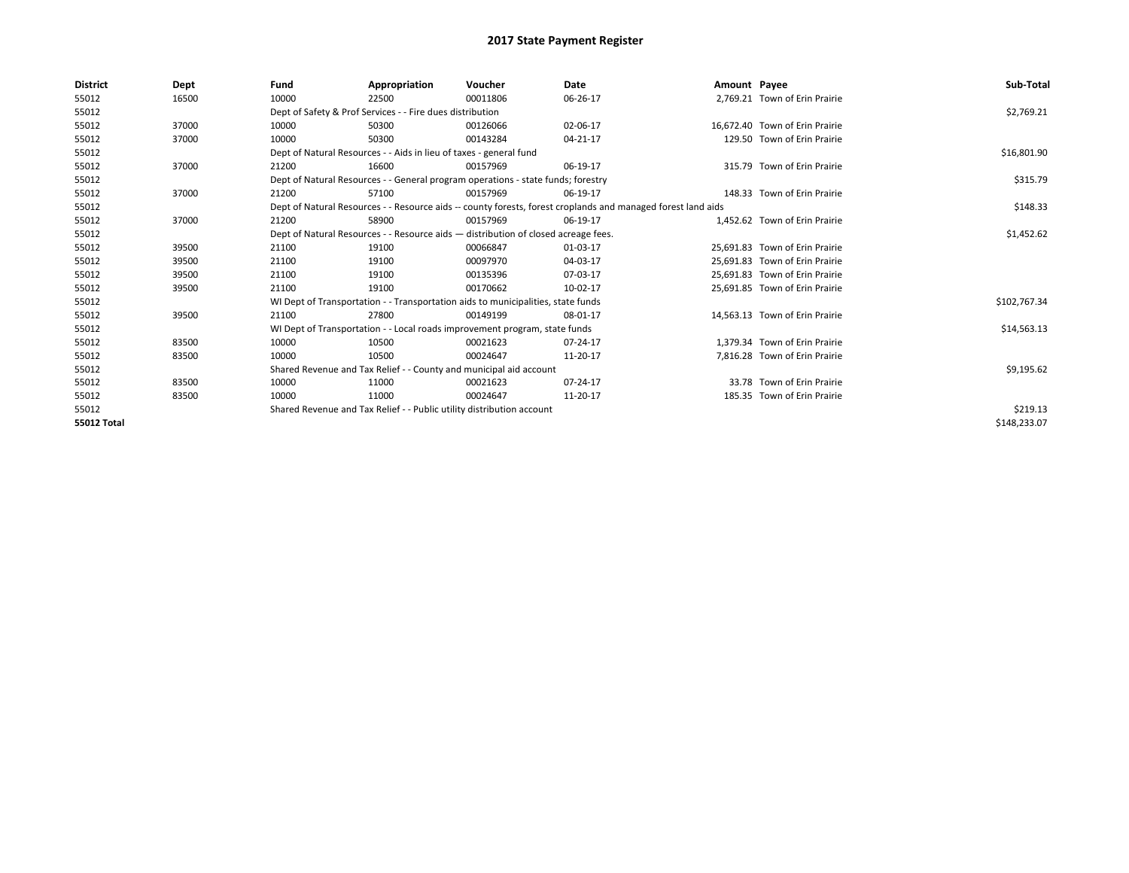| <b>District</b> | Dept  | Fund                                                                  | Appropriation                                                                      | Voucher  | Date                                                                                                         | Amount Payee |                                | Sub-Total    |
|-----------------|-------|-----------------------------------------------------------------------|------------------------------------------------------------------------------------|----------|--------------------------------------------------------------------------------------------------------------|--------------|--------------------------------|--------------|
| 55012           | 16500 | 10000                                                                 | 22500                                                                              | 00011806 | 06-26-17                                                                                                     |              | 2,769.21 Town of Erin Prairie  |              |
| 55012           |       |                                                                       | Dept of Safety & Prof Services - - Fire dues distribution                          |          |                                                                                                              |              |                                | \$2,769.21   |
| 55012           | 37000 | 10000                                                                 | 50300                                                                              | 00126066 | 02-06-17                                                                                                     |              | 16.672.40 Town of Erin Prairie |              |
| 55012           | 37000 | 10000                                                                 | 50300                                                                              | 00143284 | 04-21-17                                                                                                     |              | 129.50 Town of Erin Prairie    |              |
| 55012           |       |                                                                       | Dept of Natural Resources - - Aids in lieu of taxes - general fund                 |          |                                                                                                              |              |                                | \$16,801.90  |
| 55012           | 37000 | 21200                                                                 | 16600                                                                              | 00157969 | 06-19-17                                                                                                     |              | 315.79 Town of Erin Prairie    |              |
| 55012           |       |                                                                       | Dept of Natural Resources - - General program operations - state funds; forestry   |          |                                                                                                              |              |                                | \$315.79     |
| 55012           | 37000 | 21200                                                                 | 57100                                                                              | 00157969 | 06-19-17                                                                                                     |              | 148.33 Town of Erin Prairie    |              |
| 55012           |       |                                                                       |                                                                                    |          | Dept of Natural Resources - - Resource aids -- county forests, forest croplands and managed forest land aids |              |                                | \$148.33     |
| 55012           | 37000 | 21200                                                                 | 58900                                                                              | 00157969 | 06-19-17                                                                                                     |              | 1,452.62 Town of Erin Prairie  |              |
| 55012           |       |                                                                       | Dept of Natural Resources - - Resource aids - distribution of closed acreage fees. |          |                                                                                                              |              |                                | \$1,452.62   |
| 55012           | 39500 | 21100                                                                 | 19100                                                                              | 00066847 | 01-03-17                                                                                                     |              | 25.691.83 Town of Erin Prairie |              |
| 55012           | 39500 | 21100                                                                 | 19100                                                                              | 00097970 | 04-03-17                                                                                                     |              | 25.691.83 Town of Erin Prairie |              |
| 55012           | 39500 | 21100                                                                 | 19100                                                                              | 00135396 | 07-03-17                                                                                                     |              | 25,691.83 Town of Erin Prairie |              |
| 55012           | 39500 | 21100                                                                 | 19100                                                                              | 00170662 | 10-02-17                                                                                                     |              | 25,691.85 Town of Erin Prairie |              |
| 55012           |       |                                                                       | WI Dept of Transportation - - Transportation aids to municipalities, state funds   |          |                                                                                                              |              |                                | \$102,767.34 |
| 55012           | 39500 | 21100                                                                 | 27800                                                                              | 00149199 | 08-01-17                                                                                                     |              | 14,563.13 Town of Erin Prairie |              |
| 55012           |       |                                                                       | WI Dept of Transportation - - Local roads improvement program, state funds         |          |                                                                                                              |              |                                | \$14,563.13  |
| 55012           | 83500 | 10000                                                                 | 10500                                                                              | 00021623 | 07-24-17                                                                                                     |              | 1.379.34 Town of Erin Prairie  |              |
| 55012           | 83500 | 10000                                                                 | 10500                                                                              | 00024647 | 11-20-17                                                                                                     |              | 7,816.28 Town of Erin Prairie  |              |
| 55012           |       |                                                                       | Shared Revenue and Tax Relief - - County and municipal aid account                 |          |                                                                                                              |              |                                | \$9,195.62   |
| 55012           | 83500 | 10000                                                                 | 11000                                                                              | 00021623 | 07-24-17                                                                                                     |              | 33.78 Town of Erin Prairie     |              |
| 55012           | 83500 | 10000                                                                 | 11000                                                                              | 00024647 | 11-20-17                                                                                                     |              | 185.35 Town of Erin Prairie    |              |
| 55012           |       | Shared Revenue and Tax Relief - - Public utility distribution account |                                                                                    | \$219.13 |                                                                                                              |              |                                |              |
| 55012 Total     |       |                                                                       |                                                                                    |          |                                                                                                              |              |                                | \$148,233.07 |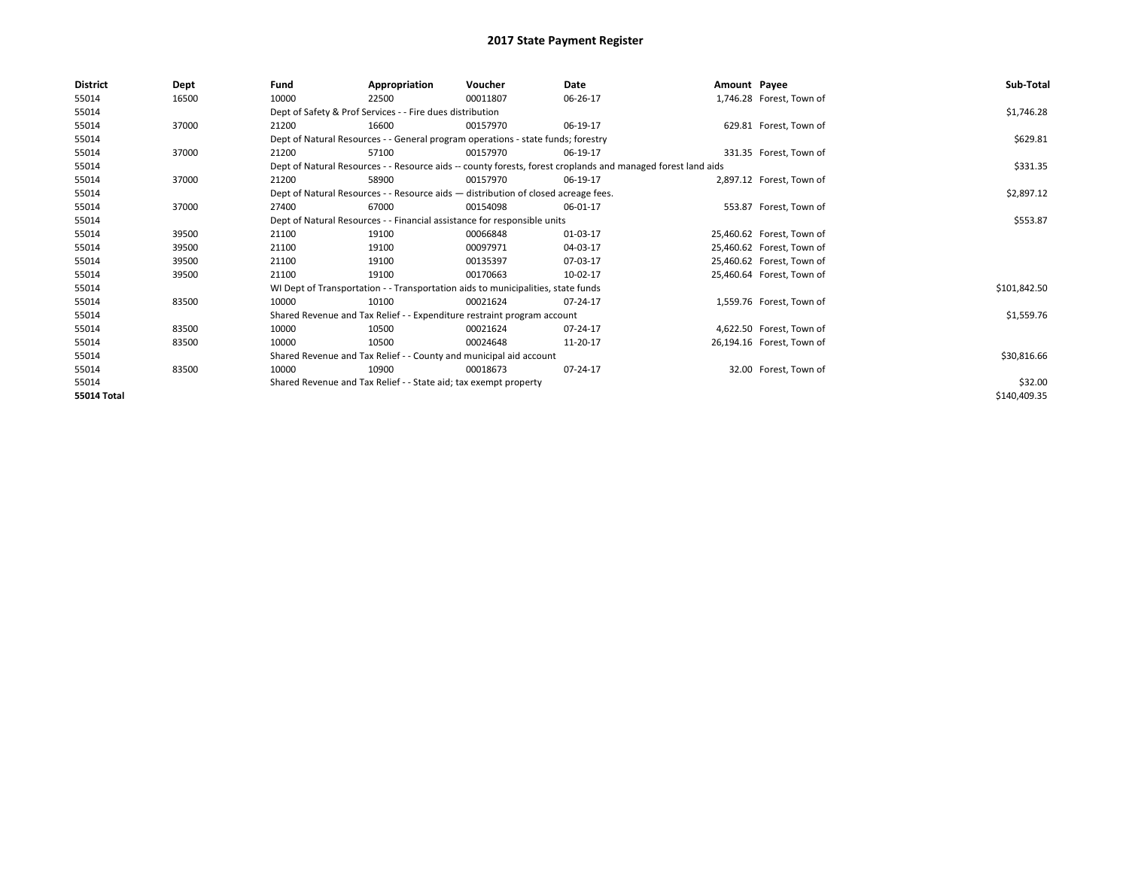| <b>District</b>    | Dept  | Fund                                                                             | Appropriation                                                                      | Voucher  | Date                                                                                                         | Amount Payee |                           | Sub-Total    |
|--------------------|-------|----------------------------------------------------------------------------------|------------------------------------------------------------------------------------|----------|--------------------------------------------------------------------------------------------------------------|--------------|---------------------------|--------------|
| 55014              | 16500 | 10000                                                                            | 22500                                                                              | 00011807 | 06-26-17                                                                                                     |              | 1,746.28 Forest, Town of  |              |
| 55014              |       |                                                                                  | Dept of Safety & Prof Services - - Fire dues distribution                          |          |                                                                                                              |              |                           | \$1,746.28   |
| 55014              | 37000 | 21200                                                                            | 16600                                                                              | 00157970 | 06-19-17                                                                                                     |              | 629.81 Forest, Town of    |              |
| 55014              |       | Dept of Natural Resources - - General program operations - state funds; forestry |                                                                                    | \$629.81 |                                                                                                              |              |                           |              |
| 55014              | 37000 | 21200                                                                            | 57100                                                                              | 00157970 | 06-19-17                                                                                                     |              | 331.35 Forest, Town of    |              |
| 55014              |       |                                                                                  |                                                                                    |          | Dept of Natural Resources - - Resource aids -- county forests, forest croplands and managed forest land aids |              |                           | \$331.35     |
| 55014              | 37000 | 21200                                                                            | 58900                                                                              | 00157970 | 06-19-17                                                                                                     |              | 2,897.12 Forest, Town of  |              |
| 55014              |       |                                                                                  | Dept of Natural Resources - - Resource aids - distribution of closed acreage fees. |          |                                                                                                              |              |                           | \$2,897.12   |
| 55014              | 37000 | 27400                                                                            | 67000                                                                              | 00154098 | 06-01-17                                                                                                     |              | 553.87 Forest, Town of    |              |
| 55014              |       |                                                                                  | Dept of Natural Resources - - Financial assistance for responsible units           |          |                                                                                                              |              |                           | \$553.87     |
| 55014              | 39500 | 21100                                                                            | 19100                                                                              | 00066848 | 01-03-17                                                                                                     |              | 25,460.62 Forest, Town of |              |
| 55014              | 39500 | 21100                                                                            | 19100                                                                              | 00097971 | 04-03-17                                                                                                     |              | 25,460.62 Forest, Town of |              |
| 55014              | 39500 | 21100                                                                            | 19100                                                                              | 00135397 | 07-03-17                                                                                                     |              | 25,460.62 Forest, Town of |              |
| 55014              | 39500 | 21100                                                                            | 19100                                                                              | 00170663 | 10-02-17                                                                                                     |              | 25,460.64 Forest, Town of |              |
| 55014              |       |                                                                                  | WI Dept of Transportation - - Transportation aids to municipalities, state funds   |          |                                                                                                              |              |                           | \$101,842.50 |
| 55014              | 83500 | 10000                                                                            | 10100                                                                              | 00021624 | 07-24-17                                                                                                     |              | 1,559.76 Forest, Town of  |              |
| 55014              |       |                                                                                  | Shared Revenue and Tax Relief - - Expenditure restraint program account            |          |                                                                                                              |              |                           | \$1,559.76   |
| 55014              | 83500 | 10000                                                                            | 10500                                                                              | 00021624 | 07-24-17                                                                                                     |              | 4,622.50 Forest, Town of  |              |
| 55014              | 83500 | 10000                                                                            | 10500                                                                              | 00024648 | 11-20-17                                                                                                     |              | 26,194.16 Forest, Town of |              |
| 55014              |       |                                                                                  | Shared Revenue and Tax Relief - - County and municipal aid account                 |          |                                                                                                              |              |                           | \$30,816.66  |
| 55014              | 83500 | 10000                                                                            | 10900                                                                              | 00018673 | 07-24-17                                                                                                     |              | 32.00 Forest, Town of     |              |
| 55014              |       |                                                                                  | Shared Revenue and Tax Relief - - State aid; tax exempt property                   |          |                                                                                                              |              |                           | \$32.00      |
| <b>55014 Total</b> |       |                                                                                  |                                                                                    |          |                                                                                                              |              |                           | \$140,409.35 |
|                    |       |                                                                                  |                                                                                    |          |                                                                                                              |              |                           |              |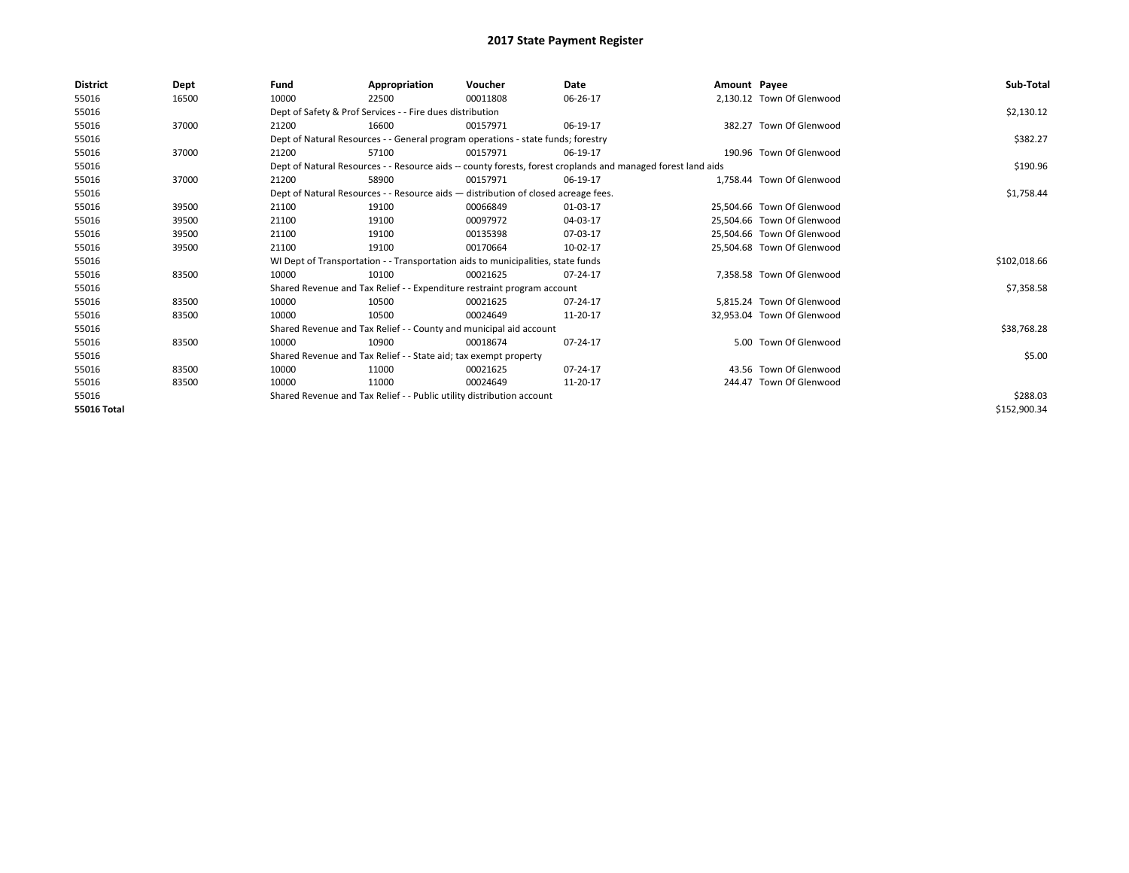| <b>District</b> | Dept  | Fund                                                                                                         | Appropriation                                                                      | Voucher  | Date     | Amount Payee |                            | Sub-Total    |  |
|-----------------|-------|--------------------------------------------------------------------------------------------------------------|------------------------------------------------------------------------------------|----------|----------|--------------|----------------------------|--------------|--|
| 55016           | 16500 | 10000                                                                                                        | 22500                                                                              | 00011808 | 06-26-17 |              | 2,130.12 Town Of Glenwood  |              |  |
| 55016           |       |                                                                                                              | Dept of Safety & Prof Services - - Fire dues distribution                          |          |          |              |                            | \$2,130.12   |  |
| 55016           | 37000 | 21200                                                                                                        | 16600                                                                              | 00157971 | 06-19-17 |              | 382.27 Town Of Glenwood    |              |  |
| 55016           |       |                                                                                                              | Dept of Natural Resources - - General program operations - state funds; forestry   |          |          |              |                            |              |  |
| 55016           | 37000 | 21200                                                                                                        | 57100                                                                              | 00157971 | 06-19-17 |              | 190.96 Town Of Glenwood    |              |  |
| 55016           |       | Dept of Natural Resources - - Resource aids -- county forests, forest croplands and managed forest land aids |                                                                                    | \$190.96 |          |              |                            |              |  |
| 55016           | 37000 | 21200                                                                                                        | 58900                                                                              | 00157971 | 06-19-17 |              | 1.758.44 Town Of Glenwood  |              |  |
| 55016           |       |                                                                                                              | Dept of Natural Resources - - Resource aids - distribution of closed acreage fees. |          |          |              |                            | \$1,758.44   |  |
| 55016           | 39500 | 21100                                                                                                        | 19100                                                                              | 00066849 | 01-03-17 |              | 25,504.66 Town Of Glenwood |              |  |
| 55016           | 39500 | 21100                                                                                                        | 19100                                                                              | 00097972 | 04-03-17 |              | 25,504.66 Town Of Glenwood |              |  |
| 55016           | 39500 | 21100                                                                                                        | 19100                                                                              | 00135398 | 07-03-17 |              | 25.504.66 Town Of Glenwood |              |  |
| 55016           | 39500 | 21100                                                                                                        | 19100                                                                              | 00170664 | 10-02-17 |              | 25,504.68 Town Of Glenwood |              |  |
| 55016           |       |                                                                                                              | WI Dept of Transportation - - Transportation aids to municipalities, state funds   |          |          |              |                            | \$102,018.66 |  |
| 55016           | 83500 | 10000                                                                                                        | 10100                                                                              | 00021625 | 07-24-17 |              | 7.358.58 Town Of Glenwood  |              |  |
| 55016           |       |                                                                                                              | Shared Revenue and Tax Relief - - Expenditure restraint program account            |          |          |              |                            | \$7,358.58   |  |
| 55016           | 83500 | 10000                                                                                                        | 10500                                                                              | 00021625 | 07-24-17 |              | 5,815.24 Town Of Glenwood  |              |  |
| 55016           | 83500 | 10000                                                                                                        | 10500                                                                              | 00024649 | 11-20-17 |              | 32,953.04 Town Of Glenwood |              |  |
| 55016           |       |                                                                                                              | Shared Revenue and Tax Relief - - County and municipal aid account                 |          |          |              |                            | \$38,768.28  |  |
| 55016           | 83500 | 10000                                                                                                        | 10900                                                                              | 00018674 | 07-24-17 |              | 5.00 Town Of Glenwood      |              |  |
| 55016           |       |                                                                                                              | Shared Revenue and Tax Relief - - State aid; tax exempt property                   |          |          |              |                            | \$5.00       |  |
| 55016           | 83500 | 10000                                                                                                        | 11000                                                                              | 00021625 | 07-24-17 |              | 43.56 Town Of Glenwood     |              |  |
| 55016           | 83500 | 10000                                                                                                        | 11000                                                                              | 00024649 | 11-20-17 |              | 244.47 Town Of Glenwood    |              |  |
| 55016           |       | Shared Revenue and Tax Relief - - Public utility distribution account                                        |                                                                                    |          |          |              |                            | \$288.03     |  |
| 55016 Total     |       |                                                                                                              |                                                                                    |          |          |              |                            | \$152,900.34 |  |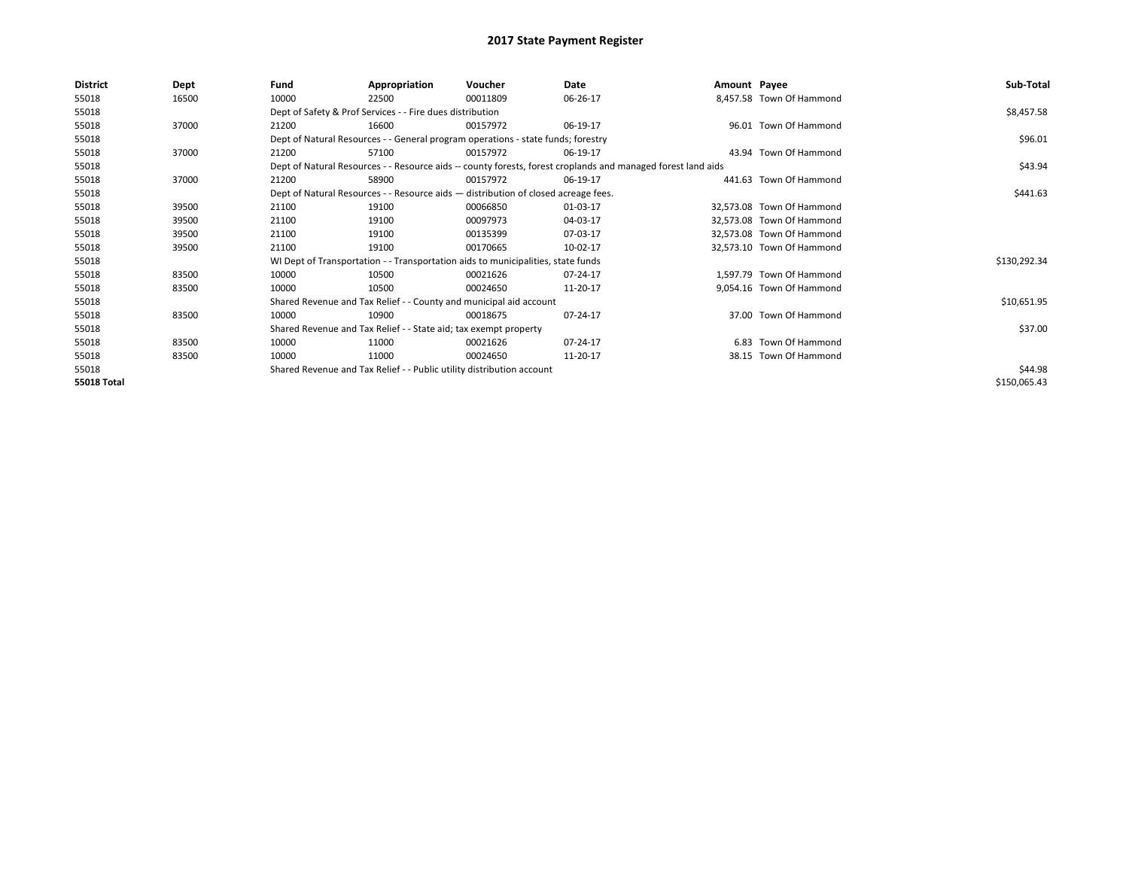| District           | Dept  | Fund                                                                                                         | Appropriation                                                                      | Voucher  | Date     | Amount Payee |                           | Sub-Total    |
|--------------------|-------|--------------------------------------------------------------------------------------------------------------|------------------------------------------------------------------------------------|----------|----------|--------------|---------------------------|--------------|
| 55018              | 16500 | 10000                                                                                                        | 22500                                                                              | 00011809 | 06-26-17 |              | 8,457.58 Town Of Hammond  |              |
| 55018              |       |                                                                                                              | Dept of Safety & Prof Services - - Fire dues distribution                          |          |          |              |                           | \$8,457.58   |
| 55018              | 37000 | 21200                                                                                                        | 16600                                                                              | 00157972 | 06-19-17 |              | 96.01 Town Of Hammond     |              |
| 55018              |       | Dept of Natural Resources - - General program operations - state funds; forestry                             |                                                                                    | \$96.01  |          |              |                           |              |
| 55018              | 37000 | 21200                                                                                                        | 57100                                                                              | 00157972 | 06-19-17 |              | 43.94 Town Of Hammond     |              |
| 55018              |       | Dept of Natural Resources - - Resource aids -- county forests, forest croplands and managed forest land aids |                                                                                    | \$43.94  |          |              |                           |              |
| 55018              | 37000 | 21200                                                                                                        | 58900                                                                              | 00157972 | 06-19-17 |              | 441.63 Town Of Hammond    |              |
| 55018              |       |                                                                                                              | Dept of Natural Resources - - Resource aids - distribution of closed acreage fees. |          |          |              |                           | \$441.63     |
| 55018              | 39500 | 21100                                                                                                        | 19100                                                                              | 00066850 | 01-03-17 |              | 32,573.08 Town Of Hammond |              |
| 55018              | 39500 | 21100                                                                                                        | 19100                                                                              | 00097973 | 04-03-17 |              | 32,573.08 Town Of Hammond |              |
| 55018              | 39500 | 21100                                                                                                        | 19100                                                                              | 00135399 | 07-03-17 |              | 32,573.08 Town Of Hammond |              |
| 55018              | 39500 | 21100                                                                                                        | 19100                                                                              | 00170665 | 10-02-17 |              | 32,573.10 Town Of Hammond |              |
| 55018              |       |                                                                                                              | WI Dept of Transportation - - Transportation aids to municipalities, state funds   |          |          |              |                           | \$130,292.34 |
| 55018              | 83500 | 10000                                                                                                        | 10500                                                                              | 00021626 | 07-24-17 |              | 1,597.79 Town Of Hammond  |              |
| 55018              | 83500 | 10000                                                                                                        | 10500                                                                              | 00024650 | 11-20-17 |              | 9,054.16 Town Of Hammond  |              |
| 55018              |       |                                                                                                              | Shared Revenue and Tax Relief - - County and municipal aid account                 |          |          |              |                           | \$10,651.95  |
| 55018              | 83500 | 10000                                                                                                        | 10900                                                                              | 00018675 | 07-24-17 |              | 37.00 Town Of Hammond     |              |
| 55018              |       |                                                                                                              | Shared Revenue and Tax Relief - - State aid; tax exempt property                   |          |          |              |                           | \$37.00      |
| 55018              | 83500 | 10000                                                                                                        | 11000                                                                              | 00021626 | 07-24-17 |              | 6.83 Town Of Hammond      |              |
| 55018              | 83500 | 10000                                                                                                        | 11000                                                                              | 00024650 | 11-20-17 |              | 38.15 Town Of Hammond     |              |
| 55018              |       |                                                                                                              | Shared Revenue and Tax Relief - - Public utility distribution account              |          |          |              |                           | \$44.98      |
| <b>55018 Total</b> |       |                                                                                                              |                                                                                    |          |          |              |                           | \$150,065.43 |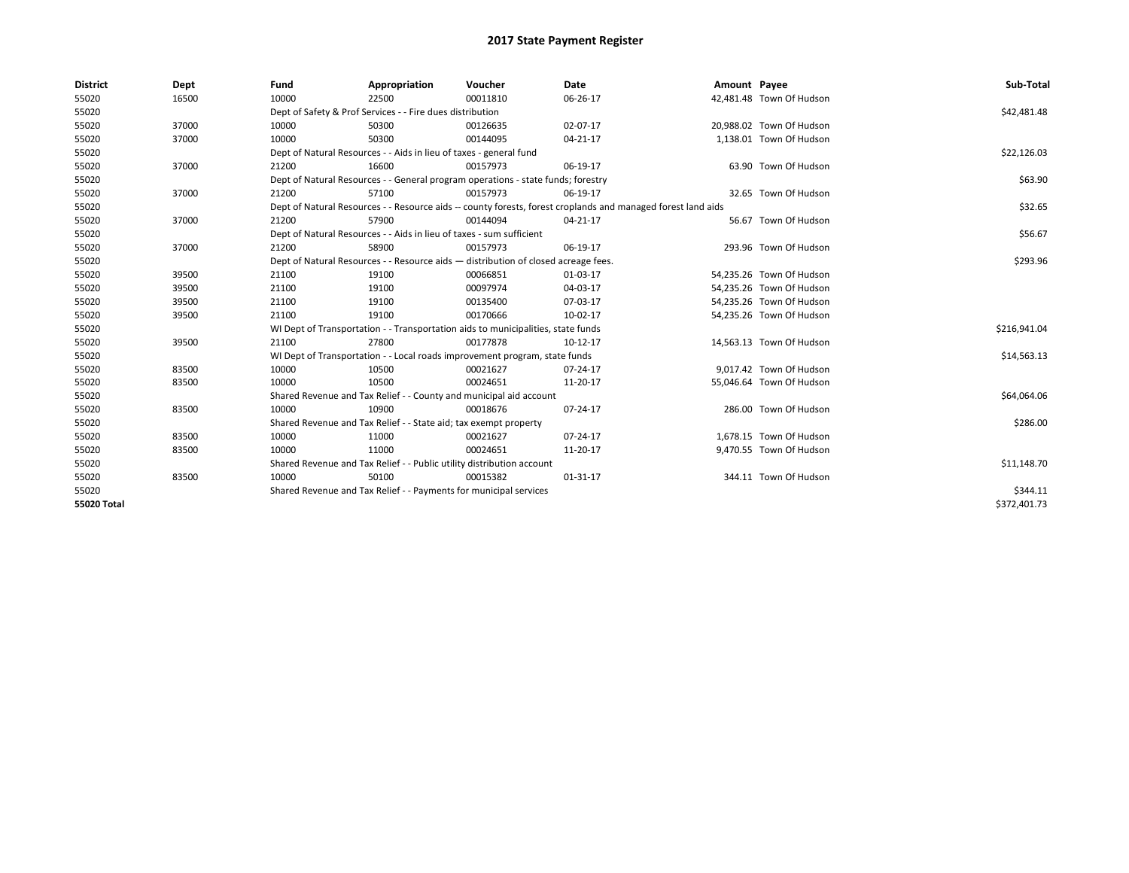| <b>District</b>    | Dept  | Fund  | Appropriation                                                                      | Voucher  | Date                                                                                                         | Amount Payee |                          | Sub-Total    |
|--------------------|-------|-------|------------------------------------------------------------------------------------|----------|--------------------------------------------------------------------------------------------------------------|--------------|--------------------------|--------------|
| 55020              | 16500 | 10000 | 22500                                                                              | 00011810 | 06-26-17                                                                                                     |              | 42,481.48 Town Of Hudson |              |
| 55020              |       |       | Dept of Safety & Prof Services - - Fire dues distribution                          |          |                                                                                                              |              |                          | \$42,481.48  |
| 55020              | 37000 | 10000 | 50300                                                                              | 00126635 | 02-07-17                                                                                                     |              | 20.988.02 Town Of Hudson |              |
| 55020              | 37000 | 10000 | 50300                                                                              | 00144095 | $04 - 21 - 17$                                                                                               |              | 1,138.01 Town Of Hudson  |              |
| 55020              |       |       | Dept of Natural Resources - - Aids in lieu of taxes - general fund                 |          |                                                                                                              |              |                          | \$22,126.03  |
| 55020              | 37000 | 21200 | 16600                                                                              | 00157973 | 06-19-17                                                                                                     |              | 63.90 Town Of Hudson     |              |
| 55020              |       |       | Dept of Natural Resources - - General program operations - state funds; forestry   |          |                                                                                                              |              |                          | \$63.90      |
| 55020              | 37000 | 21200 | 57100                                                                              | 00157973 | 06-19-17                                                                                                     |              | 32.65 Town Of Hudson     |              |
| 55020              |       |       |                                                                                    |          | Dept of Natural Resources - - Resource aids -- county forests, forest croplands and managed forest land aids |              |                          | \$32.65      |
| 55020              | 37000 | 21200 | 57900                                                                              | 00144094 | 04-21-17                                                                                                     |              | 56.67 Town Of Hudson     |              |
| 55020              |       |       | Dept of Natural Resources - - Aids in lieu of taxes - sum sufficient               |          |                                                                                                              |              |                          | \$56.67      |
| 55020              | 37000 | 21200 | 58900                                                                              | 00157973 | 06-19-17                                                                                                     |              | 293.96 Town Of Hudson    |              |
| 55020              |       |       | Dept of Natural Resources - - Resource aids - distribution of closed acreage fees. |          |                                                                                                              |              |                          | \$293.96     |
| 55020              | 39500 | 21100 | 19100                                                                              | 00066851 | 01-03-17                                                                                                     |              | 54,235.26 Town Of Hudson |              |
| 55020              | 39500 | 21100 | 19100                                                                              | 00097974 | 04-03-17                                                                                                     |              | 54,235.26 Town Of Hudson |              |
| 55020              | 39500 | 21100 | 19100                                                                              | 00135400 | 07-03-17                                                                                                     |              | 54,235.26 Town Of Hudson |              |
| 55020              | 39500 | 21100 | 19100                                                                              | 00170666 | 10-02-17                                                                                                     |              | 54,235.26 Town Of Hudson |              |
| 55020              |       |       | WI Dept of Transportation - - Transportation aids to municipalities, state funds   |          |                                                                                                              |              |                          | \$216,941.04 |
| 55020              | 39500 | 21100 | 27800                                                                              | 00177878 | 10-12-17                                                                                                     |              | 14,563.13 Town Of Hudson |              |
| 55020              |       |       | WI Dept of Transportation - - Local roads improvement program, state funds         |          |                                                                                                              |              |                          | \$14,563.13  |
| 55020              | 83500 | 10000 | 10500                                                                              | 00021627 | $07 - 24 - 17$                                                                                               |              | 9,017.42 Town Of Hudson  |              |
| 55020              | 83500 | 10000 | 10500                                                                              | 00024651 | 11-20-17                                                                                                     |              | 55,046.64 Town Of Hudson |              |
| 55020              |       |       | Shared Revenue and Tax Relief - - County and municipal aid account                 |          |                                                                                                              |              |                          | \$64,064.06  |
| 55020              | 83500 | 10000 | 10900                                                                              | 00018676 | 07-24-17                                                                                                     |              | 286.00 Town Of Hudson    |              |
| 55020              |       |       | Shared Revenue and Tax Relief - - State aid; tax exempt property                   |          |                                                                                                              |              |                          | \$286.00     |
| 55020              | 83500 | 10000 | 11000                                                                              | 00021627 | 07-24-17                                                                                                     |              | 1,678.15 Town Of Hudson  |              |
| 55020              | 83500 | 10000 | 11000                                                                              | 00024651 | 11-20-17                                                                                                     |              | 9,470.55 Town Of Hudson  |              |
| 55020              |       |       | Shared Revenue and Tax Relief - - Public utility distribution account              |          |                                                                                                              |              |                          | \$11,148.70  |
| 55020              | 83500 | 10000 | 50100                                                                              | 00015382 | $01 - 31 - 17$                                                                                               |              | 344.11 Town Of Hudson    |              |
| 55020              |       |       | Shared Revenue and Tax Relief - - Payments for municipal services                  |          |                                                                                                              |              |                          | \$344.11     |
| <b>55020 Total</b> |       |       |                                                                                    |          |                                                                                                              |              |                          | \$372,401.73 |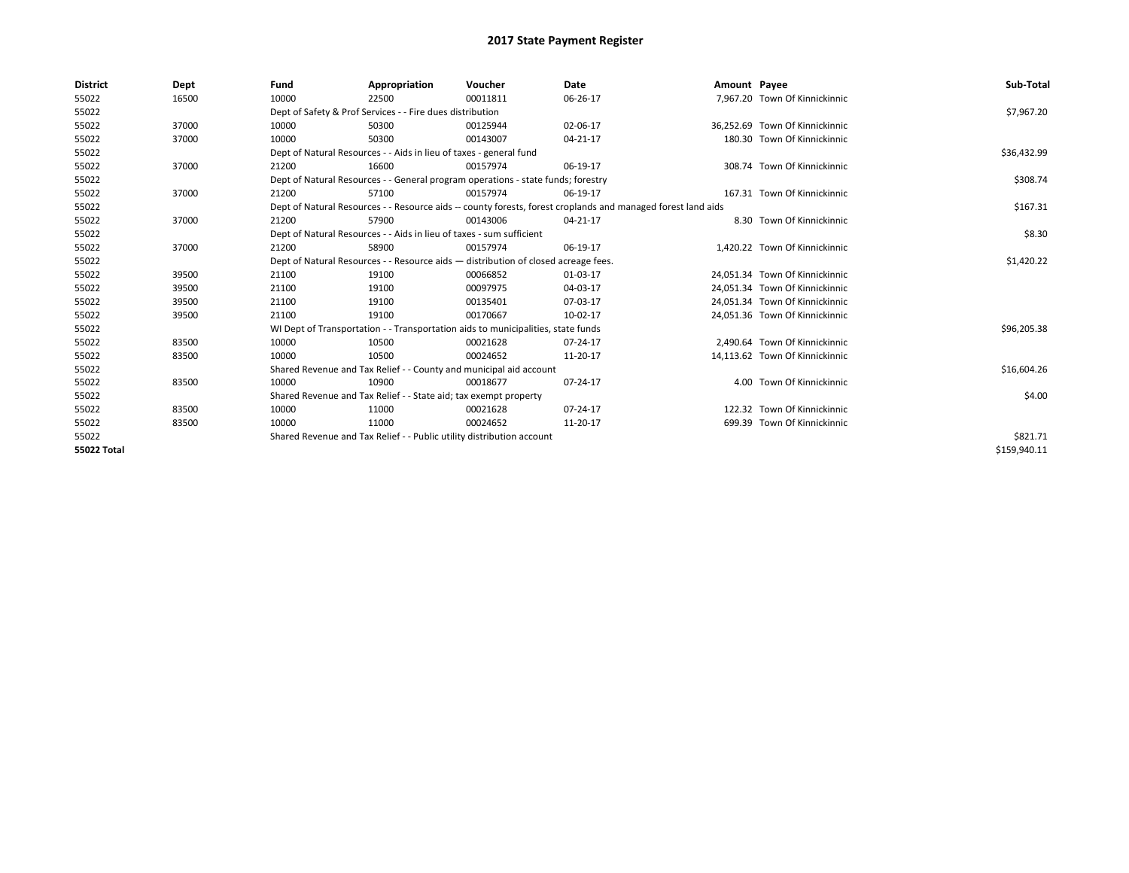| <b>District</b>    | Dept  | Fund  | Appropriation                                                                                                | Voucher  | Date     | Amount Payee |                                | Sub-Total    |  |  |
|--------------------|-------|-------|--------------------------------------------------------------------------------------------------------------|----------|----------|--------------|--------------------------------|--------------|--|--|
| 55022              | 16500 | 10000 | 22500                                                                                                        | 00011811 | 06-26-17 |              | 7,967.20 Town Of Kinnickinnic  |              |  |  |
| 55022              |       |       | Dept of Safety & Prof Services - - Fire dues distribution                                                    |          |          |              |                                | \$7,967.20   |  |  |
| 55022              | 37000 | 10000 | 50300                                                                                                        | 00125944 | 02-06-17 |              | 36.252.69 Town Of Kinnickinnic |              |  |  |
| 55022              | 37000 | 10000 | 50300                                                                                                        | 00143007 | 04-21-17 |              | 180.30 Town Of Kinnickinnic    |              |  |  |
| 55022              |       |       | Dept of Natural Resources - - Aids in lieu of taxes - general fund                                           |          |          |              |                                |              |  |  |
| 55022              | 37000 | 21200 | 16600                                                                                                        | 00157974 | 06-19-17 |              | 308.74 Town Of Kinnickinnic    |              |  |  |
| 55022              |       |       | Dept of Natural Resources - - General program operations - state funds; forestry                             |          |          |              |                                |              |  |  |
| 55022              | 37000 | 21200 | 57100                                                                                                        | 00157974 | 06-19-17 |              | 167.31 Town Of Kinnickinnic    |              |  |  |
| 55022              |       |       | Dept of Natural Resources - - Resource aids -- county forests, forest croplands and managed forest land aids |          |          |              |                                | \$167.31     |  |  |
| 55022              | 37000 | 21200 | 57900                                                                                                        | 00143006 | 04-21-17 |              | 8.30 Town Of Kinnickinnic      |              |  |  |
| 55022              |       |       | Dept of Natural Resources - - Aids in lieu of taxes - sum sufficient                                         |          |          |              |                                | \$8.30       |  |  |
| 55022              | 37000 | 21200 | 58900                                                                                                        | 00157974 | 06-19-17 |              | 1,420.22 Town Of Kinnickinnic  |              |  |  |
| 55022              |       |       | Dept of Natural Resources - - Resource aids - distribution of closed acreage fees.                           |          |          |              |                                |              |  |  |
| 55022              | 39500 | 21100 | 19100                                                                                                        | 00066852 | 01-03-17 |              | 24,051.34 Town Of Kinnickinnic |              |  |  |
| 55022              | 39500 | 21100 | 19100                                                                                                        | 00097975 | 04-03-17 |              | 24,051.34 Town Of Kinnickinnic |              |  |  |
| 55022              | 39500 | 21100 | 19100                                                                                                        | 00135401 | 07-03-17 |              | 24.051.34 Town Of Kinnickinnic |              |  |  |
| 55022              | 39500 | 21100 | 19100                                                                                                        | 00170667 | 10-02-17 |              | 24,051.36 Town Of Kinnickinnic |              |  |  |
| 55022              |       |       | WI Dept of Transportation - - Transportation aids to municipalities, state funds                             |          |          |              |                                | \$96,205.38  |  |  |
| 55022              | 83500 | 10000 | 10500                                                                                                        | 00021628 | 07-24-17 |              | 2,490.64 Town Of Kinnickinnic  |              |  |  |
| 55022              | 83500 | 10000 | 10500                                                                                                        | 00024652 | 11-20-17 |              | 14,113.62 Town Of Kinnickinnic |              |  |  |
| 55022              |       |       | Shared Revenue and Tax Relief - - County and municipal aid account                                           |          |          |              |                                | \$16,604.26  |  |  |
| 55022              | 83500 | 10000 | 10900                                                                                                        | 00018677 | 07-24-17 |              | 4.00 Town Of Kinnickinnic      |              |  |  |
| 55022              |       |       | Shared Revenue and Tax Relief - - State aid; tax exempt property                                             |          |          |              |                                | \$4.00       |  |  |
| 55022              | 83500 | 10000 | 11000                                                                                                        | 00021628 | 07-24-17 |              | 122.32 Town Of Kinnickinnic    |              |  |  |
| 55022              | 83500 | 10000 | 11000                                                                                                        | 00024652 | 11-20-17 |              | 699.39 Town Of Kinnickinnic    |              |  |  |
| 55022              |       |       | Shared Revenue and Tax Relief - - Public utility distribution account                                        |          |          |              |                                |              |  |  |
| <b>55022 Total</b> |       |       |                                                                                                              |          |          |              |                                | \$159,940.11 |  |  |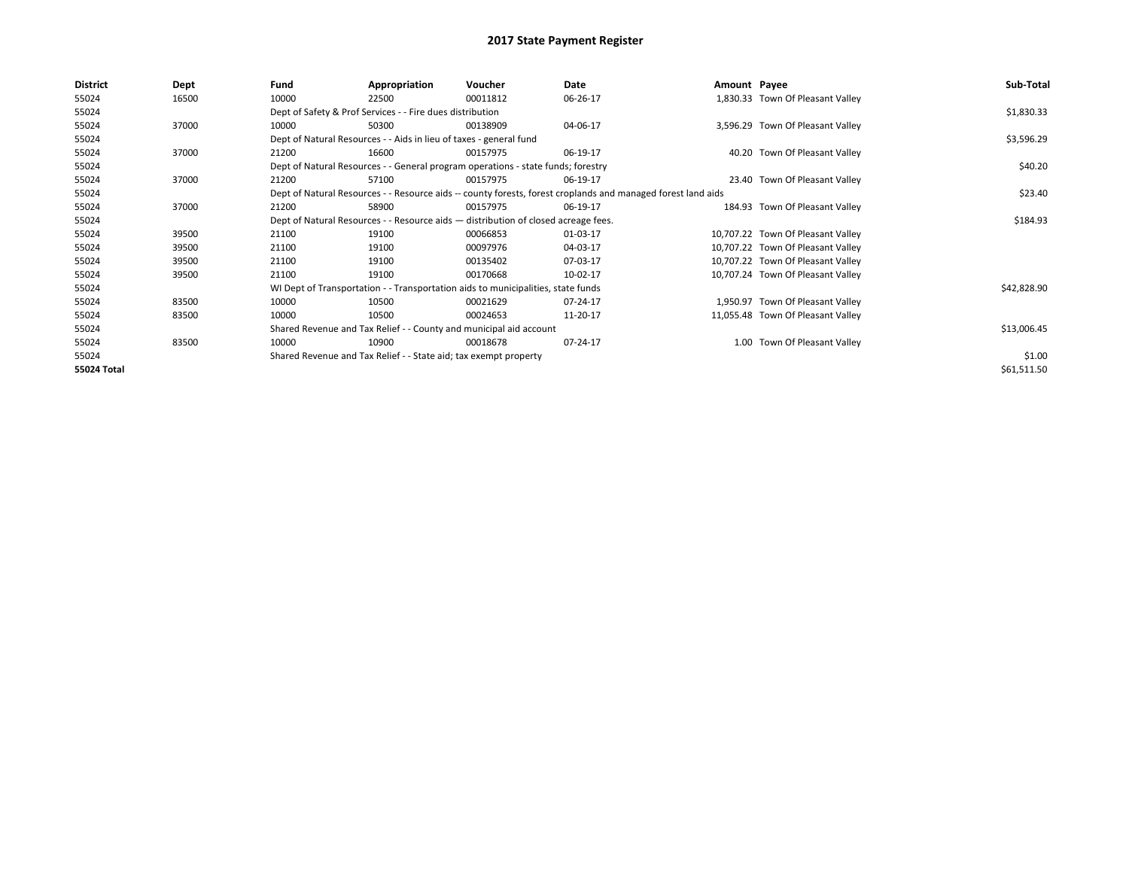| <b>District</b> | Dept  | Fund  | Appropriation                                                                      | Voucher  | Date                                                                                                         | Amount Payee |                                   | Sub-Total   |
|-----------------|-------|-------|------------------------------------------------------------------------------------|----------|--------------------------------------------------------------------------------------------------------------|--------------|-----------------------------------|-------------|
| 55024           | 16500 | 10000 | 22500                                                                              | 00011812 | 06-26-17                                                                                                     |              | 1,830.33 Town Of Pleasant Valley  |             |
| 55024           |       |       | Dept of Safety & Prof Services - - Fire dues distribution                          |          |                                                                                                              |              |                                   | \$1,830.33  |
| 55024           | 37000 | 10000 | 50300                                                                              | 00138909 | 04-06-17                                                                                                     |              | 3,596.29 Town Of Pleasant Valley  |             |
| 55024           |       |       | Dept of Natural Resources - - Aids in lieu of taxes - general fund                 |          |                                                                                                              |              |                                   | \$3,596.29  |
| 55024           | 37000 | 21200 | 16600                                                                              | 00157975 | 06-19-17                                                                                                     |              | 40.20 Town Of Pleasant Valley     |             |
| 55024           |       |       | Dept of Natural Resources - - General program operations - state funds; forestry   |          |                                                                                                              |              |                                   | \$40.20     |
| 55024           | 37000 | 21200 | 57100                                                                              | 00157975 | 06-19-17                                                                                                     |              | 23.40 Town Of Pleasant Valley     |             |
| 55024           |       |       |                                                                                    |          | Dept of Natural Resources - - Resource aids -- county forests, forest croplands and managed forest land aids |              |                                   | \$23.40     |
| 55024           | 37000 | 21200 | 58900                                                                              | 00157975 | 06-19-17                                                                                                     |              | 184.93 Town Of Pleasant Valley    |             |
| 55024           |       |       | Dept of Natural Resources - - Resource aids - distribution of closed acreage fees. |          |                                                                                                              |              |                                   | \$184.93    |
| 55024           | 39500 | 21100 | 19100                                                                              | 00066853 | 01-03-17                                                                                                     |              | 10,707.22 Town Of Pleasant Valley |             |
| 55024           | 39500 | 21100 | 19100                                                                              | 00097976 | 04-03-17                                                                                                     |              | 10,707.22 Town Of Pleasant Valley |             |
| 55024           | 39500 | 21100 | 19100                                                                              | 00135402 | 07-03-17                                                                                                     |              | 10,707.22 Town Of Pleasant Valley |             |
| 55024           | 39500 | 21100 | 19100                                                                              | 00170668 | 10-02-17                                                                                                     |              | 10,707.24 Town Of Pleasant Valley |             |
| 55024           |       |       | WI Dept of Transportation - - Transportation aids to municipalities, state funds   |          |                                                                                                              |              |                                   | \$42,828.90 |
| 55024           | 83500 | 10000 | 10500                                                                              | 00021629 | 07-24-17                                                                                                     |              | 1,950.97 Town Of Pleasant Valley  |             |
| 55024           | 83500 | 10000 | 10500                                                                              | 00024653 | 11-20-17                                                                                                     |              | 11,055.48 Town Of Pleasant Valley |             |
| 55024           |       |       | Shared Revenue and Tax Relief - - County and municipal aid account                 |          |                                                                                                              |              |                                   | \$13,006.45 |
| 55024           | 83500 | 10000 | 10900                                                                              | 00018678 | 07-24-17                                                                                                     |              | 1.00 Town Of Pleasant Valley      |             |
| 55024           |       |       | Shared Revenue and Tax Relief - - State aid; tax exempt property                   |          |                                                                                                              |              |                                   | \$1.00      |
| 55024 Total     |       |       |                                                                                    |          |                                                                                                              |              |                                   | \$61,511.50 |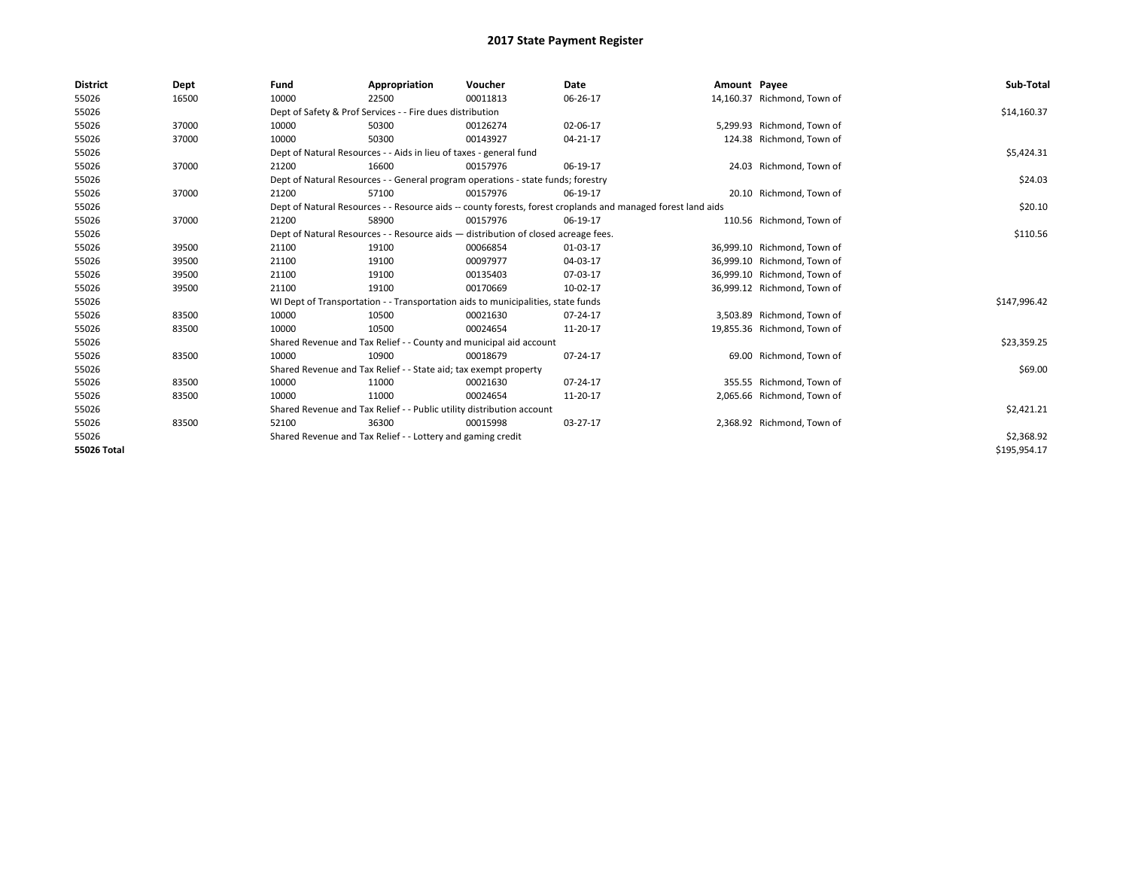| <b>District</b> | Dept  | Fund                                                                             | Appropriation                                                                      | Voucher    | Date                                                                                                         | Amount Payee |                             | Sub-Total    |
|-----------------|-------|----------------------------------------------------------------------------------|------------------------------------------------------------------------------------|------------|--------------------------------------------------------------------------------------------------------------|--------------|-----------------------------|--------------|
| 55026           | 16500 | 10000                                                                            | 22500                                                                              | 00011813   | 06-26-17                                                                                                     |              | 14,160.37 Richmond, Town of |              |
| 55026           |       |                                                                                  | Dept of Safety & Prof Services - - Fire dues distribution                          |            |                                                                                                              |              |                             | \$14,160.37  |
| 55026           | 37000 | 10000                                                                            | 50300                                                                              | 00126274   | 02-06-17                                                                                                     |              | 5,299.93 Richmond, Town of  |              |
| 55026           | 37000 | 10000                                                                            | 50300                                                                              | 00143927   | 04-21-17                                                                                                     |              | 124.38 Richmond, Town of    |              |
| 55026           |       |                                                                                  | Dept of Natural Resources - - Aids in lieu of taxes - general fund                 |            |                                                                                                              |              |                             | \$5,424.31   |
| 55026           | 37000 | 21200                                                                            | 16600                                                                              | 00157976   | 06-19-17                                                                                                     |              | 24.03 Richmond, Town of     |              |
| 55026           |       | Dept of Natural Resources - - General program operations - state funds; forestry |                                                                                    | \$24.03    |                                                                                                              |              |                             |              |
| 55026           | 37000 | 21200                                                                            | 57100                                                                              | 00157976   | 06-19-17                                                                                                     |              | 20.10 Richmond, Town of     |              |
| 55026           |       |                                                                                  |                                                                                    |            | Dept of Natural Resources - - Resource aids -- county forests, forest croplands and managed forest land aids |              |                             | \$20.10      |
| 55026           | 37000 | 21200                                                                            | 58900                                                                              | 00157976   | 06-19-17                                                                                                     |              | 110.56 Richmond, Town of    |              |
| 55026           |       |                                                                                  | Dept of Natural Resources - - Resource aids - distribution of closed acreage fees. |            |                                                                                                              |              |                             | \$110.56     |
| 55026           | 39500 | 21100                                                                            | 19100                                                                              | 00066854   | 01-03-17                                                                                                     |              | 36,999.10 Richmond, Town of |              |
| 55026           | 39500 | 21100                                                                            | 19100                                                                              | 00097977   | 04-03-17                                                                                                     |              | 36,999.10 Richmond, Town of |              |
| 55026           | 39500 | 21100                                                                            | 19100                                                                              | 00135403   | 07-03-17                                                                                                     |              | 36,999.10 Richmond, Town of |              |
| 55026           | 39500 | 21100                                                                            | 19100                                                                              | 00170669   | 10-02-17                                                                                                     |              | 36,999.12 Richmond, Town of |              |
| 55026           |       |                                                                                  | WI Dept of Transportation - - Transportation aids to municipalities, state funds   |            |                                                                                                              |              |                             | \$147,996.42 |
| 55026           | 83500 | 10000                                                                            | 10500                                                                              | 00021630   | 07-24-17                                                                                                     |              | 3,503.89 Richmond, Town of  |              |
| 55026           | 83500 | 10000                                                                            | 10500                                                                              | 00024654   | 11-20-17                                                                                                     |              | 19,855.36 Richmond, Town of |              |
| 55026           |       |                                                                                  | Shared Revenue and Tax Relief - - County and municipal aid account                 |            |                                                                                                              |              |                             | \$23,359.25  |
| 55026           | 83500 | 10000                                                                            | 10900                                                                              | 00018679   | 07-24-17                                                                                                     |              | 69.00 Richmond, Town of     |              |
| 55026           |       |                                                                                  | Shared Revenue and Tax Relief - - State aid; tax exempt property                   |            |                                                                                                              |              |                             | \$69.00      |
| 55026           | 83500 | 10000                                                                            | 11000                                                                              | 00021630   | 07-24-17                                                                                                     |              | 355.55 Richmond, Town of    |              |
| 55026           | 83500 | 10000                                                                            | 11000                                                                              | 00024654   | 11-20-17                                                                                                     |              | 2,065.66 Richmond, Town of  |              |
| 55026           |       |                                                                                  | Shared Revenue and Tax Relief - - Public utility distribution account              |            |                                                                                                              |              |                             | \$2,421.21   |
| 55026           | 83500 | 52100                                                                            | 36300                                                                              | 00015998   | 03-27-17                                                                                                     |              | 2,368.92 Richmond, Town of  |              |
| 55026           |       | Shared Revenue and Tax Relief - - Lottery and gaming credit                      |                                                                                    | \$2,368.92 |                                                                                                              |              |                             |              |
| 55026 Total     |       |                                                                                  |                                                                                    |            |                                                                                                              |              |                             | \$195,954.17 |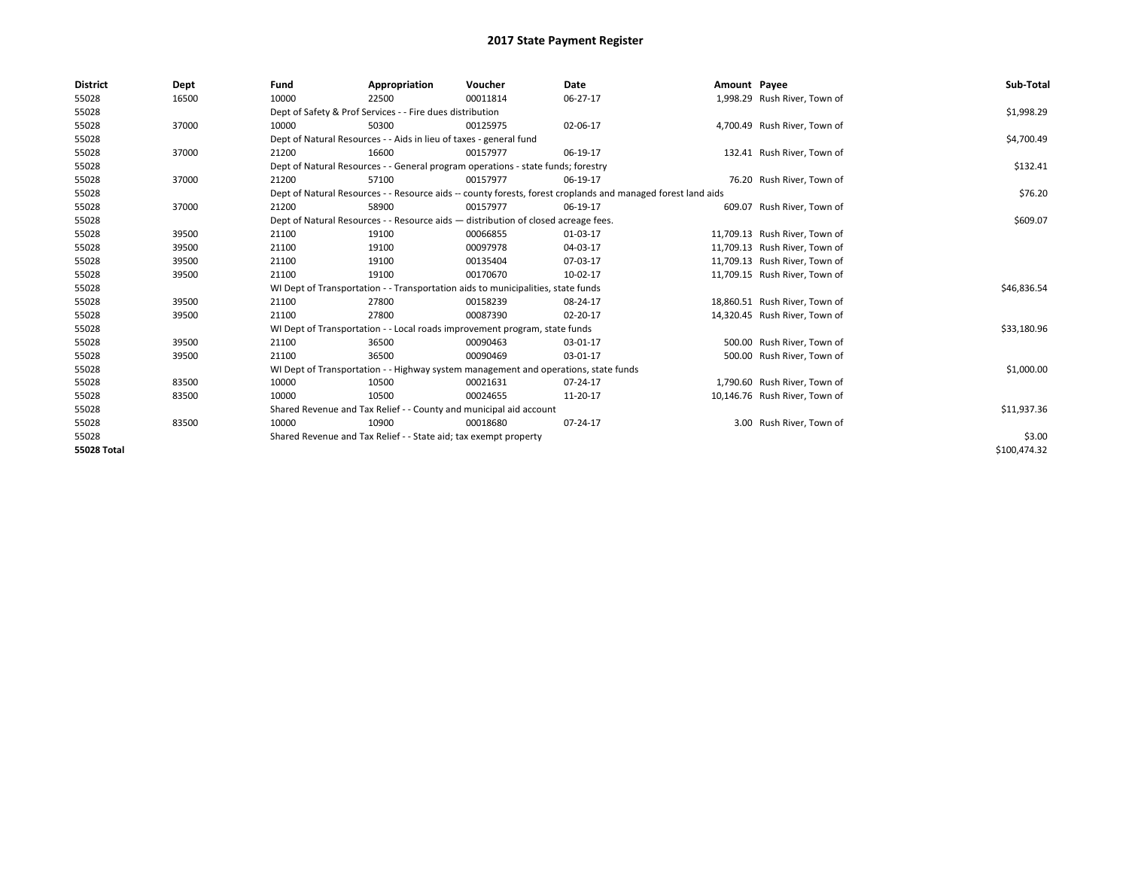| <b>District</b> | Dept  | Fund                                                                             | Appropriation                                                                                                | Voucher  | Date     | Amount Payee |                               | Sub-Total    |  |
|-----------------|-------|----------------------------------------------------------------------------------|--------------------------------------------------------------------------------------------------------------|----------|----------|--------------|-------------------------------|--------------|--|
| 55028           | 16500 | 10000                                                                            | 22500                                                                                                        | 00011814 | 06-27-17 |              | 1,998.29 Rush River, Town of  |              |  |
| 55028           |       |                                                                                  | Dept of Safety & Prof Services - - Fire dues distribution                                                    |          |          |              |                               | \$1,998.29   |  |
| 55028           | 37000 | 10000                                                                            | 50300                                                                                                        | 00125975 | 02-06-17 |              | 4,700.49 Rush River, Town of  |              |  |
| 55028           |       |                                                                                  | Dept of Natural Resources - - Aids in lieu of taxes - general fund                                           |          |          |              |                               | \$4,700.49   |  |
| 55028           | 37000 | 21200                                                                            | 16600                                                                                                        | 00157977 | 06-19-17 |              | 132.41 Rush River, Town of    |              |  |
| 55028           |       | Dept of Natural Resources - - General program operations - state funds; forestry |                                                                                                              | \$132.41 |          |              |                               |              |  |
| 55028           | 37000 | 21200                                                                            | 57100                                                                                                        | 00157977 | 06-19-17 |              | 76.20 Rush River, Town of     |              |  |
| 55028           |       |                                                                                  | Dept of Natural Resources - - Resource aids -- county forests, forest croplands and managed forest land aids |          |          |              |                               |              |  |
| 55028           | 37000 | 21200                                                                            | 58900                                                                                                        | 00157977 | 06-19-17 |              | 609.07 Rush River, Town of    |              |  |
| 55028           |       |                                                                                  | Dept of Natural Resources - - Resource aids - distribution of closed acreage fees.                           |          |          |              |                               | \$609.07     |  |
| 55028           | 39500 | 21100                                                                            | 19100                                                                                                        | 00066855 | 01-03-17 |              | 11,709.13 Rush River, Town of |              |  |
| 55028           | 39500 | 21100                                                                            | 19100                                                                                                        | 00097978 | 04-03-17 |              | 11,709.13 Rush River, Town of |              |  |
| 55028           | 39500 | 21100                                                                            | 19100                                                                                                        | 00135404 | 07-03-17 |              | 11,709.13 Rush River, Town of |              |  |
| 55028           | 39500 | 21100                                                                            | 19100                                                                                                        | 00170670 | 10-02-17 |              | 11,709.15 Rush River, Town of |              |  |
| 55028           |       |                                                                                  | WI Dept of Transportation - - Transportation aids to municipalities, state funds                             |          |          |              |                               | \$46,836.54  |  |
| 55028           | 39500 | 21100                                                                            | 27800                                                                                                        | 00158239 | 08-24-17 |              | 18,860.51 Rush River, Town of |              |  |
| 55028           | 39500 | 21100                                                                            | 27800                                                                                                        | 00087390 | 02-20-17 |              | 14,320.45 Rush River, Town of |              |  |
| 55028           |       |                                                                                  | WI Dept of Transportation - - Local roads improvement program, state funds                                   |          |          |              |                               | \$33,180.96  |  |
| 55028           | 39500 | 21100                                                                            | 36500                                                                                                        | 00090463 | 03-01-17 |              | 500.00 Rush River, Town of    |              |  |
| 55028           | 39500 | 21100                                                                            | 36500                                                                                                        | 00090469 | 03-01-17 |              | 500.00 Rush River, Town of    |              |  |
| 55028           |       |                                                                                  | WI Dept of Transportation - - Highway system management and operations, state funds                          |          |          |              |                               | \$1,000.00   |  |
| 55028           | 83500 | 10000                                                                            | 10500                                                                                                        | 00021631 | 07-24-17 |              | 1,790.60 Rush River, Town of  |              |  |
| 55028           | 83500 | 10000                                                                            | 10500                                                                                                        | 00024655 | 11-20-17 |              | 10,146.76 Rush River, Town of |              |  |
| 55028           |       |                                                                                  | Shared Revenue and Tax Relief - - County and municipal aid account                                           |          |          |              |                               | \$11,937.36  |  |
| 55028           | 83500 | 10000                                                                            | 10900                                                                                                        | 00018680 | 07-24-17 |              | 3.00 Rush River, Town of      |              |  |
| 55028           |       |                                                                                  | Shared Revenue and Tax Relief - - State aid; tax exempt property                                             |          |          |              |                               | \$3.00       |  |
| 55028 Total     |       |                                                                                  |                                                                                                              |          |          |              |                               | \$100,474.32 |  |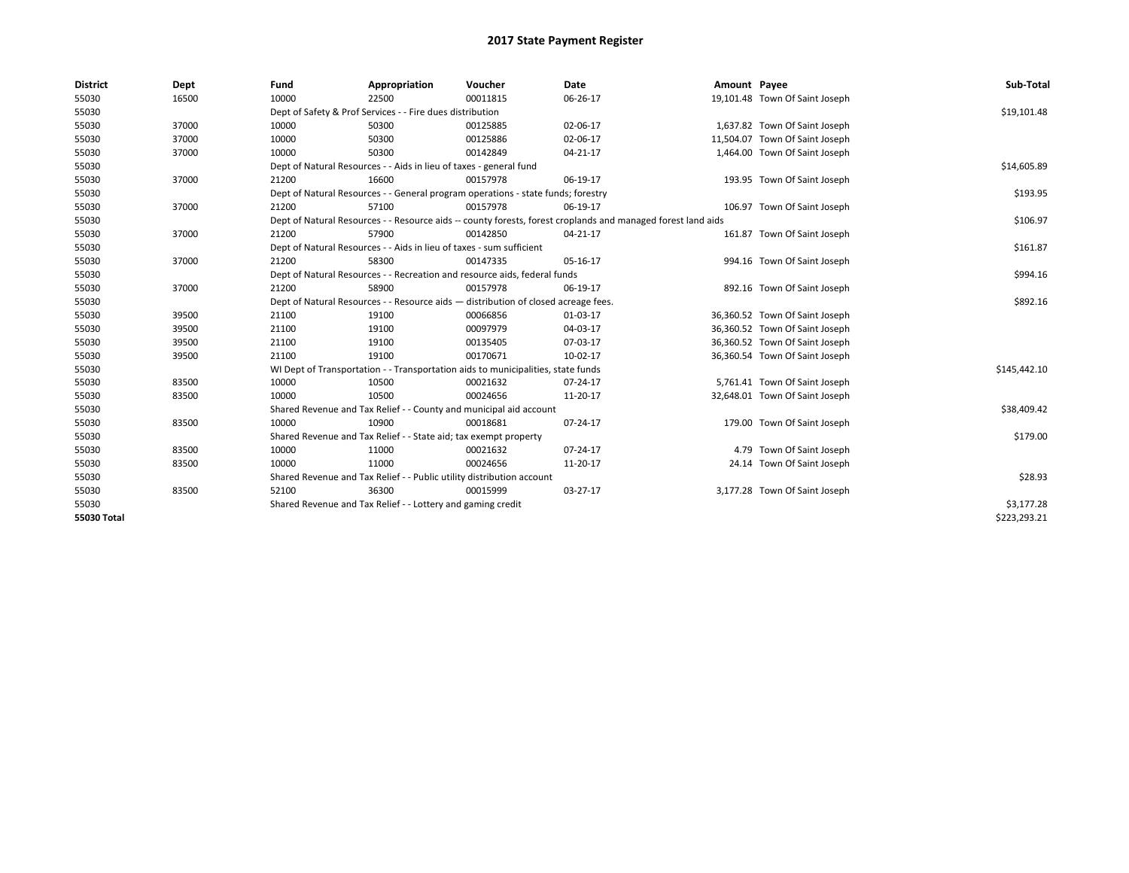| <b>District</b> | Dept  | Fund  | Appropriation                                                                                                | Voucher  | <b>Date</b> | Amount Payee |                                | Sub-Total    |  |  |
|-----------------|-------|-------|--------------------------------------------------------------------------------------------------------------|----------|-------------|--------------|--------------------------------|--------------|--|--|
| 55030           | 16500 | 10000 | 22500                                                                                                        | 00011815 | 06-26-17    |              | 19,101.48 Town Of Saint Joseph |              |  |  |
| 55030           |       |       | Dept of Safety & Prof Services - - Fire dues distribution                                                    |          |             |              |                                | \$19,101.48  |  |  |
| 55030           | 37000 | 10000 | 50300                                                                                                        | 00125885 | 02-06-17    |              | 1,637.82 Town Of Saint Joseph  |              |  |  |
| 55030           | 37000 | 10000 | 50300                                                                                                        | 00125886 | 02-06-17    |              | 11,504.07 Town Of Saint Joseph |              |  |  |
| 55030           | 37000 | 10000 | 50300                                                                                                        | 00142849 | 04-21-17    |              | 1,464.00 Town Of Saint Joseph  |              |  |  |
| 55030           |       |       | Dept of Natural Resources - - Aids in lieu of taxes - general fund                                           |          | \$14,605.89 |              |                                |              |  |  |
| 55030           | 37000 | 21200 | 16600                                                                                                        | 00157978 | 06-19-17    |              | 193.95 Town Of Saint Joseph    |              |  |  |
| 55030           |       |       | Dept of Natural Resources - - General program operations - state funds; forestry                             |          |             |              |                                |              |  |  |
| 55030           | 37000 | 21200 | 57100                                                                                                        | 00157978 | 06-19-17    |              | 106.97 Town Of Saint Joseph    |              |  |  |
| 55030           |       |       | Dept of Natural Resources - - Resource aids -- county forests, forest croplands and managed forest land aids |          | \$106.97    |              |                                |              |  |  |
| 55030           | 37000 | 21200 | 57900                                                                                                        | 00142850 | 04-21-17    |              | 161.87 Town Of Saint Joseph    |              |  |  |
| 55030           |       |       | Dept of Natural Resources - - Aids in lieu of taxes - sum sufficient                                         |          |             |              |                                | \$161.87     |  |  |
| 55030           | 37000 | 21200 | 58300                                                                                                        | 00147335 | 05-16-17    |              | 994.16 Town Of Saint Joseph    |              |  |  |
| 55030           |       |       | Dept of Natural Resources - - Recreation and resource aids, federal funds                                    |          |             |              |                                |              |  |  |
| 55030           | 37000 | 21200 | 58900                                                                                                        | 00157978 | 06-19-17    |              | 892.16 Town Of Saint Joseph    |              |  |  |
| 55030           |       |       | Dept of Natural Resources - - Resource aids - distribution of closed acreage fees.                           |          |             |              |                                | \$892.16     |  |  |
| 55030           | 39500 | 21100 | 19100                                                                                                        | 00066856 | 01-03-17    |              | 36,360.52 Town Of Saint Joseph |              |  |  |
| 55030           | 39500 | 21100 | 19100                                                                                                        | 00097979 | 04-03-17    |              | 36,360.52 Town Of Saint Joseph |              |  |  |
| 55030           | 39500 | 21100 | 19100                                                                                                        | 00135405 | 07-03-17    |              | 36,360.52 Town Of Saint Joseph |              |  |  |
| 55030           | 39500 | 21100 | 19100                                                                                                        | 00170671 | 10-02-17    |              | 36,360.54 Town Of Saint Joseph |              |  |  |
| 55030           |       |       | WI Dept of Transportation - - Transportation aids to municipalities, state funds                             |          |             |              |                                | \$145,442.10 |  |  |
| 55030           | 83500 | 10000 | 10500                                                                                                        | 00021632 | 07-24-17    |              | 5,761.41 Town Of Saint Joseph  |              |  |  |
| 55030           | 83500 | 10000 | 10500                                                                                                        | 00024656 | 11-20-17    |              | 32,648.01 Town Of Saint Joseph |              |  |  |
| 55030           |       |       | Shared Revenue and Tax Relief - - County and municipal aid account                                           |          |             |              |                                | \$38,409.42  |  |  |
| 55030           | 83500 | 10000 | 10900                                                                                                        | 00018681 | 07-24-17    |              | 179.00 Town Of Saint Joseph    |              |  |  |
| 55030           |       |       | Shared Revenue and Tax Relief - - State aid; tax exempt property                                             |          |             |              |                                | \$179.00     |  |  |
| 55030           | 83500 | 10000 | 11000                                                                                                        | 00021632 | 07-24-17    |              | 4.79 Town Of Saint Joseph      |              |  |  |
| 55030           | 83500 | 10000 | 11000                                                                                                        | 00024656 | 11-20-17    |              | 24.14 Town Of Saint Joseph     |              |  |  |
| 55030           |       |       | Shared Revenue and Tax Relief - - Public utility distribution account                                        |          |             |              |                                | \$28.93      |  |  |
| 55030           | 83500 | 52100 | 36300                                                                                                        | 00015999 | 03-27-17    |              | 3,177.28 Town Of Saint Joseph  |              |  |  |
| 55030           |       |       | Shared Revenue and Tax Relief - - Lottery and gaming credit                                                  |          |             |              |                                | \$3,177.28   |  |  |
| 55030 Total     |       |       |                                                                                                              |          |             |              |                                | \$223,293.21 |  |  |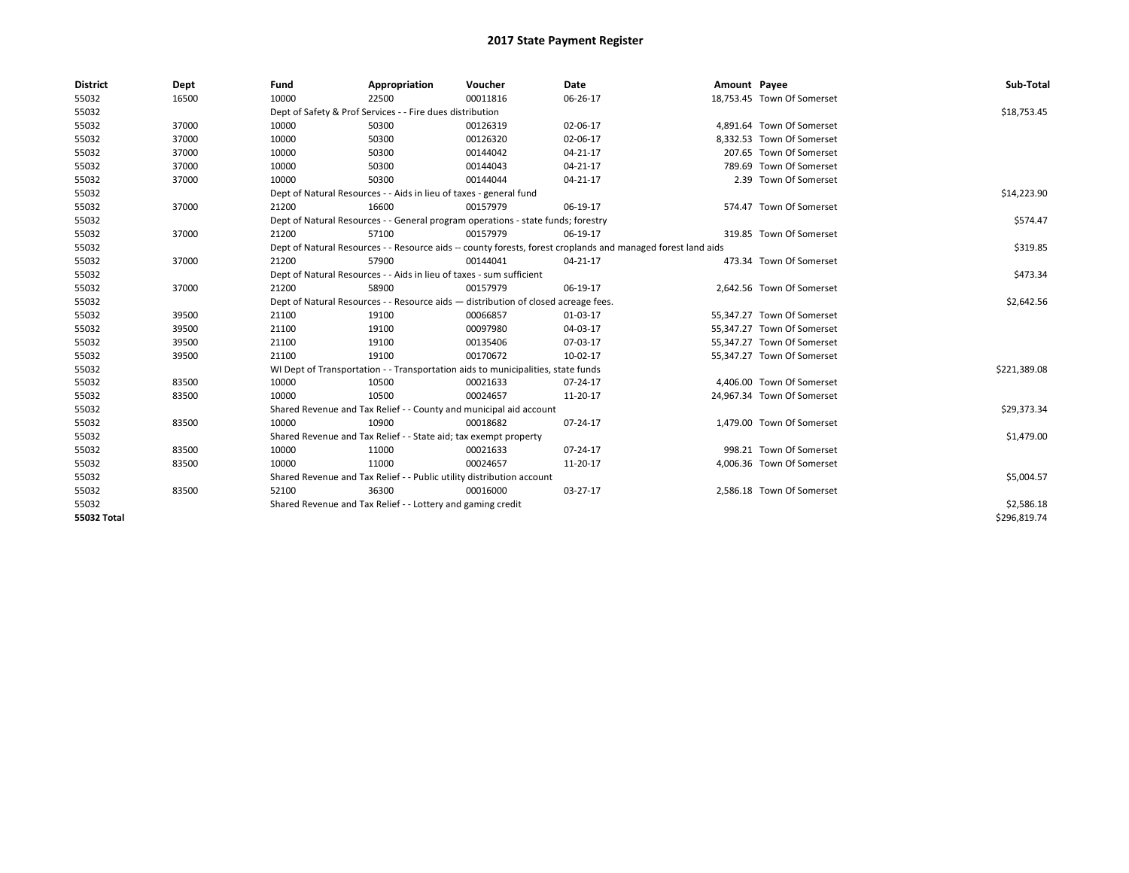| <b>District</b>    | Dept  | Fund  | Appropriation                                                                                                | Voucher  | Date           | Amount Payee |                            | Sub-Total    |  |  |
|--------------------|-------|-------|--------------------------------------------------------------------------------------------------------------|----------|----------------|--------------|----------------------------|--------------|--|--|
| 55032              | 16500 | 10000 | 22500                                                                                                        | 00011816 | 06-26-17       |              | 18,753.45 Town Of Somerset |              |  |  |
| 55032              |       |       | Dept of Safety & Prof Services - - Fire dues distribution                                                    |          |                |              |                            | \$18,753.45  |  |  |
| 55032              | 37000 | 10000 | 50300                                                                                                        | 00126319 | 02-06-17       |              | 4,891.64 Town Of Somerset  |              |  |  |
| 55032              | 37000 | 10000 | 50300                                                                                                        | 00126320 | 02-06-17       |              | 8,332.53 Town Of Somerset  |              |  |  |
| 55032              | 37000 | 10000 | 50300                                                                                                        | 00144042 | 04-21-17       |              | 207.65 Town Of Somerset    |              |  |  |
| 55032              | 37000 | 10000 | 50300                                                                                                        | 00144043 | $04 - 21 - 17$ |              | 789.69 Town Of Somerset    |              |  |  |
| 55032              | 37000 | 10000 | 50300                                                                                                        | 00144044 | 04-21-17       |              | 2.39 Town Of Somerset      |              |  |  |
| 55032              |       |       | Dept of Natural Resources - - Aids in lieu of taxes - general fund                                           |          |                |              |                            |              |  |  |
| 55032              | 37000 | 21200 | 16600                                                                                                        | 00157979 | 06-19-17       |              | 574.47 Town Of Somerset    |              |  |  |
| 55032              |       |       | Dept of Natural Resources - - General program operations - state funds; forestry                             |          |                |              |                            | \$574.47     |  |  |
| 55032              | 37000 | 21200 | 57100                                                                                                        | 00157979 | 06-19-17       |              | 319.85 Town Of Somerset    |              |  |  |
| 55032              |       |       | Dept of Natural Resources - - Resource aids -- county forests, forest croplands and managed forest land aids |          |                |              |                            | \$319.85     |  |  |
| 55032              | 37000 | 21200 | 57900                                                                                                        | 00144041 | 04-21-17       |              | 473.34 Town Of Somerset    |              |  |  |
| 55032              |       |       | Dept of Natural Resources - - Aids in lieu of taxes - sum sufficient                                         |          |                |              |                            |              |  |  |
| 55032              | 37000 | 21200 | 58900                                                                                                        | 00157979 | 06-19-17       |              | 2,642.56 Town Of Somerset  |              |  |  |
| 55032              |       |       | Dept of Natural Resources - - Resource aids - distribution of closed acreage fees.                           |          |                |              |                            |              |  |  |
| 55032              | 39500 | 21100 | 19100                                                                                                        | 00066857 | 01-03-17       |              | 55,347.27 Town Of Somerset |              |  |  |
| 55032              | 39500 | 21100 | 19100                                                                                                        | 00097980 | 04-03-17       |              | 55,347.27 Town Of Somerset |              |  |  |
| 55032              | 39500 | 21100 | 19100                                                                                                        | 00135406 | 07-03-17       |              | 55,347.27 Town Of Somerset |              |  |  |
| 55032              | 39500 | 21100 | 19100                                                                                                        | 00170672 | 10-02-17       |              | 55,347.27 Town Of Somerset |              |  |  |
| 55032              |       |       | WI Dept of Transportation - - Transportation aids to municipalities, state funds                             |          |                |              |                            | \$221,389.08 |  |  |
| 55032              | 83500 | 10000 | 10500                                                                                                        | 00021633 | 07-24-17       |              | 4,406.00 Town Of Somerset  |              |  |  |
| 55032              | 83500 | 10000 | 10500                                                                                                        | 00024657 | 11-20-17       |              | 24,967.34 Town Of Somerset |              |  |  |
| 55032              |       |       | Shared Revenue and Tax Relief - - County and municipal aid account                                           |          |                |              |                            | \$29,373.34  |  |  |
| 55032              | 83500 | 10000 | 10900                                                                                                        | 00018682 | 07-24-17       |              | 1,479.00 Town Of Somerset  |              |  |  |
| 55032              |       |       | Shared Revenue and Tax Relief - - State aid; tax exempt property                                             |          |                |              |                            | \$1,479.00   |  |  |
| 55032              | 83500 | 10000 | 11000                                                                                                        | 00021633 | 07-24-17       |              | 998.21 Town Of Somerset    |              |  |  |
| 55032              | 83500 | 10000 | 11000                                                                                                        | 00024657 | 11-20-17       |              | 4,006.36 Town Of Somerset  |              |  |  |
| 55032              |       |       | Shared Revenue and Tax Relief - - Public utility distribution account                                        |          |                |              |                            | \$5,004.57   |  |  |
| 55032              | 83500 | 52100 | 36300                                                                                                        | 00016000 | 03-27-17       |              | 2,586.18 Town Of Somerset  |              |  |  |
| 55032              |       |       | Shared Revenue and Tax Relief - - Lottery and gaming credit                                                  |          |                |              |                            | \$2,586.18   |  |  |
| <b>55032 Total</b> |       |       |                                                                                                              |          |                |              |                            | \$296,819.74 |  |  |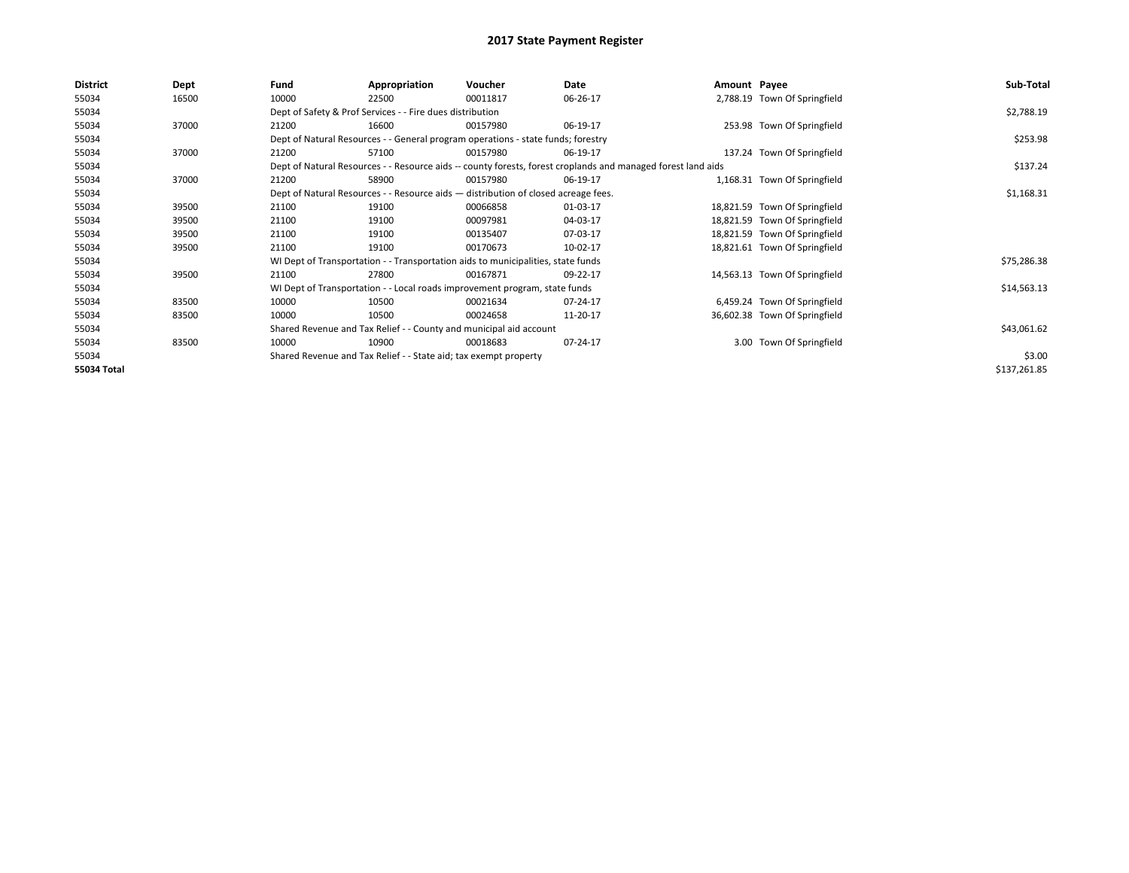| <b>District</b> | Dept  | Fund  | Appropriation                                                                                                | Voucher  | Date     | Amount Payee |                               | Sub-Total    |  |
|-----------------|-------|-------|--------------------------------------------------------------------------------------------------------------|----------|----------|--------------|-------------------------------|--------------|--|
| 55034           | 16500 | 10000 | 22500                                                                                                        | 00011817 | 06-26-17 |              | 2,788.19 Town Of Springfield  |              |  |
| 55034           |       |       | Dept of Safety & Prof Services - - Fire dues distribution                                                    |          |          |              |                               | \$2,788.19   |  |
| 55034           | 37000 | 21200 | 16600                                                                                                        | 00157980 | 06-19-17 |              | 253.98 Town Of Springfield    |              |  |
| 55034           |       |       | Dept of Natural Resources - - General program operations - state funds; forestry                             |          |          |              |                               |              |  |
| 55034           | 37000 | 21200 | 57100                                                                                                        | 00157980 | 06-19-17 |              | 137.24 Town Of Springfield    |              |  |
| 55034           |       |       | Dept of Natural Resources - - Resource aids -- county forests, forest croplands and managed forest land aids |          |          |              |                               |              |  |
| 55034           | 37000 | 21200 | 58900                                                                                                        | 00157980 | 06-19-17 |              | 1,168.31 Town Of Springfield  |              |  |
| 55034           |       |       | Dept of Natural Resources - - Resource aids - distribution of closed acreage fees.                           |          |          |              |                               | \$1,168.31   |  |
| 55034           | 39500 | 21100 | 19100                                                                                                        | 00066858 | 01-03-17 |              | 18,821.59 Town Of Springfield |              |  |
| 55034           | 39500 | 21100 | 19100                                                                                                        | 00097981 | 04-03-17 |              | 18,821.59 Town Of Springfield |              |  |
| 55034           | 39500 | 21100 | 19100                                                                                                        | 00135407 | 07-03-17 |              | 18,821.59 Town Of Springfield |              |  |
| 55034           | 39500 | 21100 | 19100                                                                                                        | 00170673 | 10-02-17 |              | 18,821.61 Town Of Springfield |              |  |
| 55034           |       |       | WI Dept of Transportation - - Transportation aids to municipalities, state funds                             |          |          |              |                               | \$75,286.38  |  |
| 55034           | 39500 | 21100 | 27800                                                                                                        | 00167871 | 09-22-17 |              | 14,563.13 Town Of Springfield |              |  |
| 55034           |       |       | WI Dept of Transportation - - Local roads improvement program, state funds                                   |          |          |              |                               | \$14,563.13  |  |
| 55034           | 83500 | 10000 | 10500                                                                                                        | 00021634 | 07-24-17 |              | 6,459.24 Town Of Springfield  |              |  |
| 55034           | 83500 | 10000 | 10500                                                                                                        | 00024658 | 11-20-17 |              | 36,602.38 Town Of Springfield |              |  |
| 55034           |       |       | Shared Revenue and Tax Relief - - County and municipal aid account                                           |          |          |              |                               | \$43,061.62  |  |
| 55034           | 83500 | 10000 | 10900                                                                                                        | 00018683 | 07-24-17 |              | 3.00 Town Of Springfield      |              |  |
| 55034           |       |       | Shared Revenue and Tax Relief - - State aid; tax exempt property                                             |          |          |              |                               | \$3.00       |  |
| 55034 Total     |       |       |                                                                                                              |          |          |              |                               | \$137,261.85 |  |
|                 |       |       |                                                                                                              |          |          |              |                               |              |  |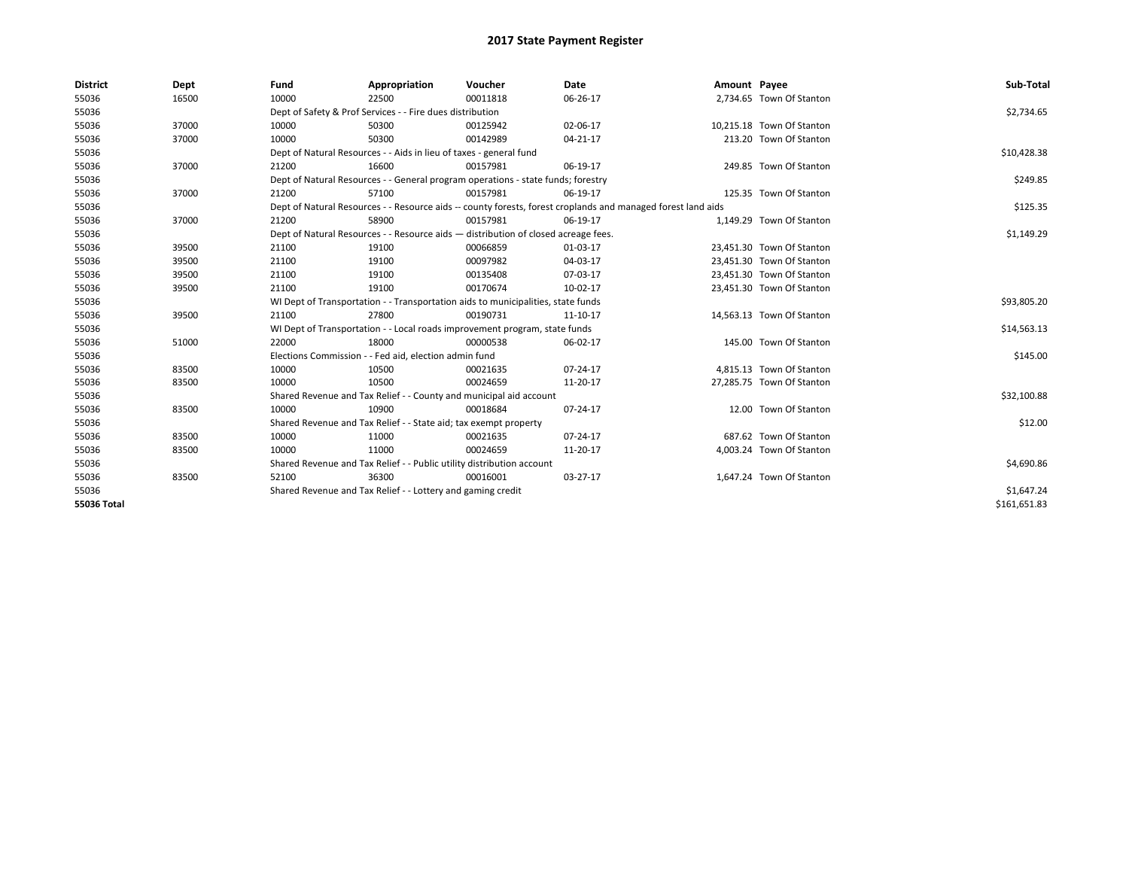| <b>District</b>    | Dept  | Fund  | Appropriation                                                                                                | Voucher  | Date           | Amount Payee |                           | Sub-Total    |  |  |
|--------------------|-------|-------|--------------------------------------------------------------------------------------------------------------|----------|----------------|--------------|---------------------------|--------------|--|--|
| 55036              | 16500 | 10000 | 22500                                                                                                        | 00011818 | 06-26-17       |              | 2,734.65 Town Of Stanton  |              |  |  |
| 55036              |       |       | Dept of Safety & Prof Services - - Fire dues distribution                                                    |          |                |              |                           | \$2,734.65   |  |  |
| 55036              | 37000 | 10000 | 50300                                                                                                        | 00125942 | 02-06-17       |              | 10,215.18 Town Of Stanton |              |  |  |
| 55036              | 37000 | 10000 | 50300                                                                                                        | 00142989 | $04 - 21 - 17$ |              | 213.20 Town Of Stanton    |              |  |  |
| 55036              |       |       | Dept of Natural Resources - - Aids in lieu of taxes - general fund                                           |          |                |              |                           | \$10,428.38  |  |  |
| 55036              | 37000 | 21200 | 16600                                                                                                        | 00157981 | 06-19-17       |              | 249.85 Town Of Stanton    |              |  |  |
| 55036              |       |       | Dept of Natural Resources - - General program operations - state funds; forestry                             |          |                |              |                           |              |  |  |
| 55036              | 37000 | 21200 | 57100                                                                                                        | 00157981 | 06-19-17       |              | 125.35 Town Of Stanton    |              |  |  |
| 55036              |       |       | Dept of Natural Resources - - Resource aids -- county forests, forest croplands and managed forest land aids |          |                |              |                           |              |  |  |
| 55036              | 37000 | 21200 | 58900                                                                                                        | 00157981 | 06-19-17       |              | 1,149.29 Town Of Stanton  |              |  |  |
| 55036              |       |       | Dept of Natural Resources - - Resource aids - distribution of closed acreage fees.                           |          | \$1,149.29     |              |                           |              |  |  |
| 55036              | 39500 | 21100 | 19100                                                                                                        | 00066859 | 01-03-17       |              | 23,451.30 Town Of Stanton |              |  |  |
| 55036              | 39500 | 21100 | 19100                                                                                                        | 00097982 | 04-03-17       |              | 23.451.30 Town Of Stanton |              |  |  |
| 55036              | 39500 | 21100 | 19100                                                                                                        | 00135408 | 07-03-17       |              | 23,451.30 Town Of Stanton |              |  |  |
| 55036              | 39500 | 21100 | 19100                                                                                                        | 00170674 | 10-02-17       |              | 23,451.30 Town Of Stanton |              |  |  |
| 55036              |       |       | WI Dept of Transportation - - Transportation aids to municipalities, state funds                             |          |                |              |                           |              |  |  |
| 55036              | 39500 | 21100 | 27800                                                                                                        | 00190731 | 11-10-17       |              | 14,563.13 Town Of Stanton |              |  |  |
| 55036              |       |       | WI Dept of Transportation - - Local roads improvement program, state funds                                   |          |                |              |                           | \$14,563.13  |  |  |
| 55036              | 51000 | 22000 | 18000                                                                                                        | 00000538 | 06-02-17       |              | 145.00 Town Of Stanton    |              |  |  |
| 55036              |       |       | Elections Commission - - Fed aid, election admin fund                                                        |          |                |              |                           | \$145.00     |  |  |
| 55036              | 83500 | 10000 | 10500                                                                                                        | 00021635 | 07-24-17       |              | 4,815.13 Town Of Stanton  |              |  |  |
| 55036              | 83500 | 10000 | 10500                                                                                                        | 00024659 | 11-20-17       |              | 27,285.75 Town Of Stanton |              |  |  |
| 55036              |       |       | Shared Revenue and Tax Relief - - County and municipal aid account                                           |          |                |              |                           | \$32,100.88  |  |  |
| 55036              | 83500 | 10000 | 10900                                                                                                        | 00018684 | 07-24-17       |              | 12.00 Town Of Stanton     |              |  |  |
| 55036              |       |       | Shared Revenue and Tax Relief - - State aid; tax exempt property                                             |          |                |              |                           | \$12.00      |  |  |
| 55036              | 83500 | 10000 | 11000                                                                                                        | 00021635 | 07-24-17       |              | 687.62 Town Of Stanton    |              |  |  |
| 55036              | 83500 | 10000 | 11000                                                                                                        | 00024659 | 11-20-17       |              | 4,003.24 Town Of Stanton  |              |  |  |
| 55036              |       |       | Shared Revenue and Tax Relief - - Public utility distribution account                                        |          |                |              |                           | \$4,690.86   |  |  |
| 55036              | 83500 | 52100 | 36300                                                                                                        | 00016001 | 03-27-17       |              | 1,647.24 Town Of Stanton  |              |  |  |
| 55036              |       |       | Shared Revenue and Tax Relief - - Lottery and gaming credit                                                  |          |                |              |                           | \$1,647.24   |  |  |
| <b>55036 Total</b> |       |       |                                                                                                              |          |                |              |                           | \$161.651.83 |  |  |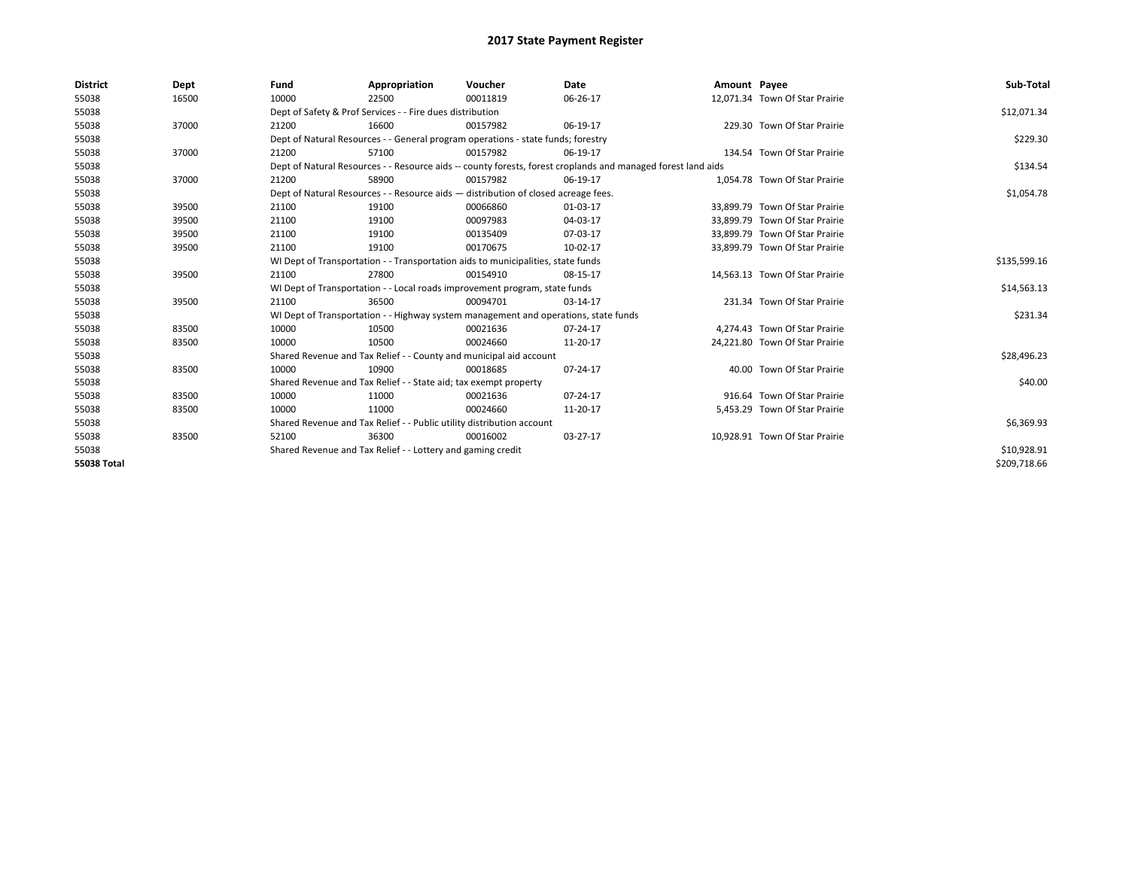| <b>District</b>    | Dept  | Fund  | Appropriation                                                                                                | Voucher  | Date     | Amount Payee |                                | Sub-Total    |  |  |  |
|--------------------|-------|-------|--------------------------------------------------------------------------------------------------------------|----------|----------|--------------|--------------------------------|--------------|--|--|--|
| 55038              | 16500 | 10000 | 22500                                                                                                        | 00011819 | 06-26-17 |              | 12,071.34 Town Of Star Prairie |              |  |  |  |
| 55038              |       |       | Dept of Safety & Prof Services - - Fire dues distribution                                                    |          |          |              |                                | \$12,071.34  |  |  |  |
| 55038              | 37000 | 21200 | 16600                                                                                                        | 00157982 | 06-19-17 |              | 229.30 Town Of Star Prairie    |              |  |  |  |
| 55038              |       |       | Dept of Natural Resources - - General program operations - state funds; forestry                             |          |          |              |                                |              |  |  |  |
| 55038              | 37000 | 21200 | 57100                                                                                                        | 00157982 | 06-19-17 |              | 134.54 Town Of Star Prairie    |              |  |  |  |
| 55038              |       |       | Dept of Natural Resources - - Resource aids -- county forests, forest croplands and managed forest land aids |          |          |              |                                |              |  |  |  |
| 55038              | 37000 | 21200 | 58900                                                                                                        | 00157982 | 06-19-17 |              | 1.054.78 Town Of Star Prairie  |              |  |  |  |
| 55038              |       |       | Dept of Natural Resources - - Resource aids - distribution of closed acreage fees.                           |          |          |              |                                |              |  |  |  |
| 55038              | 39500 | 21100 | 19100                                                                                                        | 00066860 | 01-03-17 |              | 33,899.79 Town Of Star Prairie |              |  |  |  |
| 55038              | 39500 | 21100 | 19100                                                                                                        | 00097983 | 04-03-17 |              | 33.899.79 Town Of Star Prairie |              |  |  |  |
| 55038              | 39500 | 21100 | 19100                                                                                                        | 00135409 | 07-03-17 |              | 33,899.79 Town Of Star Prairie |              |  |  |  |
| 55038              | 39500 | 21100 | 19100                                                                                                        | 00170675 | 10-02-17 |              | 33,899.79 Town Of Star Prairie |              |  |  |  |
| 55038              |       |       | WI Dept of Transportation - - Transportation aids to municipalities, state funds                             |          |          |              |                                |              |  |  |  |
| 55038              | 39500 | 21100 | 27800                                                                                                        | 00154910 | 08-15-17 |              | 14,563.13 Town Of Star Prairie |              |  |  |  |
| 55038              |       |       | WI Dept of Transportation - - Local roads improvement program, state funds                                   |          |          |              |                                | \$14,563.13  |  |  |  |
| 55038              | 39500 | 21100 | 36500                                                                                                        | 00094701 | 03-14-17 |              | 231.34 Town Of Star Prairie    |              |  |  |  |
| 55038              |       |       | WI Dept of Transportation - - Highway system management and operations, state funds                          |          |          |              |                                | \$231.34     |  |  |  |
| 55038              | 83500 | 10000 | 10500                                                                                                        | 00021636 | 07-24-17 |              | 4,274.43 Town Of Star Prairie  |              |  |  |  |
| 55038              | 83500 | 10000 | 10500                                                                                                        | 00024660 | 11-20-17 |              | 24,221.80 Town Of Star Prairie |              |  |  |  |
| 55038              |       |       | Shared Revenue and Tax Relief - - County and municipal aid account                                           |          |          |              |                                | \$28,496.23  |  |  |  |
| 55038              | 83500 | 10000 | 10900                                                                                                        | 00018685 | 07-24-17 |              | 40.00 Town Of Star Prairie     |              |  |  |  |
| 55038              |       |       | Shared Revenue and Tax Relief - - State aid; tax exempt property                                             |          |          |              |                                | \$40.00      |  |  |  |
| 55038              | 83500 | 10000 | 11000                                                                                                        | 00021636 | 07-24-17 |              | 916.64 Town Of Star Prairie    |              |  |  |  |
| 55038              | 83500 | 10000 | 11000                                                                                                        | 00024660 | 11-20-17 |              | 5,453.29 Town Of Star Prairie  |              |  |  |  |
| 55038              |       |       | Shared Revenue and Tax Relief - - Public utility distribution account                                        |          |          |              |                                |              |  |  |  |
| 55038              | 83500 | 52100 | 36300                                                                                                        | 00016002 | 03-27-17 |              | 10.928.91 Town Of Star Prairie |              |  |  |  |
| 55038              |       |       | Shared Revenue and Tax Relief - - Lottery and gaming credit                                                  |          |          |              |                                | \$10,928.91  |  |  |  |
| <b>55038 Total</b> |       |       |                                                                                                              |          |          |              |                                | \$209,718.66 |  |  |  |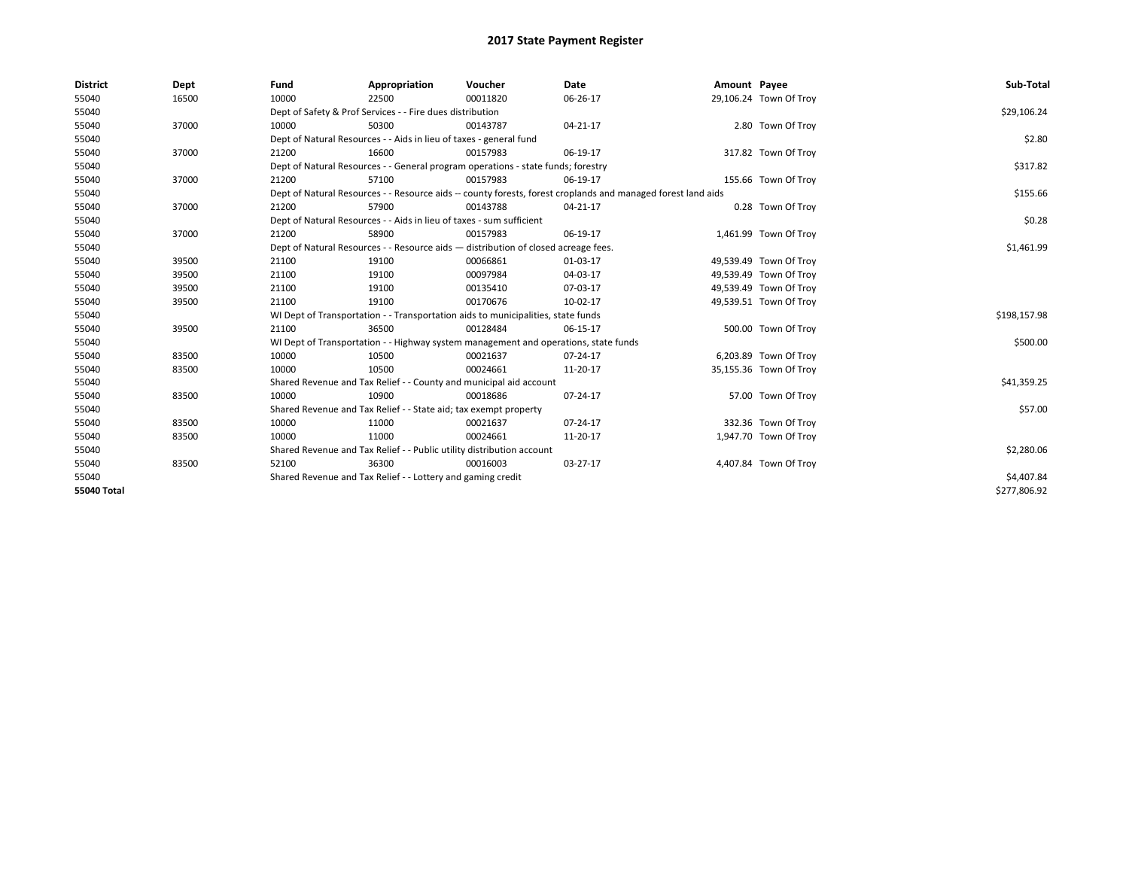| <b>District</b>    | Dept  | Fund                                                                                                         | Appropriation                                                                       | Voucher    | Date           | Amount Payee |                        | Sub-Total    |
|--------------------|-------|--------------------------------------------------------------------------------------------------------------|-------------------------------------------------------------------------------------|------------|----------------|--------------|------------------------|--------------|
| 55040              | 16500 | 10000                                                                                                        | 22500                                                                               | 00011820   | 06-26-17       |              | 29,106.24 Town Of Troy |              |
| 55040              |       |                                                                                                              | Dept of Safety & Prof Services - - Fire dues distribution                           |            |                |              |                        | \$29,106.24  |
| 55040              | 37000 | 10000                                                                                                        | 50300                                                                               | 00143787   | $04 - 21 - 17$ |              | 2.80 Town Of Troy      |              |
| 55040              |       |                                                                                                              | Dept of Natural Resources - - Aids in lieu of taxes - general fund                  |            |                |              |                        | \$2.80       |
| 55040              | 37000 | 21200                                                                                                        | 16600                                                                               | 00157983   | 06-19-17       |              | 317.82 Town Of Troy    |              |
| 55040              |       | Dept of Natural Resources - - General program operations - state funds; forestry                             |                                                                                     | \$317.82   |                |              |                        |              |
| 55040              | 37000 | 21200                                                                                                        | 57100                                                                               | 00157983   | 06-19-17       |              | 155.66 Town Of Troy    |              |
| 55040              |       | Dept of Natural Resources - - Resource aids -- county forests, forest croplands and managed forest land aids |                                                                                     | \$155.66   |                |              |                        |              |
| 55040              | 37000 | 21200                                                                                                        | 57900                                                                               | 00143788   | 04-21-17       |              | 0.28 Town Of Troy      |              |
| 55040              |       |                                                                                                              | Dept of Natural Resources - - Aids in lieu of taxes - sum sufficient                |            |                |              |                        | \$0.28       |
| 55040              | 37000 | 21200                                                                                                        | 58900                                                                               | 00157983   | 06-19-17       |              | 1,461.99 Town Of Troy  |              |
| 55040              |       | Dept of Natural Resources - - Resource aids - distribution of closed acreage fees.                           |                                                                                     | \$1,461.99 |                |              |                        |              |
| 55040              | 39500 | 21100                                                                                                        | 19100                                                                               | 00066861   | 01-03-17       |              | 49,539.49 Town Of Troy |              |
| 55040              | 39500 | 21100                                                                                                        | 19100                                                                               | 00097984   | 04-03-17       |              | 49,539.49 Town Of Troy |              |
| 55040              | 39500 | 21100                                                                                                        | 19100                                                                               | 00135410   | 07-03-17       |              | 49,539.49 Town Of Troy |              |
| 55040              | 39500 | 21100                                                                                                        | 19100                                                                               | 00170676   | 10-02-17       |              | 49,539.51 Town Of Troy |              |
| 55040              |       |                                                                                                              | WI Dept of Transportation - - Transportation aids to municipalities, state funds    |            |                |              |                        | \$198,157.98 |
| 55040              | 39500 | 21100                                                                                                        | 36500                                                                               | 00128484   | 06-15-17       |              | 500.00 Town Of Troy    |              |
| 55040              |       |                                                                                                              | WI Dept of Transportation - - Highway system management and operations, state funds |            |                |              |                        | \$500.00     |
| 55040              | 83500 | 10000                                                                                                        | 10500                                                                               | 00021637   | $07 - 24 - 17$ |              | 6,203.89 Town Of Troy  |              |
| 55040              | 83500 | 10000                                                                                                        | 10500                                                                               | 00024661   | 11-20-17       |              | 35,155.36 Town Of Troy |              |
| 55040              |       |                                                                                                              | Shared Revenue and Tax Relief - - County and municipal aid account                  |            |                |              |                        | \$41,359.25  |
| 55040              | 83500 | 10000                                                                                                        | 10900                                                                               | 00018686   | 07-24-17       |              | 57.00 Town Of Troy     |              |
| 55040              |       |                                                                                                              | Shared Revenue and Tax Relief - - State aid; tax exempt property                    |            |                |              |                        | \$57.00      |
| 55040              | 83500 | 10000                                                                                                        | 11000                                                                               | 00021637   | 07-24-17       |              | 332.36 Town Of Trov    |              |
| 55040              | 83500 | 10000                                                                                                        | 11000                                                                               | 00024661   | 11-20-17       |              | 1,947.70 Town Of Troy  |              |
| 55040              |       | Shared Revenue and Tax Relief - - Public utility distribution account                                        |                                                                                     | \$2,280.06 |                |              |                        |              |
| 55040              | 83500 | 52100                                                                                                        | 36300                                                                               | 00016003   | 03-27-17       |              | 4,407.84 Town Of Troy  |              |
| 55040              |       | Shared Revenue and Tax Relief - - Lottery and gaming credit                                                  |                                                                                     | \$4,407.84 |                |              |                        |              |
| <b>55040 Total</b> |       |                                                                                                              |                                                                                     |            |                |              |                        | \$277,806.92 |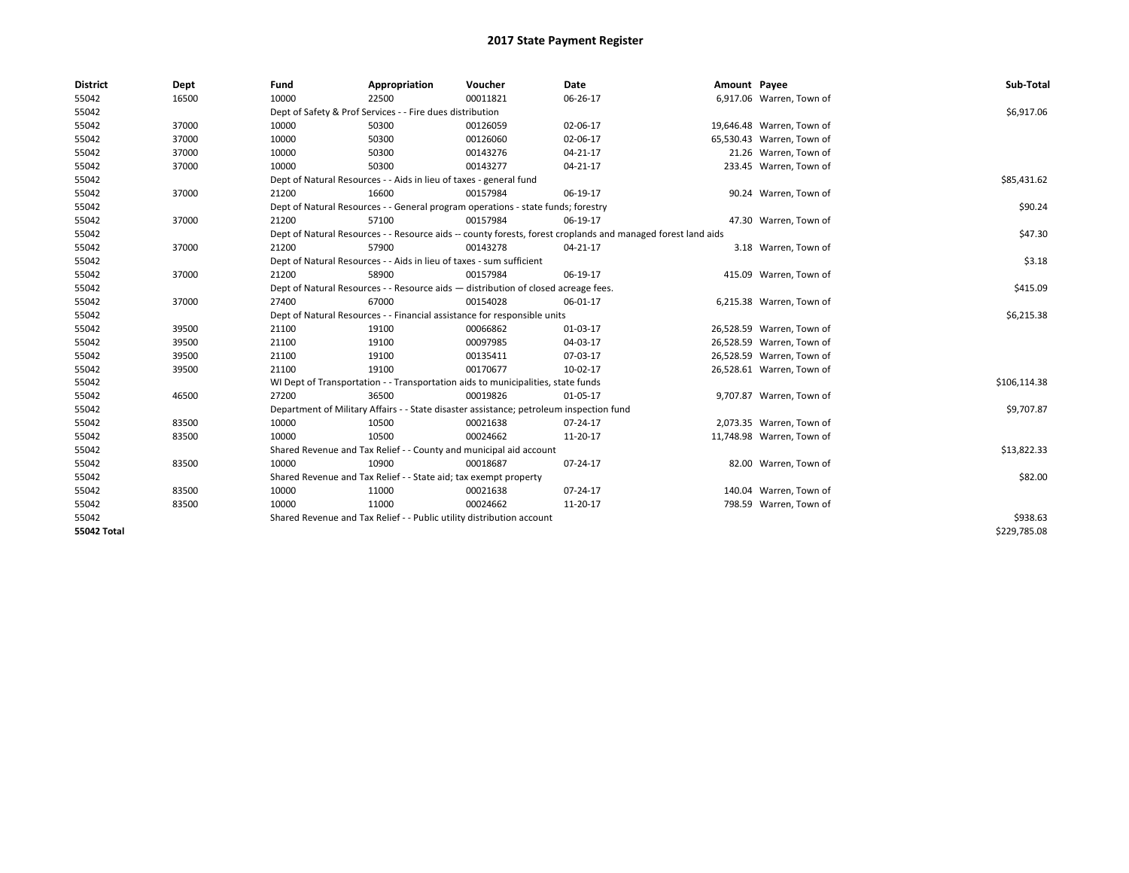| <b>District</b>    | Dept  | Fund                                                                               | Appropriation                                                                           | Voucher  | Date                                                                                                         | Amount Payee |                           | Sub-Total    |
|--------------------|-------|------------------------------------------------------------------------------------|-----------------------------------------------------------------------------------------|----------|--------------------------------------------------------------------------------------------------------------|--------------|---------------------------|--------------|
| 55042              | 16500 | 10000                                                                              | 22500                                                                                   | 00011821 | 06-26-17                                                                                                     |              | 6,917.06 Warren, Town of  |              |
| 55042              |       |                                                                                    | Dept of Safety & Prof Services - - Fire dues distribution                               |          |                                                                                                              |              |                           | \$6,917.06   |
| 55042              | 37000 | 10000                                                                              | 50300                                                                                   | 00126059 | 02-06-17                                                                                                     |              | 19,646.48 Warren, Town of |              |
| 55042              | 37000 | 10000                                                                              | 50300                                                                                   | 00126060 | 02-06-17                                                                                                     |              | 65,530.43 Warren, Town of |              |
| 55042              | 37000 | 10000                                                                              | 50300                                                                                   | 00143276 | 04-21-17                                                                                                     |              | 21.26 Warren, Town of     |              |
| 55042              | 37000 | 10000                                                                              | 50300                                                                                   | 00143277 | 04-21-17                                                                                                     |              | 233.45 Warren, Town of    |              |
| 55042              |       | Dept of Natural Resources - - Aids in lieu of taxes - general fund                 | \$85,431.62                                                                             |          |                                                                                                              |              |                           |              |
| 55042              | 37000 | 21200                                                                              | 16600                                                                                   | 00157984 | 06-19-17                                                                                                     |              | 90.24 Warren, Town of     |              |
| 55042              |       |                                                                                    | Dept of Natural Resources - - General program operations - state funds; forestry        |          |                                                                                                              |              |                           | \$90.24      |
| 55042              | 37000 | 21200                                                                              | 57100                                                                                   | 00157984 | 06-19-17                                                                                                     |              | 47.30 Warren, Town of     |              |
| 55042              |       |                                                                                    |                                                                                         |          | Dept of Natural Resources - - Resource aids -- county forests, forest croplands and managed forest land aids |              |                           | \$47.30      |
| 55042              | 37000 | 21200                                                                              | 57900                                                                                   | 00143278 | 04-21-17                                                                                                     |              | 3.18 Warren, Town of      |              |
| 55042              |       |                                                                                    | Dept of Natural Resources - - Aids in lieu of taxes - sum sufficient                    |          |                                                                                                              |              |                           | \$3.18       |
| 55042              | 37000 | 21200                                                                              | 58900                                                                                   | 00157984 | 06-19-17                                                                                                     |              | 415.09 Warren, Town of    |              |
| 55042              |       | Dept of Natural Resources - - Resource aids - distribution of closed acreage fees. | \$415.09                                                                                |          |                                                                                                              |              |                           |              |
| 55042              | 37000 | 27400                                                                              | 67000                                                                                   | 00154028 | 06-01-17                                                                                                     |              | 6,215.38 Warren, Town of  |              |
| 55042              |       |                                                                                    | Dept of Natural Resources - - Financial assistance for responsible units                |          |                                                                                                              |              |                           | \$6,215.38   |
| 55042              | 39500 | 21100                                                                              | 19100                                                                                   | 00066862 | 01-03-17                                                                                                     |              | 26,528.59 Warren, Town of |              |
| 55042              | 39500 | 21100                                                                              | 19100                                                                                   | 00097985 | 04-03-17                                                                                                     |              | 26,528.59 Warren, Town of |              |
| 55042              | 39500 | 21100                                                                              | 19100                                                                                   | 00135411 | 07-03-17                                                                                                     |              | 26,528.59 Warren, Town of |              |
| 55042              | 39500 | 21100                                                                              | 19100                                                                                   | 00170677 | 10-02-17                                                                                                     |              | 26,528.61 Warren, Town of |              |
| 55042              |       |                                                                                    | WI Dept of Transportation - - Transportation aids to municipalities, state funds        |          |                                                                                                              |              |                           | \$106,114.38 |
| 55042              | 46500 | 27200                                                                              | 36500                                                                                   | 00019826 | 01-05-17                                                                                                     |              | 9,707.87 Warren, Town of  |              |
| 55042              |       |                                                                                    | Department of Military Affairs - - State disaster assistance; petroleum inspection fund |          |                                                                                                              |              |                           | \$9,707.87   |
| 55042              | 83500 | 10000                                                                              | 10500                                                                                   | 00021638 | 07-24-17                                                                                                     |              | 2,073.35 Warren, Town of  |              |
| 55042              | 83500 | 10000                                                                              | 10500                                                                                   | 00024662 | 11-20-17                                                                                                     |              | 11,748.98 Warren, Town of |              |
| 55042              |       |                                                                                    | Shared Revenue and Tax Relief - - County and municipal aid account                      |          |                                                                                                              |              |                           | \$13,822.33  |
| 55042              | 83500 | 10000                                                                              | 10900                                                                                   | 00018687 | 07-24-17                                                                                                     |              | 82.00 Warren, Town of     |              |
| 55042              |       | Shared Revenue and Tax Relief - - State aid; tax exempt property                   | \$82.00                                                                                 |          |                                                                                                              |              |                           |              |
| 55042              | 83500 | 10000                                                                              | 11000                                                                                   | 00021638 | 07-24-17                                                                                                     |              | 140.04 Warren, Town of    |              |
| 55042              | 83500 | 10000                                                                              | 11000                                                                                   | 00024662 | 11-20-17                                                                                                     |              | 798.59 Warren, Town of    |              |
| 55042              |       |                                                                                    | Shared Revenue and Tax Relief - - Public utility distribution account                   |          |                                                                                                              |              |                           | \$938.63     |
| <b>55042 Total</b> |       |                                                                                    |                                                                                         |          |                                                                                                              |              |                           | \$229,785.08 |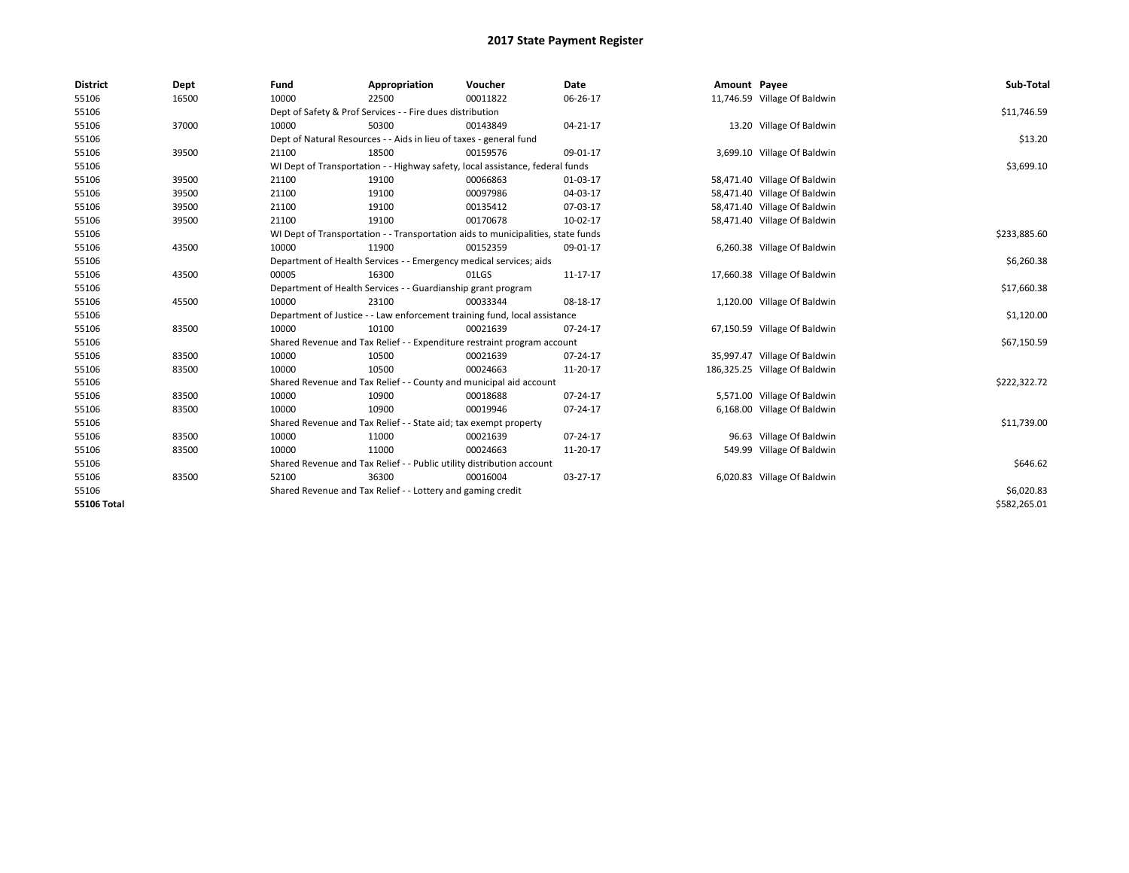| <b>District</b>    | Dept  | Fund                                                                  | Appropriation                                                                    | Voucher     | <b>Date</b> | Amount Payee |                               | Sub-Total    |
|--------------------|-------|-----------------------------------------------------------------------|----------------------------------------------------------------------------------|-------------|-------------|--------------|-------------------------------|--------------|
| 55106              | 16500 | 10000                                                                 | 22500                                                                            | 00011822    | 06-26-17    |              | 11,746.59 Village Of Baldwin  |              |
| 55106              |       |                                                                       | Dept of Safety & Prof Services - - Fire dues distribution                        |             |             |              |                               | \$11,746.59  |
| 55106              | 37000 | 10000                                                                 | 50300                                                                            | 00143849    | 04-21-17    |              | 13.20 Village Of Baldwin      |              |
| 55106              |       |                                                                       | Dept of Natural Resources - - Aids in lieu of taxes - general fund               |             |             |              |                               | \$13.20      |
| 55106              | 39500 | 21100                                                                 | 18500                                                                            | 00159576    | 09-01-17    |              | 3,699.10 Village Of Baldwin   |              |
| 55106              |       |                                                                       | WI Dept of Transportation - - Highway safety, local assistance, federal funds    |             |             |              |                               | \$3,699.10   |
| 55106              | 39500 | 21100                                                                 | 19100                                                                            | 00066863    | 01-03-17    |              | 58,471.40 Village Of Baldwin  |              |
| 55106              | 39500 | 21100                                                                 | 19100                                                                            | 00097986    | 04-03-17    |              | 58,471.40 Village Of Baldwin  |              |
| 55106              | 39500 | 21100                                                                 | 19100                                                                            | 00135412    | 07-03-17    |              | 58,471.40 Village Of Baldwin  |              |
| 55106              | 39500 | 21100                                                                 | 19100                                                                            | 00170678    | 10-02-17    |              | 58,471.40 Village Of Baldwin  |              |
| 55106              |       |                                                                       | WI Dept of Transportation - - Transportation aids to municipalities, state funds |             |             |              |                               | \$233,885.60 |
| 55106              | 43500 | 10000                                                                 | 11900                                                                            | 00152359    | 09-01-17    |              | 6,260.38 Village Of Baldwin   |              |
| 55106              |       |                                                                       | Department of Health Services - - Emergency medical services; aids               |             |             |              |                               | \$6,260.38   |
| 55106              | 43500 | 00005                                                                 | 16300                                                                            | 01LGS       | 11-17-17    |              | 17,660.38 Village Of Baldwin  |              |
| 55106              |       | Department of Health Services - - Guardianship grant program          |                                                                                  | \$17,660.38 |             |              |                               |              |
| 55106              | 45500 | 10000                                                                 | 23100                                                                            | 00033344    | 08-18-17    |              | 1,120.00 Village Of Baldwin   |              |
| 55106              |       |                                                                       | Department of Justice - - Law enforcement training fund, local assistance        |             |             |              |                               | \$1,120.00   |
| 55106              | 83500 | 10000                                                                 | 10100                                                                            | 00021639    | 07-24-17    |              | 67,150.59 Village Of Baldwin  |              |
| 55106              |       |                                                                       | Shared Revenue and Tax Relief - - Expenditure restraint program account          |             |             |              |                               | \$67,150.59  |
| 55106              | 83500 | 10000                                                                 | 10500                                                                            | 00021639    | 07-24-17    |              | 35,997.47 Village Of Baldwin  |              |
| 55106              | 83500 | 10000                                                                 | 10500                                                                            | 00024663    | 11-20-17    |              | 186,325.25 Village Of Baldwin |              |
| 55106              |       |                                                                       | Shared Revenue and Tax Relief - - County and municipal aid account               |             |             |              |                               | \$222,322.72 |
| 55106              | 83500 | 10000                                                                 | 10900                                                                            | 00018688    | 07-24-17    |              | 5,571.00 Village Of Baldwin   |              |
| 55106              | 83500 | 10000                                                                 | 10900                                                                            | 00019946    | 07-24-17    |              | 6,168.00 Village Of Baldwin   |              |
| 55106              |       |                                                                       | Shared Revenue and Tax Relief - - State aid; tax exempt property                 |             |             |              |                               | \$11,739.00  |
| 55106              | 83500 | 10000                                                                 | 11000                                                                            | 00021639    | 07-24-17    |              | 96.63 Village Of Baldwin      |              |
| 55106              | 83500 | 10000                                                                 | 11000                                                                            | 00024663    | 11-20-17    |              | 549.99 Village Of Baldwin     |              |
| 55106              |       | Shared Revenue and Tax Relief - - Public utility distribution account |                                                                                  | \$646.62    |             |              |                               |              |
| 55106              | 83500 | 52100                                                                 | 36300                                                                            | 00016004    | 03-27-17    |              | 6,020.83 Village Of Baldwin   |              |
| 55106              |       | Shared Revenue and Tax Relief - - Lottery and gaming credit           |                                                                                  | \$6,020.83  |             |              |                               |              |
| <b>55106 Total</b> |       |                                                                       |                                                                                  |             |             |              |                               | \$582,265.01 |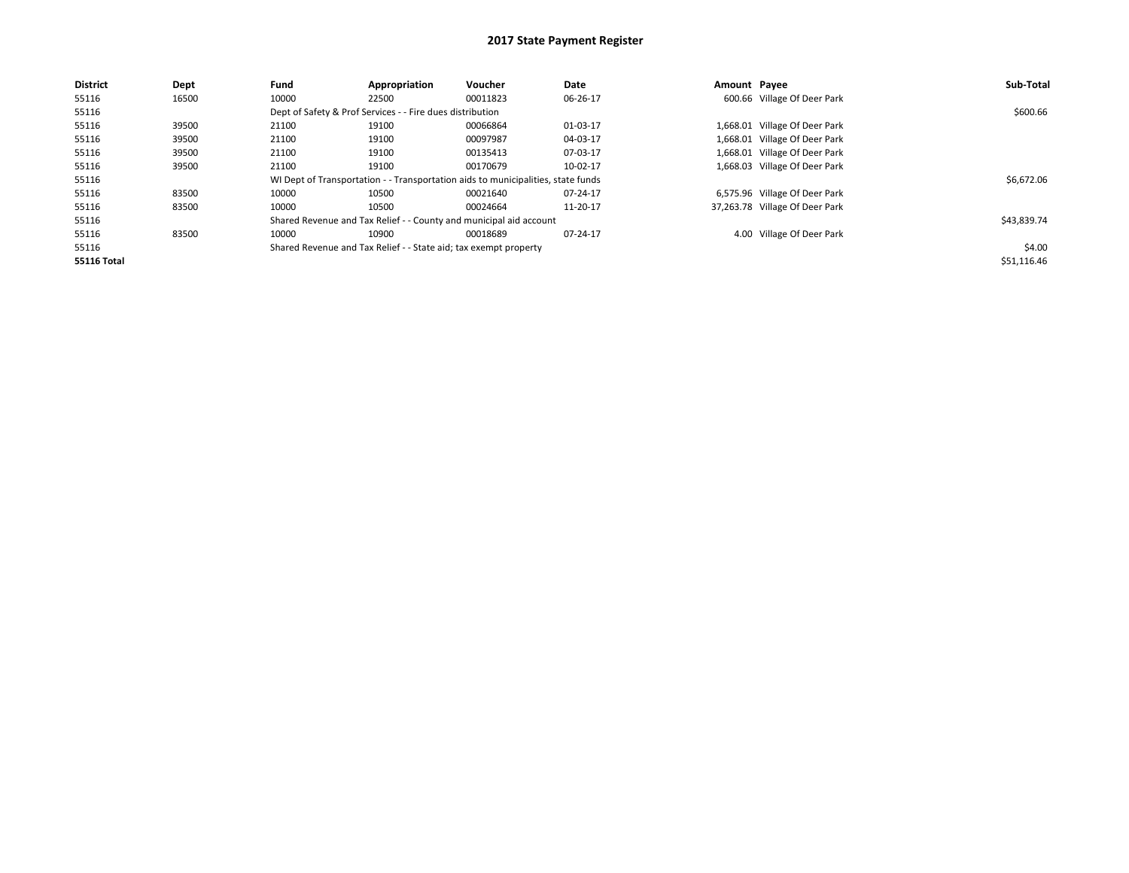| <b>District</b>    | Dept  | Fund  | Appropriation                                                    | Voucher                                                                          | Date     | Amount Payee |                                | Sub-Total   |  |  |
|--------------------|-------|-------|------------------------------------------------------------------|----------------------------------------------------------------------------------|----------|--------------|--------------------------------|-------------|--|--|
| 55116              | 16500 | 10000 | 22500                                                            | 00011823                                                                         | 06-26-17 |              | 600.66 Village Of Deer Park    |             |  |  |
| 55116              |       |       | Dept of Safety & Prof Services - - Fire dues distribution        |                                                                                  |          |              |                                |             |  |  |
| 55116              | 39500 | 21100 | 19100                                                            | 00066864                                                                         | 01-03-17 |              | 1,668.01 Village Of Deer Park  |             |  |  |
| 55116              | 39500 | 21100 | 19100                                                            | 00097987                                                                         | 04-03-17 |              | 1,668.01 Village Of Deer Park  |             |  |  |
| 55116              | 39500 | 21100 | 19100                                                            | 00135413                                                                         | 07-03-17 |              | 1,668.01 Village Of Deer Park  |             |  |  |
| 55116              | 39500 | 21100 | 19100                                                            | 00170679                                                                         | 10-02-17 |              | 1,668.03 Village Of Deer Park  |             |  |  |
| 55116              |       |       |                                                                  | WI Dept of Transportation - - Transportation aids to municipalities, state funds |          |              |                                | \$6,672.06  |  |  |
| 55116              | 83500 | 10000 | 10500                                                            | 00021640                                                                         | 07-24-17 |              | 6,575.96 Village Of Deer Park  |             |  |  |
| 55116              | 83500 | 10000 | 10500                                                            | 00024664                                                                         | 11-20-17 |              | 37,263.78 Village Of Deer Park |             |  |  |
| 55116              |       |       |                                                                  | Shared Revenue and Tax Relief - - County and municipal aid account               |          |              |                                | \$43,839.74 |  |  |
| 55116              | 83500 | 10000 | 10900                                                            | 00018689                                                                         | 07-24-17 |              | 4.00 Village Of Deer Park      |             |  |  |
| 55116              |       |       | Shared Revenue and Tax Relief - - State aid; tax exempt property |                                                                                  |          |              |                                | \$4.00      |  |  |
| <b>55116 Total</b> |       |       |                                                                  |                                                                                  |          |              |                                | \$51,116.46 |  |  |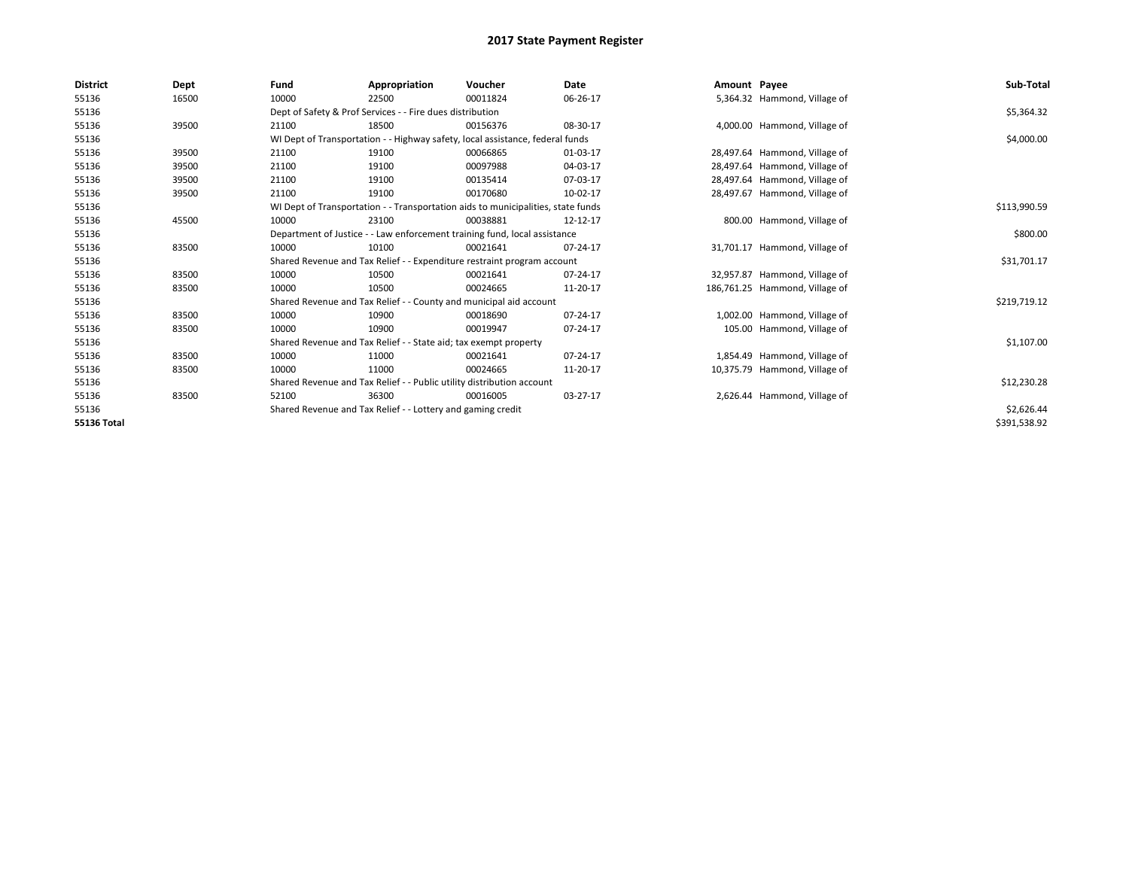| <b>District</b>    | Dept  | Fund                                                                          | Appropriation                                                    | Voucher                                                                          | Date     | Amount Payee |                                | Sub-Total    |
|--------------------|-------|-------------------------------------------------------------------------------|------------------------------------------------------------------|----------------------------------------------------------------------------------|----------|--------------|--------------------------------|--------------|
| 55136              | 16500 | 10000                                                                         | 22500                                                            | 00011824                                                                         | 06-26-17 |              | 5,364.32 Hammond, Village of   |              |
| 55136              |       |                                                                               | Dept of Safety & Prof Services - - Fire dues distribution        |                                                                                  |          |              |                                | \$5,364.32   |
| 55136              | 39500 | 21100                                                                         | 18500                                                            | 00156376                                                                         | 08-30-17 |              | 4,000.00 Hammond, Village of   |              |
| 55136              |       | WI Dept of Transportation - - Highway safety, local assistance, federal funds |                                                                  | \$4,000.00                                                                       |          |              |                                |              |
| 55136              | 39500 | 21100                                                                         | 19100                                                            | 00066865                                                                         | 01-03-17 |              | 28,497.64 Hammond, Village of  |              |
| 55136              | 39500 | 21100                                                                         | 19100                                                            | 00097988                                                                         | 04-03-17 |              | 28,497.64 Hammond, Village of  |              |
| 55136              | 39500 | 21100                                                                         | 19100                                                            | 00135414                                                                         | 07-03-17 |              | 28,497.64 Hammond, Village of  |              |
| 55136              | 39500 | 21100                                                                         | 19100                                                            | 00170680                                                                         | 10-02-17 |              | 28,497.67 Hammond, Village of  |              |
| 55136              |       |                                                                               |                                                                  | WI Dept of Transportation - - Transportation aids to municipalities, state funds |          |              |                                | \$113,990.59 |
| 55136              | 45500 | 10000                                                                         | 23100                                                            | 00038881                                                                         | 12-12-17 |              | 800.00 Hammond, Village of     |              |
| 55136              |       | Department of Justice - - Law enforcement training fund, local assistance     |                                                                  | \$800.00                                                                         |          |              |                                |              |
| 55136              | 83500 | 10000                                                                         | 10100                                                            | 00021641                                                                         | 07-24-17 |              | 31,701.17 Hammond, Village of  |              |
| 55136              |       |                                                                               |                                                                  | Shared Revenue and Tax Relief - - Expenditure restraint program account          |          |              |                                | \$31,701.17  |
| 55136              | 83500 | 10000                                                                         | 10500                                                            | 00021641                                                                         | 07-24-17 |              | 32,957.87 Hammond, Village of  |              |
| 55136              | 83500 | 10000                                                                         | 10500                                                            | 00024665                                                                         | 11-20-17 |              | 186,761.25 Hammond, Village of |              |
| 55136              |       |                                                                               |                                                                  | Shared Revenue and Tax Relief - - County and municipal aid account               |          |              |                                | \$219,719.12 |
| 55136              | 83500 | 10000                                                                         | 10900                                                            | 00018690                                                                         | 07-24-17 |              | 1,002.00 Hammond, Village of   |              |
| 55136              | 83500 | 10000                                                                         | 10900                                                            | 00019947                                                                         | 07-24-17 |              | 105.00 Hammond, Village of     |              |
| 55136              |       |                                                                               | Shared Revenue and Tax Relief - - State aid; tax exempt property |                                                                                  |          |              |                                | \$1,107.00   |
| 55136              | 83500 | 10000                                                                         | 11000                                                            | 00021641                                                                         | 07-24-17 |              | 1,854.49 Hammond, Village of   |              |
| 55136              | 83500 | 10000                                                                         | 11000                                                            | 00024665                                                                         | 11-20-17 |              | 10,375.79 Hammond, Village of  |              |
| 55136              |       | Shared Revenue and Tax Relief - - Public utility distribution account         |                                                                  | \$12,230.28                                                                      |          |              |                                |              |
| 55136              | 83500 | 52100                                                                         | 36300                                                            | 00016005                                                                         | 03-27-17 |              | 2,626.44 Hammond, Village of   |              |
| 55136              |       | Shared Revenue and Tax Relief - - Lottery and gaming credit                   |                                                                  | \$2,626.44                                                                       |          |              |                                |              |
| <b>55136 Total</b> |       |                                                                               |                                                                  |                                                                                  |          |              |                                | \$391,538.92 |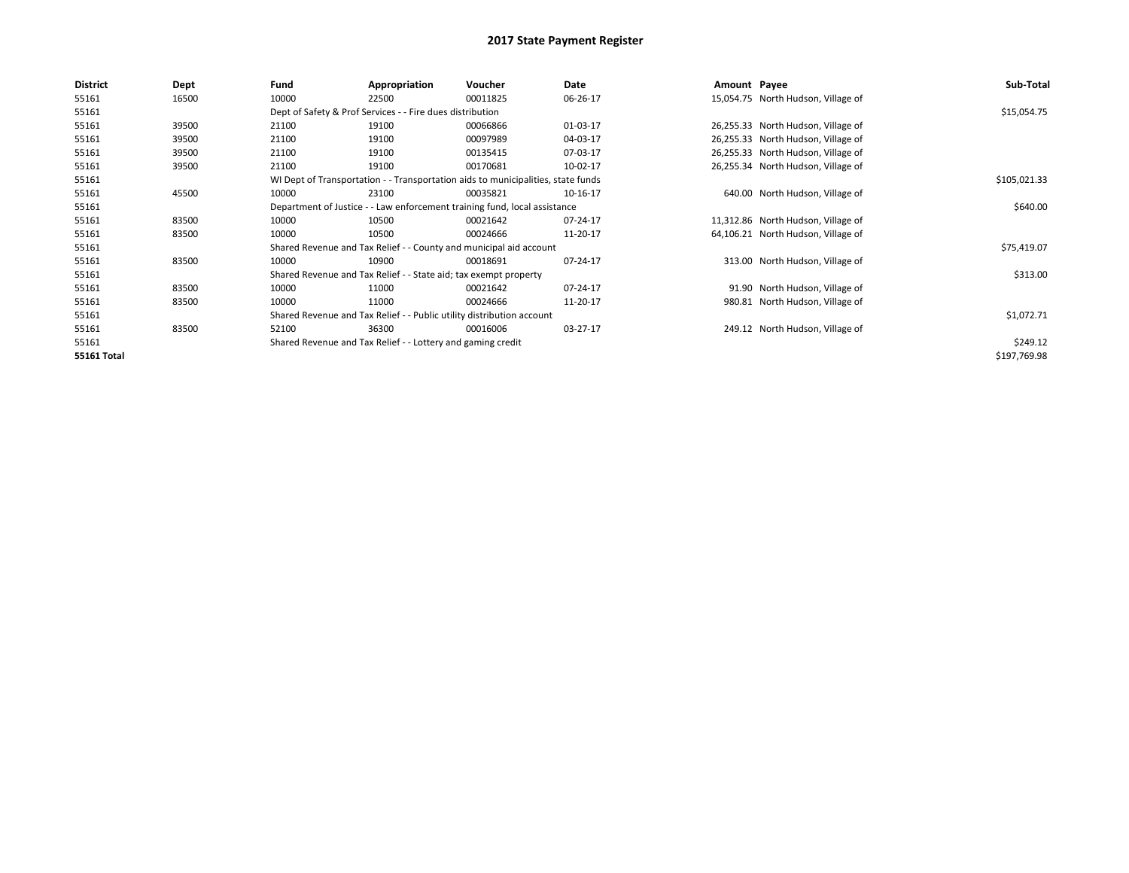| <b>District</b>    | Dept  | Fund  | Appropriation                                                                    | Voucher  | Date     | Amount Payee |                                    | Sub-Total    |  |  |  |
|--------------------|-------|-------|----------------------------------------------------------------------------------|----------|----------|--------------|------------------------------------|--------------|--|--|--|
| 55161              | 16500 | 10000 | 22500                                                                            | 00011825 | 06-26-17 |              | 15,054.75 North Hudson, Village of |              |  |  |  |
| 55161              |       |       | Dept of Safety & Prof Services - - Fire dues distribution                        |          |          |              |                                    | \$15,054.75  |  |  |  |
| 55161              | 39500 | 21100 | 19100                                                                            | 00066866 | 01-03-17 |              | 26,255.33 North Hudson, Village of |              |  |  |  |
| 55161              | 39500 | 21100 | 19100                                                                            | 00097989 | 04-03-17 |              | 26,255.33 North Hudson, Village of |              |  |  |  |
| 55161              | 39500 | 21100 | 19100                                                                            | 00135415 | 07-03-17 |              | 26,255.33 North Hudson, Village of |              |  |  |  |
| 55161              | 39500 | 21100 | 19100                                                                            | 00170681 | 10-02-17 |              | 26,255.34 North Hudson, Village of |              |  |  |  |
| 55161              |       |       | WI Dept of Transportation - - Transportation aids to municipalities, state funds |          |          |              |                                    |              |  |  |  |
| 55161              | 45500 | 10000 | 23100                                                                            | 00035821 | 10-16-17 |              | 640.00 North Hudson, Village of    |              |  |  |  |
| 55161              |       |       | Department of Justice - - Law enforcement training fund, local assistance        |          |          |              |                                    | \$640.00     |  |  |  |
| 55161              | 83500 | 10000 | 10500                                                                            | 00021642 | 07-24-17 |              | 11,312.86 North Hudson, Village of |              |  |  |  |
| 55161              | 83500 | 10000 | 10500                                                                            | 00024666 | 11-20-17 |              | 64,106.21 North Hudson, Village of |              |  |  |  |
| 55161              |       |       | Shared Revenue and Tax Relief - - County and municipal aid account               |          |          |              |                                    | \$75,419.07  |  |  |  |
| 55161              | 83500 | 10000 | 10900                                                                            | 00018691 | 07-24-17 |              | 313.00 North Hudson, Village of    |              |  |  |  |
| 55161              |       |       | Shared Revenue and Tax Relief - - State aid; tax exempt property                 |          |          |              |                                    | \$313.00     |  |  |  |
| 55161              | 83500 | 10000 | 11000                                                                            | 00021642 | 07-24-17 |              | 91.90 North Hudson, Village of     |              |  |  |  |
| 55161              | 83500 | 10000 | 11000                                                                            | 00024666 | 11-20-17 |              | 980.81 North Hudson, Village of    |              |  |  |  |
| 55161              |       |       | Shared Revenue and Tax Relief - - Public utility distribution account            |          |          |              |                                    |              |  |  |  |
| 55161              | 83500 | 52100 | 36300                                                                            | 00016006 | 03-27-17 |              | 249.12 North Hudson, Village of    |              |  |  |  |
| 55161              |       |       | Shared Revenue and Tax Relief - - Lottery and gaming credit                      |          |          |              |                                    | \$249.12     |  |  |  |
| <b>55161 Total</b> |       |       |                                                                                  |          |          |              |                                    | \$197,769.98 |  |  |  |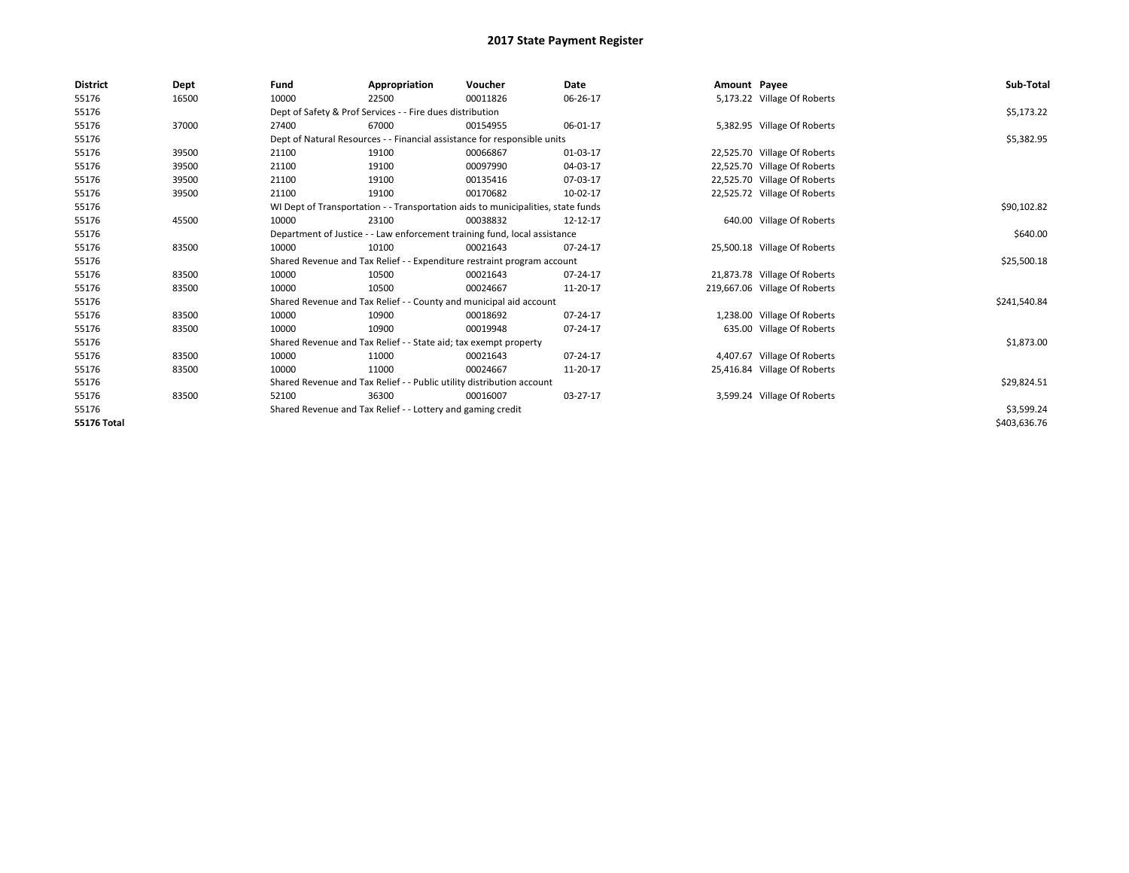| <b>District</b>    | Dept  | Fund                                                                      | Appropriation                                                                    | Voucher     | Date     | Amount Payee |                               | Sub-Total    |
|--------------------|-------|---------------------------------------------------------------------------|----------------------------------------------------------------------------------|-------------|----------|--------------|-------------------------------|--------------|
| 55176              | 16500 | 10000                                                                     | 22500                                                                            | 00011826    | 06-26-17 |              | 5,173.22 Village Of Roberts   |              |
| 55176              |       |                                                                           | Dept of Safety & Prof Services - - Fire dues distribution                        |             |          |              |                               | \$5,173.22   |
| 55176              | 37000 | 27400                                                                     | 67000                                                                            | 00154955    | 06-01-17 |              | 5,382.95 Village Of Roberts   |              |
| 55176              |       |                                                                           | Dept of Natural Resources - - Financial assistance for responsible units         |             |          |              |                               | \$5,382.95   |
| 55176              | 39500 | 21100                                                                     | 19100                                                                            | 00066867    | 01-03-17 |              | 22,525.70 Village Of Roberts  |              |
| 55176              | 39500 | 21100                                                                     | 19100                                                                            | 00097990    | 04-03-17 |              | 22,525.70 Village Of Roberts  |              |
| 55176              | 39500 | 21100                                                                     | 19100                                                                            | 00135416    | 07-03-17 |              | 22,525.70 Village Of Roberts  |              |
| 55176              | 39500 | 21100                                                                     | 19100                                                                            | 00170682    | 10-02-17 |              | 22,525.72 Village Of Roberts  |              |
| 55176              |       |                                                                           | WI Dept of Transportation - - Transportation aids to municipalities, state funds |             |          |              |                               | \$90,102.82  |
| 55176              | 45500 | 10000                                                                     | 23100                                                                            | 00038832    | 12-12-17 |              | 640.00 Village Of Roberts     |              |
| 55176              |       | Department of Justice - - Law enforcement training fund, local assistance |                                                                                  | \$640.00    |          |              |                               |              |
| 55176              | 83500 | 10000                                                                     | 10100                                                                            | 00021643    | 07-24-17 |              | 25,500.18 Village Of Roberts  |              |
| 55176              |       |                                                                           | Shared Revenue and Tax Relief - - Expenditure restraint program account          |             |          |              |                               | \$25,500.18  |
| 55176              | 83500 | 10000                                                                     | 10500                                                                            | 00021643    | 07-24-17 |              | 21,873.78 Village Of Roberts  |              |
| 55176              | 83500 | 10000                                                                     | 10500                                                                            | 00024667    | 11-20-17 |              | 219,667.06 Village Of Roberts |              |
| 55176              |       |                                                                           | Shared Revenue and Tax Relief - - County and municipal aid account               |             |          |              |                               | \$241,540.84 |
| 55176              | 83500 | 10000                                                                     | 10900                                                                            | 00018692    | 07-24-17 |              | 1,238.00 Village Of Roberts   |              |
| 55176              | 83500 | 10000                                                                     | 10900                                                                            | 00019948    | 07-24-17 |              | 635.00 Village Of Roberts     |              |
| 55176              |       |                                                                           | Shared Revenue and Tax Relief - - State aid; tax exempt property                 |             |          |              |                               | \$1,873.00   |
| 55176              | 83500 | 10000                                                                     | 11000                                                                            | 00021643    | 07-24-17 |              | 4,407.67 Village Of Roberts   |              |
| 55176              | 83500 | 10000                                                                     | 11000                                                                            | 00024667    | 11-20-17 |              | 25,416.84 Village Of Roberts  |              |
| 55176              |       | Shared Revenue and Tax Relief - - Public utility distribution account     |                                                                                  | \$29,824.51 |          |              |                               |              |
| 55176              | 83500 | 52100                                                                     | 36300                                                                            | 00016007    | 03-27-17 |              | 3,599.24 Village Of Roberts   |              |
| 55176              |       | Shared Revenue and Tax Relief - - Lottery and gaming credit               |                                                                                  | \$3,599.24  |          |              |                               |              |
| <b>55176 Total</b> |       |                                                                           |                                                                                  |             |          |              |                               | \$403,636.76 |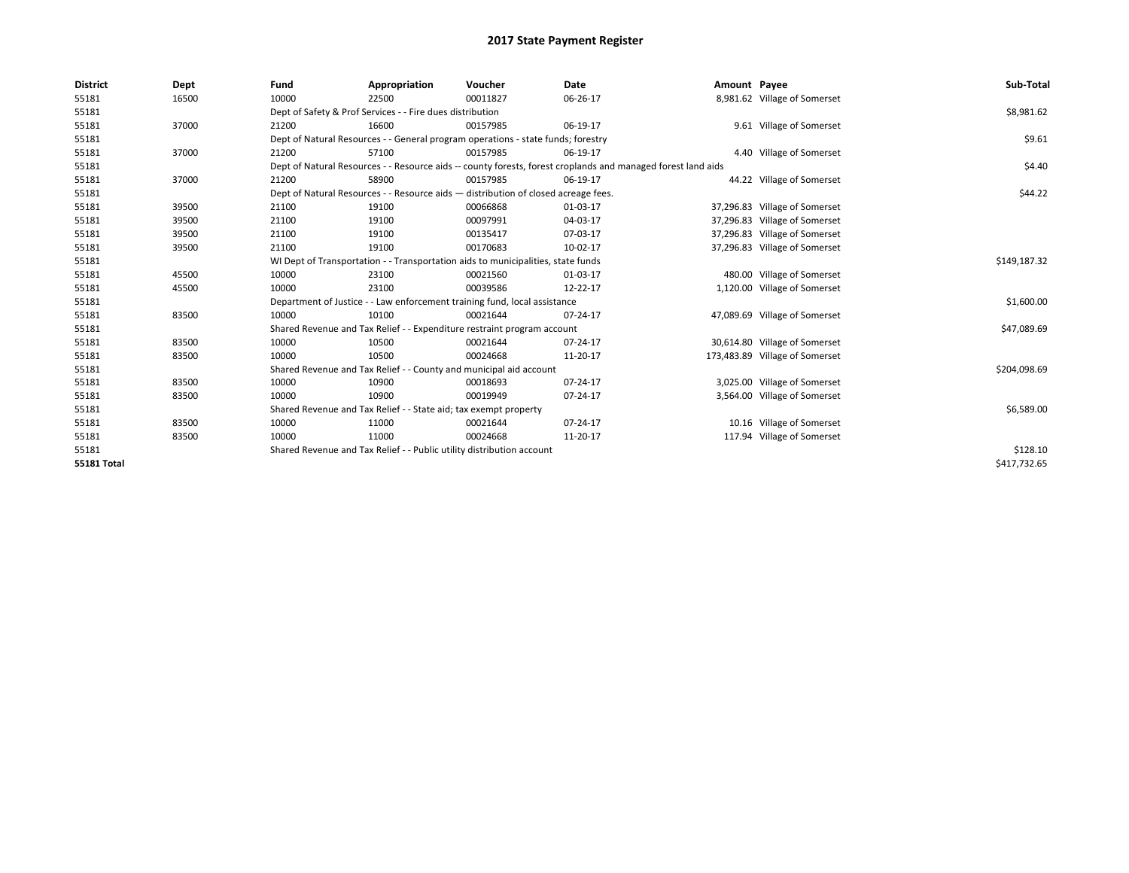| <b>District</b>    | Dept  | Fund                                                                                                         | Appropriation                                                                      | Voucher      | Date     | Amount Payee |                                | Sub-Total    |
|--------------------|-------|--------------------------------------------------------------------------------------------------------------|------------------------------------------------------------------------------------|--------------|----------|--------------|--------------------------------|--------------|
| 55181              | 16500 | 10000                                                                                                        | 22500                                                                              | 00011827     | 06-26-17 |              | 8,981.62 Village of Somerset   |              |
| 55181              |       |                                                                                                              | Dept of Safety & Prof Services - - Fire dues distribution                          |              |          |              |                                | \$8,981.62   |
| 55181              | 37000 | 21200                                                                                                        | 16600                                                                              | 00157985     | 06-19-17 |              | 9.61 Village of Somerset       |              |
| 55181              |       |                                                                                                              | Dept of Natural Resources - - General program operations - state funds; forestry   |              |          |              |                                | \$9.61       |
| 55181              | 37000 | 21200                                                                                                        | 57100                                                                              | 00157985     | 06-19-17 |              | 4.40 Village of Somerset       |              |
| 55181              |       | Dept of Natural Resources - - Resource aids -- county forests, forest croplands and managed forest land aids |                                                                                    | \$4.40       |          |              |                                |              |
| 55181              | 37000 | 21200                                                                                                        | 58900                                                                              | 00157985     | 06-19-17 |              | 44.22 Village of Somerset      |              |
| 55181              |       |                                                                                                              | Dept of Natural Resources - - Resource aids - distribution of closed acreage fees. |              |          |              |                                | \$44.22      |
| 55181              | 39500 | 21100                                                                                                        | 19100                                                                              | 00066868     | 01-03-17 |              | 37,296.83 Village of Somerset  |              |
| 55181              | 39500 | 21100                                                                                                        | 19100                                                                              | 00097991     | 04-03-17 |              | 37,296.83 Village of Somerset  |              |
| 55181              | 39500 | 21100                                                                                                        | 19100                                                                              | 00135417     | 07-03-17 |              | 37,296.83 Village of Somerset  |              |
| 55181              | 39500 | 21100                                                                                                        | 19100                                                                              | 00170683     | 10-02-17 |              | 37,296.83 Village of Somerset  |              |
| 55181              |       | WI Dept of Transportation - - Transportation aids to municipalities, state funds                             |                                                                                    | \$149,187.32 |          |              |                                |              |
| 55181              | 45500 | 10000                                                                                                        | 23100                                                                              | 00021560     | 01-03-17 |              | 480.00 Village of Somerset     |              |
| 55181              | 45500 | 10000                                                                                                        | 23100                                                                              | 00039586     | 12-22-17 |              | 1,120.00 Village of Somerset   |              |
| 55181              |       |                                                                                                              | Department of Justice - - Law enforcement training fund, local assistance          |              |          |              |                                | \$1,600.00   |
| 55181              | 83500 | 10000                                                                                                        | 10100                                                                              | 00021644     | 07-24-17 |              | 47,089.69 Village of Somerset  |              |
| 55181              |       |                                                                                                              | Shared Revenue and Tax Relief - - Expenditure restraint program account            |              |          |              |                                | \$47,089.69  |
| 55181              | 83500 | 10000                                                                                                        | 10500                                                                              | 00021644     | 07-24-17 |              | 30,614.80 Village of Somerset  |              |
| 55181              | 83500 | 10000                                                                                                        | 10500                                                                              | 00024668     | 11-20-17 |              | 173,483.89 Village of Somerset |              |
| 55181              |       |                                                                                                              | Shared Revenue and Tax Relief - - County and municipal aid account                 |              |          |              |                                | \$204,098.69 |
| 55181              | 83500 | 10000                                                                                                        | 10900                                                                              | 00018693     | 07-24-17 |              | 3,025.00 Village of Somerset   |              |
| 55181              | 83500 | 10000                                                                                                        | 10900                                                                              | 00019949     | 07-24-17 |              | 3,564.00 Village of Somerset   |              |
| 55181              |       |                                                                                                              | Shared Revenue and Tax Relief - - State aid; tax exempt property                   |              |          |              |                                | \$6,589.00   |
| 55181              | 83500 | 10000                                                                                                        | 11000                                                                              | 00021644     | 07-24-17 |              | 10.16 Village of Somerset      |              |
| 55181              | 83500 | 10000                                                                                                        | 11000                                                                              | 00024668     | 11-20-17 |              | 117.94 Village of Somerset     |              |
| 55181              |       | Shared Revenue and Tax Relief - - Public utility distribution account                                        |                                                                                    | \$128.10     |          |              |                                |              |
| <b>55181 Total</b> |       |                                                                                                              |                                                                                    |              |          |              |                                | \$417,732.65 |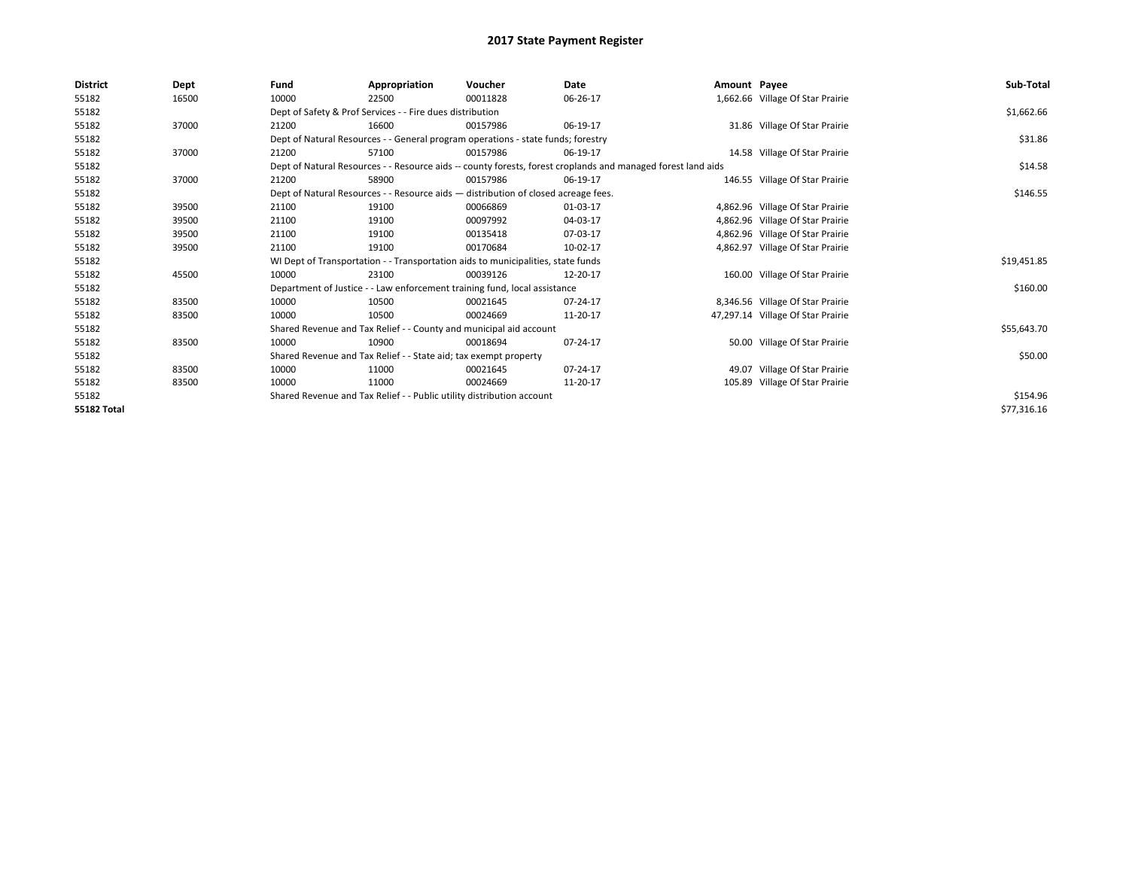| <b>District</b>    | Dept  | Fund  | Appropriation                                                                      | Voucher                                                                          | Date                                                                                                         | Amount Payee |                                   | Sub-Total   |  |  |  |
|--------------------|-------|-------|------------------------------------------------------------------------------------|----------------------------------------------------------------------------------|--------------------------------------------------------------------------------------------------------------|--------------|-----------------------------------|-------------|--|--|--|
| 55182              | 16500 | 10000 | 22500                                                                              | 00011828                                                                         | 06-26-17                                                                                                     |              | 1,662.66 Village Of Star Prairie  |             |  |  |  |
| 55182              |       |       | Dept of Safety & Prof Services - - Fire dues distribution                          |                                                                                  |                                                                                                              |              |                                   | \$1,662.66  |  |  |  |
| 55182              | 37000 | 21200 | 16600                                                                              | 00157986                                                                         | 06-19-17                                                                                                     |              | 31.86 Village Of Star Prairie     |             |  |  |  |
| 55182              |       |       | Dept of Natural Resources - - General program operations - state funds; forestry   |                                                                                  |                                                                                                              |              |                                   |             |  |  |  |
| 55182              | 37000 | 21200 | 57100                                                                              | 00157986                                                                         | 06-19-17                                                                                                     |              | 14.58 Village Of Star Prairie     |             |  |  |  |
| 55182              |       |       |                                                                                    |                                                                                  | Dept of Natural Resources - - Resource aids -- county forests, forest croplands and managed forest land aids |              |                                   | \$14.58     |  |  |  |
| 55182              | 37000 | 21200 | 58900                                                                              | 00157986                                                                         | 06-19-17                                                                                                     |              | 146.55 Village Of Star Prairie    |             |  |  |  |
| 55182              |       |       | Dept of Natural Resources - - Resource aids - distribution of closed acreage fees. |                                                                                  |                                                                                                              |              |                                   |             |  |  |  |
| 55182              | 39500 | 21100 | 19100                                                                              | 00066869                                                                         | 01-03-17                                                                                                     |              | 4,862.96 Village Of Star Prairie  |             |  |  |  |
| 55182              | 39500 | 21100 | 19100                                                                              | 00097992                                                                         | 04-03-17                                                                                                     |              | 4,862.96 Village Of Star Prairie  |             |  |  |  |
| 55182              | 39500 | 21100 | 19100                                                                              | 00135418                                                                         | 07-03-17                                                                                                     |              | 4,862.96 Village Of Star Prairie  |             |  |  |  |
| 55182              | 39500 | 21100 | 19100                                                                              | 00170684                                                                         | 10-02-17                                                                                                     |              | 4,862.97 Village Of Star Prairie  |             |  |  |  |
| 55182              |       |       |                                                                                    | WI Dept of Transportation - - Transportation aids to municipalities, state funds |                                                                                                              |              |                                   | \$19,451.85 |  |  |  |
| 55182              | 45500 | 10000 | 23100                                                                              | 00039126                                                                         | 12-20-17                                                                                                     |              | 160.00 Village Of Star Prairie    |             |  |  |  |
| 55182              |       |       |                                                                                    | Department of Justice - - Law enforcement training fund, local assistance        |                                                                                                              |              |                                   | \$160.00    |  |  |  |
| 55182              | 83500 | 10000 | 10500                                                                              | 00021645                                                                         | 07-24-17                                                                                                     |              | 8,346.56 Village Of Star Prairie  |             |  |  |  |
| 55182              | 83500 | 10000 | 10500                                                                              | 00024669                                                                         | 11-20-17                                                                                                     |              | 47,297.14 Village Of Star Prairie |             |  |  |  |
| 55182              |       |       | Shared Revenue and Tax Relief - - County and municipal aid account                 |                                                                                  |                                                                                                              |              |                                   | \$55,643.70 |  |  |  |
| 55182              | 83500 | 10000 | 10900                                                                              | 00018694                                                                         | 07-24-17                                                                                                     |              | 50.00 Village Of Star Prairie     |             |  |  |  |
| 55182              |       |       | Shared Revenue and Tax Relief - - State aid; tax exempt property                   |                                                                                  |                                                                                                              |              |                                   | \$50.00     |  |  |  |
| 55182              | 83500 | 10000 | 11000                                                                              | 00021645                                                                         | 07-24-17                                                                                                     |              | 49.07 Village Of Star Prairie     |             |  |  |  |
| 55182              | 83500 | 10000 | 11000                                                                              | 00024669                                                                         | 11-20-17                                                                                                     |              | 105.89 Village Of Star Prairie    |             |  |  |  |
| 55182              |       |       | Shared Revenue and Tax Relief - - Public utility distribution account              |                                                                                  |                                                                                                              |              |                                   | \$154.96    |  |  |  |
| <b>55182 Total</b> |       |       |                                                                                    |                                                                                  |                                                                                                              |              |                                   | \$77,316.16 |  |  |  |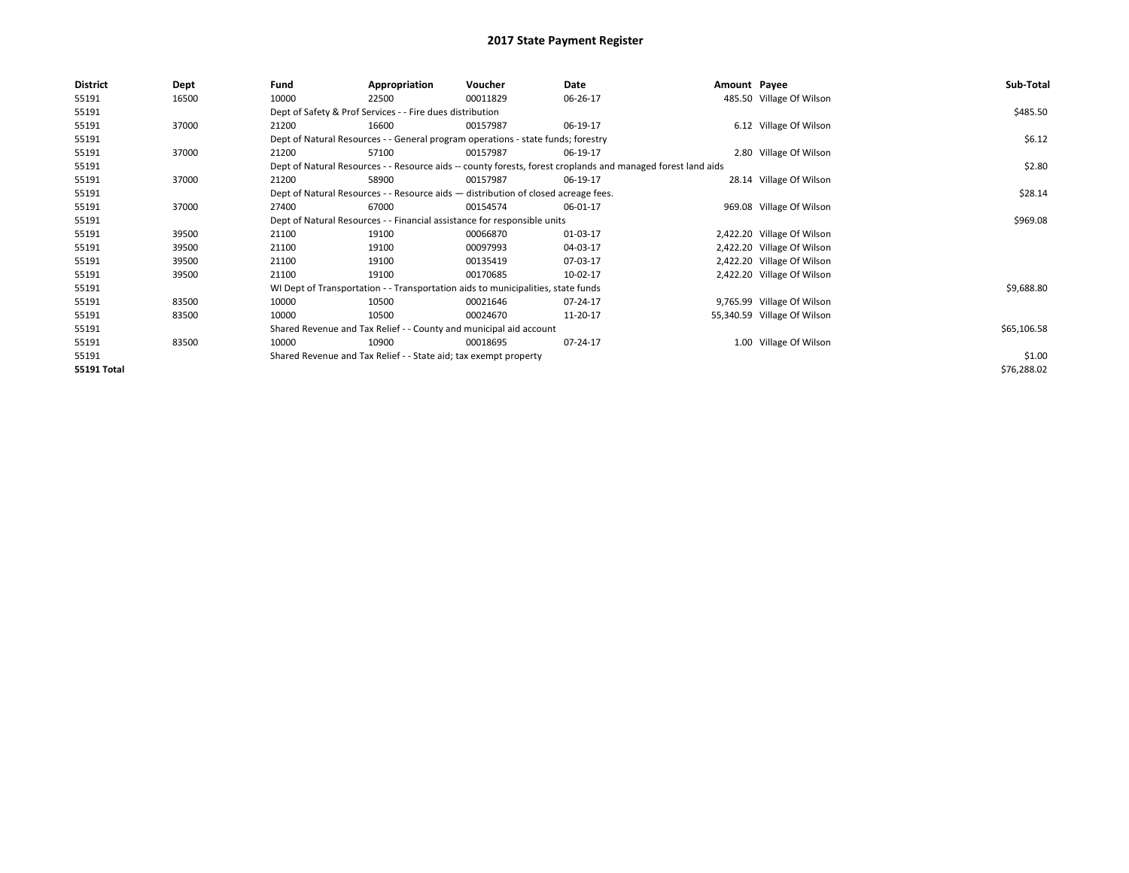| 485.50 Village Of Wilson<br>55191<br>16500<br>10000<br>00011829<br>06-26-17<br>22500<br>Dept of Safety & Prof Services - - Fire dues distribution<br>55191<br>6.12 Village Of Wilson<br>55191<br>37000<br>16600<br>00157987<br>06-19-17<br>21200<br>Dept of Natural Resources - - General program operations - state funds; forestry<br>55191<br>37000<br>2.80 Village Of Wilson<br>55191<br>57100<br>00157987<br>06-19-17<br>21200<br>Dept of Natural Resources - - Resource aids -- county forests, forest croplands and managed forest land aids<br>55191<br>28.14 Village Of Wilson<br>55191<br>37000<br>58900<br>21200<br>00157987<br>06-19-17<br>55191<br>Dept of Natural Resources - - Resource aids - distribution of closed acreage fees.<br>55191<br>37000<br>67000<br>969.08 Village Of Wilson<br>27400<br>00154574<br>06-01-17<br>Dept of Natural Resources - - Financial assistance for responsible units<br>55191<br>2,422.20 Village Of Wilson<br>55191<br>39500<br>19100<br>01-03-17<br>21100<br>00066870<br>55191<br>21100<br>00097993<br>04-03-17<br>2,422.20 Village Of Wilson<br>39500<br>19100<br>55191<br>21100<br>19100<br>00135419<br>07-03-17<br>2,422.20 Village Of Wilson<br>39500<br>55191<br>00170685<br>10-02-17<br>2,422.20 Village Of Wilson<br>39500<br>21100<br>19100<br>55191<br>WI Dept of Transportation - - Transportation aids to municipalities, state funds<br>55191<br>83500<br>10000<br>10500<br>9,765.99 Village Of Wilson<br>00021646<br>07-24-17<br>55191<br>10000<br>10500<br>11-20-17<br>55,340.59 Village Of Wilson<br>83500<br>00024670<br>55191<br>Shared Revenue and Tax Relief - - County and municipal aid account<br>1.00 Village Of Wilson<br>55191<br>83500<br>10000<br>10900<br>00018695<br>07-24-17<br>55191<br>Shared Revenue and Tax Relief - - State aid; tax exempt property | <b>District</b> | Dept | Fund | Appropriation | Voucher | Date | Amount Payee | Sub-Total   |
|---------------------------------------------------------------------------------------------------------------------------------------------------------------------------------------------------------------------------------------------------------------------------------------------------------------------------------------------------------------------------------------------------------------------------------------------------------------------------------------------------------------------------------------------------------------------------------------------------------------------------------------------------------------------------------------------------------------------------------------------------------------------------------------------------------------------------------------------------------------------------------------------------------------------------------------------------------------------------------------------------------------------------------------------------------------------------------------------------------------------------------------------------------------------------------------------------------------------------------------------------------------------------------------------------------------------------------------------------------------------------------------------------------------------------------------------------------------------------------------------------------------------------------------------------------------------------------------------------------------------------------------------------------------------------------------------------------------------------------------------------------------------------------------------------------------------------------------------|-----------------|------|------|---------------|---------|------|--------------|-------------|
|                                                                                                                                                                                                                                                                                                                                                                                                                                                                                                                                                                                                                                                                                                                                                                                                                                                                                                                                                                                                                                                                                                                                                                                                                                                                                                                                                                                                                                                                                                                                                                                                                                                                                                                                                                                                                                             |                 |      |      |               |         |      |              |             |
|                                                                                                                                                                                                                                                                                                                                                                                                                                                                                                                                                                                                                                                                                                                                                                                                                                                                                                                                                                                                                                                                                                                                                                                                                                                                                                                                                                                                                                                                                                                                                                                                                                                                                                                                                                                                                                             |                 |      |      |               |         |      |              | \$485.50    |
|                                                                                                                                                                                                                                                                                                                                                                                                                                                                                                                                                                                                                                                                                                                                                                                                                                                                                                                                                                                                                                                                                                                                                                                                                                                                                                                                                                                                                                                                                                                                                                                                                                                                                                                                                                                                                                             |                 |      |      |               |         |      |              |             |
|                                                                                                                                                                                                                                                                                                                                                                                                                                                                                                                                                                                                                                                                                                                                                                                                                                                                                                                                                                                                                                                                                                                                                                                                                                                                                                                                                                                                                                                                                                                                                                                                                                                                                                                                                                                                                                             |                 |      |      |               |         |      |              | \$6.12      |
|                                                                                                                                                                                                                                                                                                                                                                                                                                                                                                                                                                                                                                                                                                                                                                                                                                                                                                                                                                                                                                                                                                                                                                                                                                                                                                                                                                                                                                                                                                                                                                                                                                                                                                                                                                                                                                             |                 |      |      |               |         |      |              |             |
|                                                                                                                                                                                                                                                                                                                                                                                                                                                                                                                                                                                                                                                                                                                                                                                                                                                                                                                                                                                                                                                                                                                                                                                                                                                                                                                                                                                                                                                                                                                                                                                                                                                                                                                                                                                                                                             |                 |      |      |               |         |      |              | \$2.80      |
|                                                                                                                                                                                                                                                                                                                                                                                                                                                                                                                                                                                                                                                                                                                                                                                                                                                                                                                                                                                                                                                                                                                                                                                                                                                                                                                                                                                                                                                                                                                                                                                                                                                                                                                                                                                                                                             |                 |      |      |               |         |      |              |             |
|                                                                                                                                                                                                                                                                                                                                                                                                                                                                                                                                                                                                                                                                                                                                                                                                                                                                                                                                                                                                                                                                                                                                                                                                                                                                                                                                                                                                                                                                                                                                                                                                                                                                                                                                                                                                                                             |                 |      |      |               |         |      |              | \$28.14     |
|                                                                                                                                                                                                                                                                                                                                                                                                                                                                                                                                                                                                                                                                                                                                                                                                                                                                                                                                                                                                                                                                                                                                                                                                                                                                                                                                                                                                                                                                                                                                                                                                                                                                                                                                                                                                                                             |                 |      |      |               |         |      |              |             |
|                                                                                                                                                                                                                                                                                                                                                                                                                                                                                                                                                                                                                                                                                                                                                                                                                                                                                                                                                                                                                                                                                                                                                                                                                                                                                                                                                                                                                                                                                                                                                                                                                                                                                                                                                                                                                                             |                 |      |      |               |         |      |              | \$969.08    |
|                                                                                                                                                                                                                                                                                                                                                                                                                                                                                                                                                                                                                                                                                                                                                                                                                                                                                                                                                                                                                                                                                                                                                                                                                                                                                                                                                                                                                                                                                                                                                                                                                                                                                                                                                                                                                                             |                 |      |      |               |         |      |              |             |
|                                                                                                                                                                                                                                                                                                                                                                                                                                                                                                                                                                                                                                                                                                                                                                                                                                                                                                                                                                                                                                                                                                                                                                                                                                                                                                                                                                                                                                                                                                                                                                                                                                                                                                                                                                                                                                             |                 |      |      |               |         |      |              |             |
|                                                                                                                                                                                                                                                                                                                                                                                                                                                                                                                                                                                                                                                                                                                                                                                                                                                                                                                                                                                                                                                                                                                                                                                                                                                                                                                                                                                                                                                                                                                                                                                                                                                                                                                                                                                                                                             |                 |      |      |               |         |      |              |             |
|                                                                                                                                                                                                                                                                                                                                                                                                                                                                                                                                                                                                                                                                                                                                                                                                                                                                                                                                                                                                                                                                                                                                                                                                                                                                                                                                                                                                                                                                                                                                                                                                                                                                                                                                                                                                                                             |                 |      |      |               |         |      |              |             |
|                                                                                                                                                                                                                                                                                                                                                                                                                                                                                                                                                                                                                                                                                                                                                                                                                                                                                                                                                                                                                                                                                                                                                                                                                                                                                                                                                                                                                                                                                                                                                                                                                                                                                                                                                                                                                                             |                 |      |      |               |         |      |              | \$9,688.80  |
|                                                                                                                                                                                                                                                                                                                                                                                                                                                                                                                                                                                                                                                                                                                                                                                                                                                                                                                                                                                                                                                                                                                                                                                                                                                                                                                                                                                                                                                                                                                                                                                                                                                                                                                                                                                                                                             |                 |      |      |               |         |      |              |             |
|                                                                                                                                                                                                                                                                                                                                                                                                                                                                                                                                                                                                                                                                                                                                                                                                                                                                                                                                                                                                                                                                                                                                                                                                                                                                                                                                                                                                                                                                                                                                                                                                                                                                                                                                                                                                                                             |                 |      |      |               |         |      |              |             |
|                                                                                                                                                                                                                                                                                                                                                                                                                                                                                                                                                                                                                                                                                                                                                                                                                                                                                                                                                                                                                                                                                                                                                                                                                                                                                                                                                                                                                                                                                                                                                                                                                                                                                                                                                                                                                                             |                 |      |      | \$65,106.58   |         |      |              |             |
|                                                                                                                                                                                                                                                                                                                                                                                                                                                                                                                                                                                                                                                                                                                                                                                                                                                                                                                                                                                                                                                                                                                                                                                                                                                                                                                                                                                                                                                                                                                                                                                                                                                                                                                                                                                                                                             |                 |      |      |               |         |      |              |             |
|                                                                                                                                                                                                                                                                                                                                                                                                                                                                                                                                                                                                                                                                                                                                                                                                                                                                                                                                                                                                                                                                                                                                                                                                                                                                                                                                                                                                                                                                                                                                                                                                                                                                                                                                                                                                                                             |                 |      |      |               |         |      |              | \$1.00      |
| 55191 Total                                                                                                                                                                                                                                                                                                                                                                                                                                                                                                                                                                                                                                                                                                                                                                                                                                                                                                                                                                                                                                                                                                                                                                                                                                                                                                                                                                                                                                                                                                                                                                                                                                                                                                                                                                                                                                 |                 |      |      |               |         |      |              | \$76,288.02 |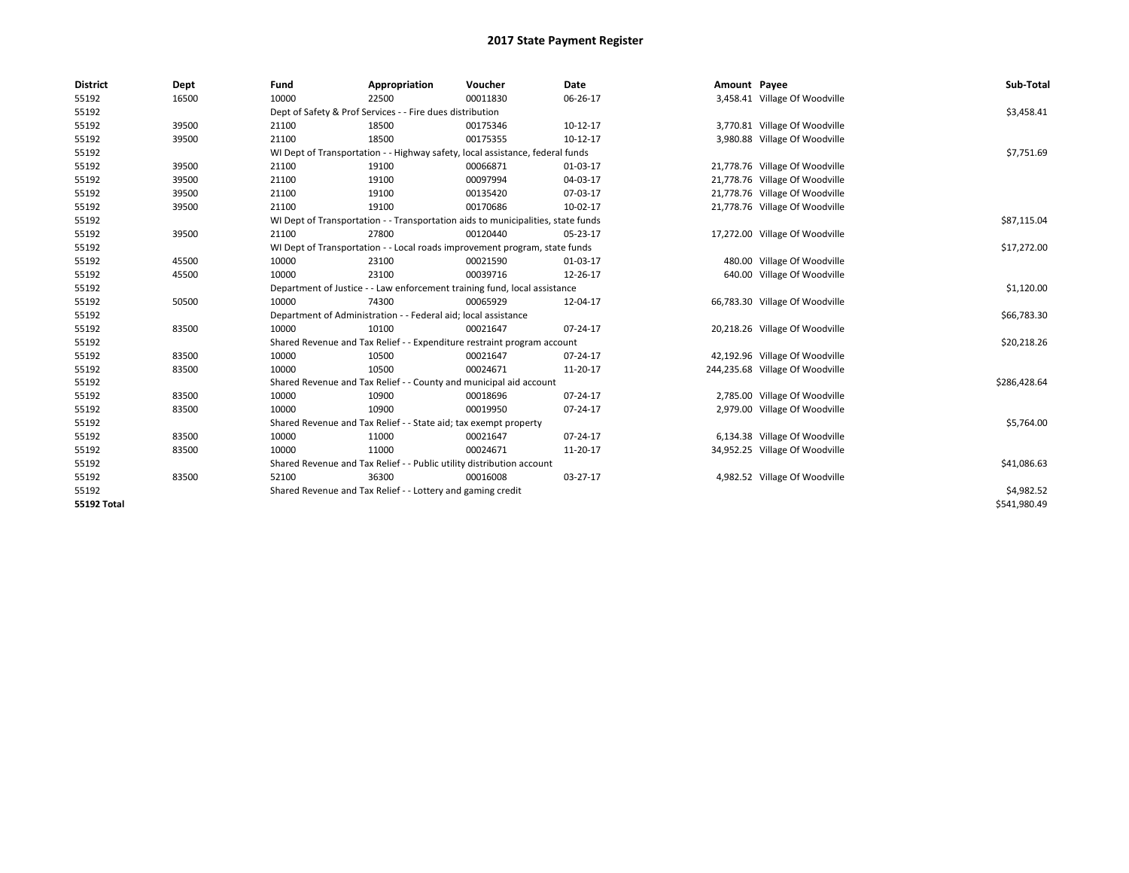| <b>District</b>    | Dept  | Fund  | Appropriation                                                                    | Voucher  | <b>Date</b> | Amount Payee |                                 | Sub-Total    |  |  |  |
|--------------------|-------|-------|----------------------------------------------------------------------------------|----------|-------------|--------------|---------------------------------|--------------|--|--|--|
| 55192              | 16500 | 10000 | 22500                                                                            | 00011830 | 06-26-17    |              | 3,458.41 Village Of Woodville   |              |  |  |  |
| 55192              |       |       | Dept of Safety & Prof Services - - Fire dues distribution                        |          |             |              |                                 | \$3,458.41   |  |  |  |
| 55192              | 39500 | 21100 | 18500                                                                            | 00175346 | 10-12-17    |              | 3,770.81 Village Of Woodville   |              |  |  |  |
| 55192              | 39500 | 21100 | 18500                                                                            | 00175355 | 10-12-17    |              | 3,980.88 Village Of Woodville   |              |  |  |  |
| 55192              |       |       | WI Dept of Transportation - - Highway safety, local assistance, federal funds    |          |             |              |                                 | \$7,751.69   |  |  |  |
| 55192              | 39500 | 21100 | 19100                                                                            | 00066871 | 01-03-17    |              | 21,778.76 Village Of Woodville  |              |  |  |  |
| 55192              | 39500 | 21100 | 19100                                                                            | 00097994 | 04-03-17    |              | 21,778.76 Village Of Woodville  |              |  |  |  |
| 55192              | 39500 | 21100 | 19100                                                                            | 00135420 | 07-03-17    |              | 21,778.76 Village Of Woodville  |              |  |  |  |
| 55192              | 39500 | 21100 | 19100                                                                            | 00170686 | 10-02-17    |              | 21,778.76 Village Of Woodville  |              |  |  |  |
| 55192              |       |       | WI Dept of Transportation - - Transportation aids to municipalities, state funds |          |             |              |                                 | \$87,115.04  |  |  |  |
| 55192              | 39500 | 21100 | 27800                                                                            | 00120440 | 05-23-17    |              | 17,272.00 Village Of Woodville  |              |  |  |  |
| 55192              |       |       | WI Dept of Transportation - - Local roads improvement program, state funds       |          |             |              |                                 | \$17,272.00  |  |  |  |
| 55192              | 45500 | 10000 | 23100                                                                            | 00021590 | 01-03-17    |              | 480.00 Village Of Woodville     |              |  |  |  |
| 55192              | 45500 | 10000 | 23100                                                                            | 00039716 | 12-26-17    |              | 640.00 Village Of Woodville     |              |  |  |  |
| 55192              |       |       | Department of Justice - - Law enforcement training fund, local assistance        |          |             |              |                                 |              |  |  |  |
| 55192              | 50500 | 10000 | 74300                                                                            | 00065929 | 12-04-17    |              | 66,783.30 Village Of Woodville  |              |  |  |  |
| 55192              |       |       | Department of Administration - - Federal aid; local assistance                   |          |             |              |                                 | \$66,783.30  |  |  |  |
| 55192              | 83500 | 10000 | 10100                                                                            | 00021647 | 07-24-17    |              | 20,218.26 Village Of Woodville  |              |  |  |  |
| 55192              |       |       | Shared Revenue and Tax Relief - - Expenditure restraint program account          |          |             |              |                                 | \$20,218.26  |  |  |  |
| 55192              | 83500 | 10000 | 10500                                                                            | 00021647 | 07-24-17    |              | 42,192.96 Village Of Woodville  |              |  |  |  |
| 55192              | 83500 | 10000 | 10500                                                                            | 00024671 | 11-20-17    |              | 244,235.68 Village Of Woodville |              |  |  |  |
| 55192              |       |       | Shared Revenue and Tax Relief - - County and municipal aid account               |          |             |              |                                 | \$286,428.64 |  |  |  |
| 55192              | 83500 | 10000 | 10900                                                                            | 00018696 | 07-24-17    |              | 2,785.00 Village Of Woodville   |              |  |  |  |
| 55192              | 83500 | 10000 | 10900                                                                            | 00019950 | 07-24-17    |              | 2,979.00 Village Of Woodville   |              |  |  |  |
| 55192              |       |       | Shared Revenue and Tax Relief - - State aid; tax exempt property                 |          |             |              |                                 | \$5,764.00   |  |  |  |
| 55192              | 83500 | 10000 | 11000                                                                            | 00021647 | 07-24-17    |              | 6,134.38 Village Of Woodville   |              |  |  |  |
| 55192              | 83500 | 10000 | 11000                                                                            | 00024671 | 11-20-17    |              | 34,952.25 Village Of Woodville  |              |  |  |  |
| 55192              |       |       | Shared Revenue and Tax Relief - - Public utility distribution account            |          |             |              |                                 | \$41,086.63  |  |  |  |
| 55192              | 83500 | 52100 | 36300                                                                            | 00016008 | 03-27-17    |              | 4,982.52 Village Of Woodville   |              |  |  |  |
| 55192              |       |       | Shared Revenue and Tax Relief - - Lottery and gaming credit                      |          |             |              |                                 | \$4,982.52   |  |  |  |
| <b>55192 Total</b> |       |       |                                                                                  |          |             |              |                                 | \$541.980.49 |  |  |  |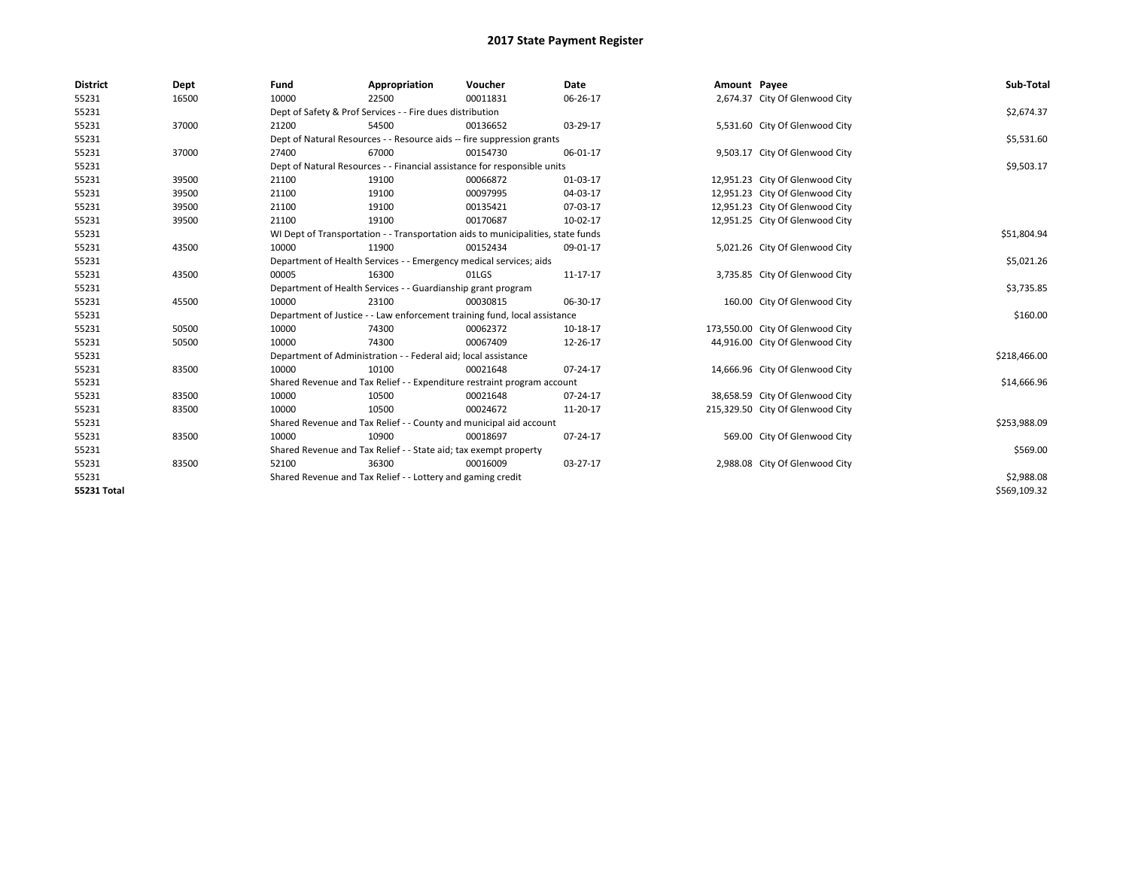| <b>District</b> | Dept  | Fund                                                      | Appropriation                                                                    | Voucher    | Date     | Amount Payee |                                  | Sub-Total    |
|-----------------|-------|-----------------------------------------------------------|----------------------------------------------------------------------------------|------------|----------|--------------|----------------------------------|--------------|
| 55231           | 16500 | 10000                                                     | 22500                                                                            | 00011831   | 06-26-17 |              | 2,674.37 City Of Glenwood City   |              |
| 55231           |       | Dept of Safety & Prof Services - - Fire dues distribution |                                                                                  | \$2,674.37 |          |              |                                  |              |
| 55231           | 37000 | 21200                                                     | 54500                                                                            | 00136652   | 03-29-17 |              | 5,531.60 City Of Glenwood City   |              |
| 55231           |       |                                                           | Dept of Natural Resources - - Resource aids -- fire suppression grants           |            |          |              |                                  | \$5,531.60   |
| 55231           | 37000 | 27400                                                     | 67000                                                                            | 00154730   | 06-01-17 |              | 9,503.17 City Of Glenwood City   |              |
| 55231           |       |                                                           | Dept of Natural Resources - - Financial assistance for responsible units         |            |          |              |                                  | \$9,503.17   |
| 55231           | 39500 | 21100                                                     | 19100                                                                            | 00066872   | 01-03-17 |              | 12,951.23 City Of Glenwood City  |              |
| 55231           | 39500 | 21100                                                     | 19100                                                                            | 00097995   | 04-03-17 |              | 12,951.23 City Of Glenwood City  |              |
| 55231           | 39500 | 21100                                                     | 19100                                                                            | 00135421   | 07-03-17 |              | 12,951.23 City Of Glenwood City  |              |
| 55231           | 39500 | 21100                                                     | 19100                                                                            | 00170687   | 10-02-17 |              | 12,951.25 City Of Glenwood City  |              |
| 55231           |       |                                                           | WI Dept of Transportation - - Transportation aids to municipalities, state funds |            |          |              |                                  | \$51,804.94  |
| 55231           | 43500 | 10000                                                     | 11900                                                                            | 00152434   | 09-01-17 |              | 5,021.26 City Of Glenwood City   |              |
| 55231           |       |                                                           | Department of Health Services - - Emergency medical services; aids               |            |          |              |                                  | \$5,021.26   |
| 55231           | 43500 | 00005                                                     | 16300                                                                            | 01LGS      | 11-17-17 |              | 3,735.85 City Of Glenwood City   |              |
| 55231           |       |                                                           | Department of Health Services - - Guardianship grant program                     |            |          |              |                                  | \$3,735.85   |
| 55231           | 45500 | 10000                                                     | 23100                                                                            | 00030815   | 06-30-17 |              | 160.00 City Of Glenwood City     |              |
| 55231           |       |                                                           | Department of Justice - - Law enforcement training fund, local assistance        |            |          |              |                                  | \$160.00     |
| 55231           | 50500 | 10000                                                     | 74300                                                                            | 00062372   | 10-18-17 |              | 173,550.00 City Of Glenwood City |              |
| 55231           | 50500 | 10000                                                     | 74300                                                                            | 00067409   | 12-26-17 |              | 44,916.00 City Of Glenwood City  |              |
| 55231           |       |                                                           | Department of Administration - - Federal aid; local assistance                   |            |          |              |                                  | \$218,466.00 |
| 55231           | 83500 | 10000                                                     | 10100                                                                            | 00021648   | 07-24-17 |              | 14,666.96 City Of Glenwood City  |              |
| 55231           |       |                                                           | Shared Revenue and Tax Relief - - Expenditure restraint program account          |            |          |              |                                  | \$14,666.96  |
| 55231           | 83500 | 10000                                                     | 10500                                                                            | 00021648   | 07-24-17 |              | 38,658.59 City Of Glenwood City  |              |
| 55231           | 83500 | 10000                                                     | 10500                                                                            | 00024672   | 11-20-17 |              | 215,329.50 City Of Glenwood City |              |
| 55231           |       |                                                           | Shared Revenue and Tax Relief - - County and municipal aid account               |            |          |              |                                  | \$253,988.09 |
| 55231           | 83500 | 10000                                                     | 10900                                                                            | 00018697   | 07-24-17 |              | 569.00 City Of Glenwood City     |              |
| 55231           |       |                                                           | Shared Revenue and Tax Relief - - State aid; tax exempt property                 |            |          |              |                                  | \$569.00     |
| 55231           | 83500 | 52100                                                     | 36300                                                                            | 00016009   | 03-27-17 |              | 2,988.08 City Of Glenwood City   |              |
| 55231           |       |                                                           | Shared Revenue and Tax Relief - - Lottery and gaming credit                      |            |          |              |                                  | \$2,988.08   |
| 55231 Total     |       |                                                           |                                                                                  |            |          |              |                                  | \$569,109.32 |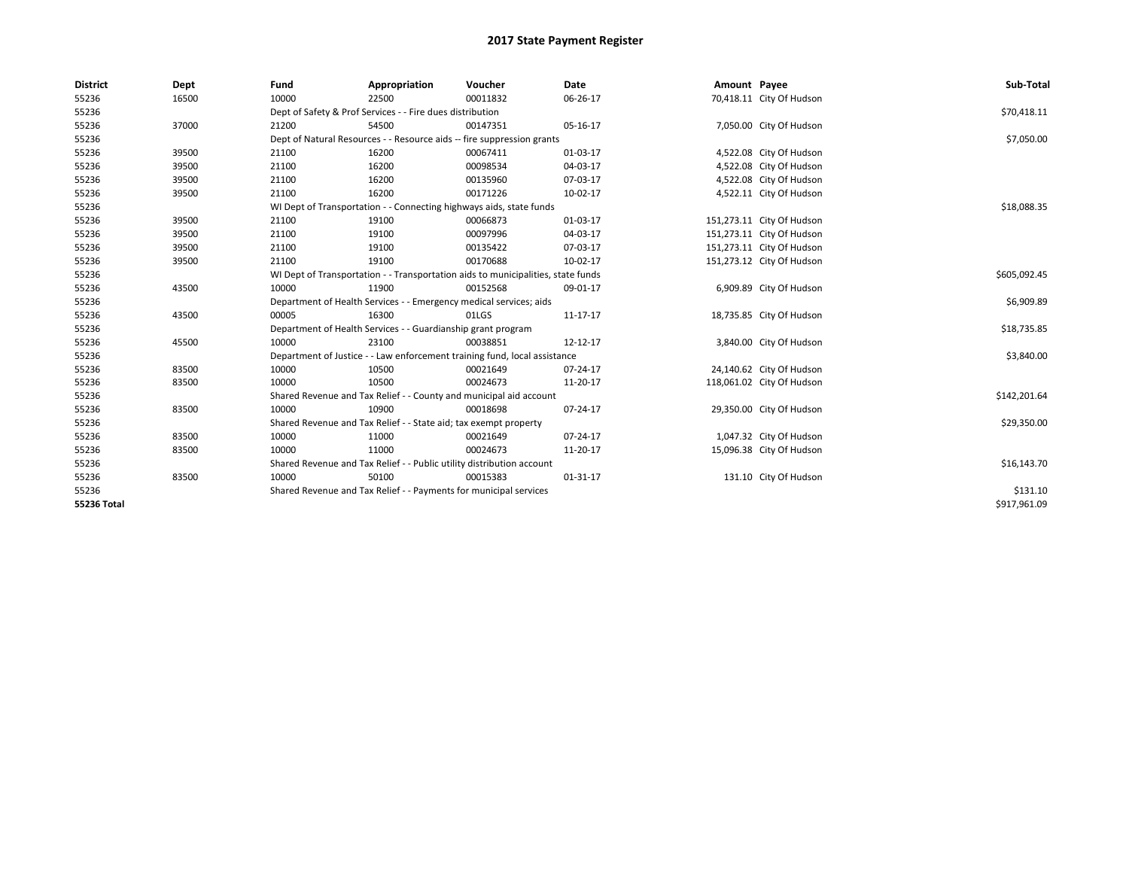| <b>District</b>    | Dept  | Fund                                                                             | Appropriation                                                             | Voucher      | Date     | Amount Payee |                           | Sub-Total    |
|--------------------|-------|----------------------------------------------------------------------------------|---------------------------------------------------------------------------|--------------|----------|--------------|---------------------------|--------------|
| 55236              | 16500 | 10000                                                                            | 22500                                                                     | 00011832     | 06-26-17 |              | 70,418.11 City Of Hudson  |              |
| 55236              |       | Dept of Safety & Prof Services - - Fire dues distribution                        |                                                                           | \$70,418.11  |          |              |                           |              |
| 55236              | 37000 | 21200                                                                            | 54500                                                                     | 00147351     | 05-16-17 |              | 7,050.00 City Of Hudson   |              |
| 55236              |       |                                                                                  | Dept of Natural Resources - - Resource aids -- fire suppression grants    |              |          |              |                           | \$7,050.00   |
| 55236              | 39500 | 21100                                                                            | 16200                                                                     | 00067411     | 01-03-17 |              | 4,522.08 City Of Hudson   |              |
| 55236              | 39500 | 21100                                                                            | 16200                                                                     | 00098534     | 04-03-17 |              | 4,522.08 City Of Hudson   |              |
| 55236              | 39500 | 21100                                                                            | 16200                                                                     | 00135960     | 07-03-17 |              | 4,522.08 City Of Hudson   |              |
| 55236              | 39500 | 21100                                                                            | 16200                                                                     | 00171226     | 10-02-17 |              | 4,522.11 City Of Hudson   |              |
| 55236              |       |                                                                                  | WI Dept of Transportation - - Connecting highways aids, state funds       |              |          |              |                           | \$18,088.35  |
| 55236              | 39500 | 21100                                                                            | 19100                                                                     | 00066873     | 01-03-17 |              | 151,273.11 City Of Hudson |              |
| 55236              | 39500 | 21100                                                                            | 19100                                                                     | 00097996     | 04-03-17 |              | 151,273.11 City Of Hudson |              |
| 55236              | 39500 | 21100                                                                            | 19100                                                                     | 00135422     | 07-03-17 |              | 151,273.11 City Of Hudson |              |
| 55236              | 39500 | 21100                                                                            | 19100                                                                     | 00170688     | 10-02-17 |              | 151,273.12 City Of Hudson |              |
| 55236              |       | WI Dept of Transportation - - Transportation aids to municipalities, state funds |                                                                           | \$605,092.45 |          |              |                           |              |
| 55236              | 43500 | 10000                                                                            | 11900                                                                     | 00152568     | 09-01-17 |              | 6,909.89 City Of Hudson   |              |
| 55236              |       |                                                                                  | Department of Health Services - - Emergency medical services; aids        |              |          |              |                           | \$6,909.89   |
| 55236              | 43500 | 00005                                                                            | 16300                                                                     | 01LGS        | 11-17-17 |              | 18,735.85 City Of Hudson  |              |
| 55236              |       | Department of Health Services - - Guardianship grant program                     |                                                                           | \$18,735.85  |          |              |                           |              |
| 55236              | 45500 | 10000                                                                            | 23100                                                                     | 00038851     | 12-12-17 |              | 3,840.00 City Of Hudson   |              |
| 55236              |       |                                                                                  | Department of Justice - - Law enforcement training fund, local assistance |              |          |              |                           | \$3,840.00   |
| 55236              | 83500 | 10000                                                                            | 10500                                                                     | 00021649     | 07-24-17 |              | 24,140.62 City Of Hudson  |              |
| 55236              | 83500 | 10000                                                                            | 10500                                                                     | 00024673     | 11-20-17 |              | 118,061.02 City Of Hudson |              |
| 55236              |       |                                                                                  | Shared Revenue and Tax Relief - - County and municipal aid account        |              |          |              |                           | \$142,201.64 |
| 55236              | 83500 | 10000                                                                            | 10900                                                                     | 00018698     | 07-24-17 |              | 29,350.00 City Of Hudson  |              |
| 55236              |       |                                                                                  | Shared Revenue and Tax Relief - - State aid; tax exempt property          |              |          |              |                           | \$29,350.00  |
| 55236              | 83500 | 10000                                                                            | 11000                                                                     | 00021649     | 07-24-17 |              | 1,047.32 City Of Hudson   |              |
| 55236              | 83500 | 10000                                                                            | 11000                                                                     | 00024673     | 11-20-17 |              | 15,096.38 City Of Hudson  |              |
| 55236              |       |                                                                                  | Shared Revenue and Tax Relief - - Public utility distribution account     |              |          |              |                           | \$16,143.70  |
| 55236              | 83500 | 10000                                                                            | 50100                                                                     | 00015383     | 01-31-17 |              | 131.10 City Of Hudson     |              |
| 55236              |       |                                                                                  | Shared Revenue and Tax Relief - - Payments for municipal services         |              |          |              |                           | \$131.10     |
| <b>55236 Total</b> |       |                                                                                  |                                                                           |              |          |              |                           | \$917,961.09 |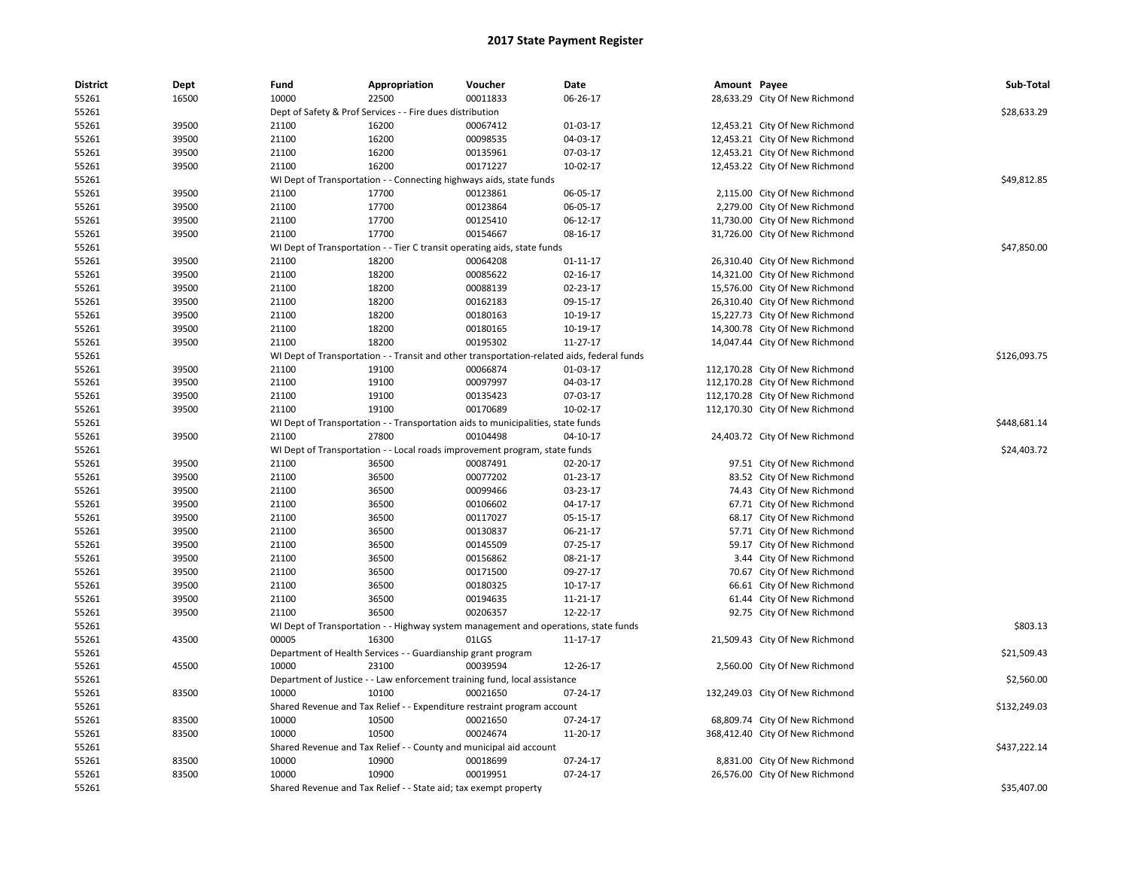| <b>District</b> | Dept  | Fund  | Appropriation                                                       | Voucher                                                                                    | Date                 | Amount Payee |                                 | Sub-Total    |
|-----------------|-------|-------|---------------------------------------------------------------------|--------------------------------------------------------------------------------------------|----------------------|--------------|---------------------------------|--------------|
| 55261           | 16500 | 10000 | 22500                                                               | 00011833                                                                                   | 06-26-17             |              | 28,633.29 City Of New Richmond  |              |
| 55261           |       |       | Dept of Safety & Prof Services - - Fire dues distribution           |                                                                                            |                      |              |                                 | \$28,633.29  |
| 55261           | 39500 | 21100 | 16200                                                               | 00067412                                                                                   | 01-03-17             |              | 12,453.21 City Of New Richmond  |              |
| 55261           | 39500 | 21100 | 16200                                                               | 00098535                                                                                   | 04-03-17             |              | 12,453.21 City Of New Richmond  |              |
| 55261           | 39500 | 21100 | 16200                                                               | 00135961                                                                                   | 07-03-17             |              | 12,453.21 City Of New Richmond  |              |
| 55261           | 39500 | 21100 | 16200                                                               | 00171227                                                                                   | 10-02-17             |              | 12,453.22 City Of New Richmond  |              |
| 55261           |       |       | WI Dept of Transportation - - Connecting highways aids, state funds |                                                                                            |                      |              |                                 | \$49,812.85  |
| 55261           | 39500 | 21100 | 17700                                                               | 00123861                                                                                   | 06-05-17             |              | 2,115.00 City Of New Richmond   |              |
| 55261           | 39500 | 21100 | 17700                                                               | 00123864                                                                                   | 06-05-17             |              | 2,279.00 City Of New Richmond   |              |
| 55261           | 39500 | 21100 | 17700                                                               | 00125410                                                                                   | 06-12-17             |              | 11,730.00 City Of New Richmond  |              |
| 55261           | 39500 | 21100 | 17700                                                               | 00154667                                                                                   | 08-16-17             |              | 31,726.00 City Of New Richmond  |              |
| 55261           |       |       |                                                                     | WI Dept of Transportation - - Tier C transit operating aids, state funds                   |                      |              |                                 | \$47,850.00  |
| 55261           | 39500 | 21100 | 18200                                                               | 00064208                                                                                   | $01 - 11 - 17$       |              | 26,310.40 City Of New Richmond  |              |
| 55261           | 39500 | 21100 | 18200                                                               | 00085622                                                                                   | 02-16-17             |              | 14,321.00 City Of New Richmond  |              |
| 55261           | 39500 | 21100 | 18200                                                               | 00088139                                                                                   | 02-23-17             |              | 15,576.00 City Of New Richmond  |              |
| 55261           | 39500 | 21100 | 18200                                                               | 00162183                                                                                   | 09-15-17             |              | 26,310.40 City Of New Richmond  |              |
| 55261           | 39500 | 21100 | 18200                                                               | 00180163                                                                                   | 10-19-17             |              | 15,227.73 City Of New Richmond  |              |
| 55261           | 39500 | 21100 | 18200                                                               | 00180165                                                                                   | 10-19-17             |              | 14,300.78 City Of New Richmond  |              |
| 55261           | 39500 | 21100 | 18200                                                               | 00195302                                                                                   | 11-27-17             |              | 14,047.44 City Of New Richmond  |              |
| 55261           |       |       |                                                                     | WI Dept of Transportation - - Transit and other transportation-related aids, federal funds |                      |              |                                 | \$126,093.75 |
| 55261           | 39500 | 21100 | 19100                                                               | 00066874                                                                                   | 01-03-17             |              | 112,170.28 City Of New Richmond |              |
| 55261           | 39500 | 21100 | 19100                                                               | 00097997                                                                                   | 04-03-17             |              | 112,170.28 City Of New Richmond |              |
| 55261           | 39500 | 21100 | 19100                                                               | 00135423                                                                                   | 07-03-17             |              | 112,170.28 City Of New Richmond |              |
| 55261           | 39500 | 21100 | 19100                                                               | 00170689                                                                                   | 10-02-17             |              | 112,170.30 City Of New Richmond |              |
| 55261           |       |       |                                                                     | WI Dept of Transportation - - Transportation aids to municipalities, state funds           |                      |              |                                 | \$448,681.14 |
| 55261           | 39500 | 21100 | 27800                                                               | 00104498                                                                                   | 04-10-17             |              | 24,403.72 City Of New Richmond  |              |
| 55261           |       |       |                                                                     | WI Dept of Transportation - - Local roads improvement program, state funds                 |                      |              |                                 | \$24,403.72  |
| 55261           | 39500 | 21100 | 36500                                                               | 00087491                                                                                   | 02-20-17             |              | 97.51 City Of New Richmond      |              |
| 55261           | 39500 | 21100 | 36500                                                               | 00077202                                                                                   | 01-23-17             |              | 83.52 City Of New Richmond      |              |
| 55261           | 39500 | 21100 | 36500                                                               | 00099466                                                                                   | 03-23-17             |              | 74.43 City Of New Richmond      |              |
|                 |       |       |                                                                     |                                                                                            |                      |              |                                 |              |
| 55261           | 39500 | 21100 | 36500                                                               | 00106602<br>00117027                                                                       | 04-17-17             |              | 67.71 City Of New Richmond      |              |
| 55261           | 39500 | 21100 | 36500                                                               | 00130837                                                                                   | 05-15-17<br>06-21-17 |              | 68.17 City Of New Richmond      |              |
| 55261           | 39500 | 21100 | 36500                                                               |                                                                                            |                      |              | 57.71 City Of New Richmond      |              |
| 55261           | 39500 | 21100 | 36500                                                               | 00145509                                                                                   | $07 - 25 - 17$       |              | 59.17 City Of New Richmond      |              |
| 55261           | 39500 | 21100 | 36500                                                               | 00156862                                                                                   | 08-21-17             |              | 3.44 City Of New Richmond       |              |
| 55261           | 39500 | 21100 | 36500                                                               | 00171500                                                                                   | 09-27-17             |              | 70.67 City Of New Richmond      |              |
| 55261           | 39500 | 21100 | 36500                                                               | 00180325                                                                                   | $10-17-17$           |              | 66.61 City Of New Richmond      |              |
| 55261           | 39500 | 21100 | 36500                                                               | 00194635                                                                                   | 11-21-17             |              | 61.44 City Of New Richmond      |              |
| 55261           | 39500 | 21100 | 36500                                                               | 00206357                                                                                   | 12-22-17             |              | 92.75 City Of New Richmond      |              |
| 55261           |       |       |                                                                     | WI Dept of Transportation - - Highway system management and operations, state funds        |                      |              |                                 | \$803.13     |
| 55261           | 43500 | 00005 | 16300                                                               | 01LGS                                                                                      | 11-17-17             |              | 21,509.43 City Of New Richmond  |              |
| 55261           |       |       | Department of Health Services - - Guardianship grant program        |                                                                                            |                      |              |                                 | \$21,509.43  |
| 55261           | 45500 | 10000 | 23100                                                               | 00039594                                                                                   | 12-26-17             |              | 2,560.00 City Of New Richmond   |              |
| 55261           |       |       |                                                                     | Department of Justice - - Law enforcement training fund, local assistance                  |                      |              |                                 | \$2,560.00   |
| 55261           | 83500 | 10000 | 10100                                                               | 00021650                                                                                   | 07-24-17             |              | 132,249.03 City Of New Richmond |              |
| 55261           |       |       |                                                                     | Shared Revenue and Tax Relief - - Expenditure restraint program account                    |                      |              |                                 | \$132,249.03 |
| 55261           | 83500 | 10000 | 10500                                                               | 00021650                                                                                   | 07-24-17             |              | 68,809.74 City Of New Richmond  |              |
| 55261           | 83500 | 10000 | 10500                                                               | 00024674                                                                                   | 11-20-17             |              | 368,412.40 City Of New Richmond |              |
| 55261           |       |       | Shared Revenue and Tax Relief - - County and municipal aid account  |                                                                                            |                      |              |                                 | \$437,222.14 |
| 55261           | 83500 | 10000 | 10900                                                               | 00018699                                                                                   | 07-24-17             |              | 8,831.00 City Of New Richmond   |              |
| 55261           | 83500 | 10000 | 10900                                                               | 00019951                                                                                   | 07-24-17             |              | 26,576.00 City Of New Richmond  |              |
| 55261           |       |       | Shared Revenue and Tax Relief - - State aid; tax exempt property    |                                                                                            |                      |              |                                 | \$35,407.00  |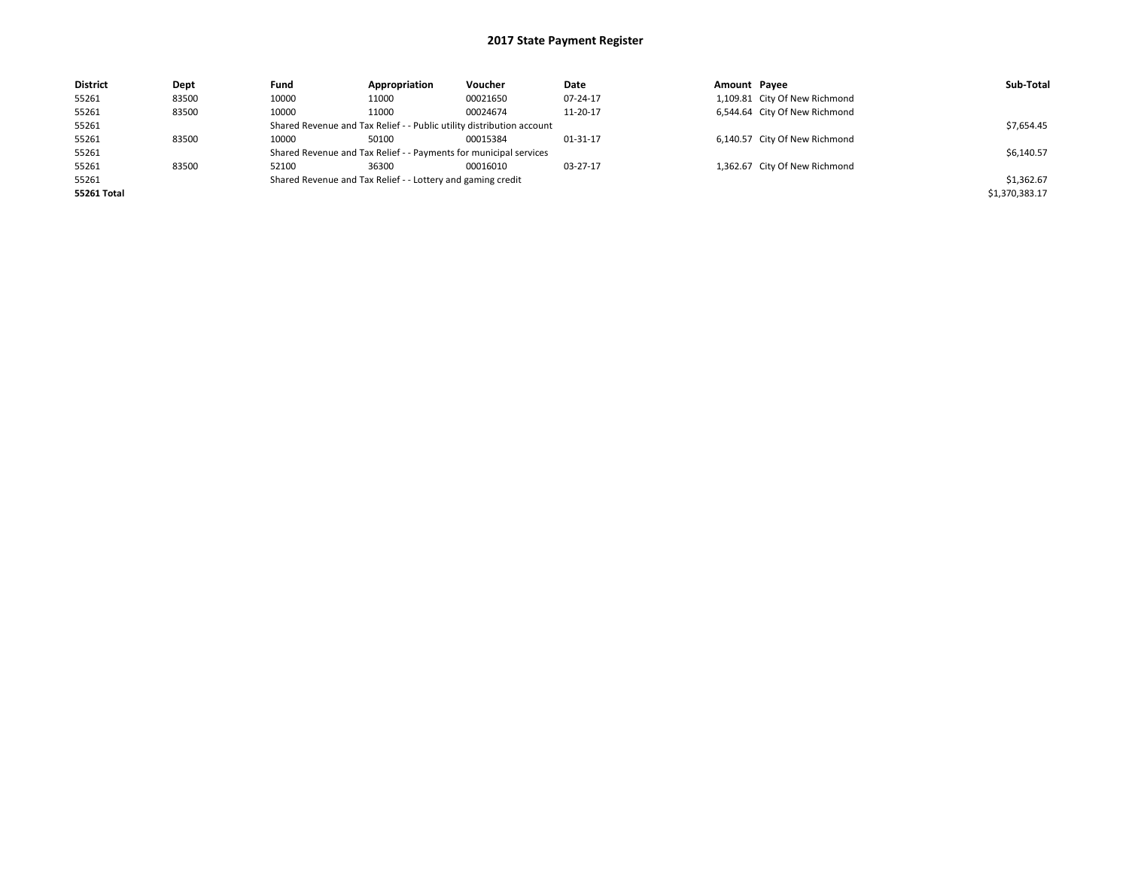| <b>District</b> | Dept  | Fund                                                        | Appropriation                                                         | Voucher    | Date     | Amount Payee |                               | Sub-Total      |
|-----------------|-------|-------------------------------------------------------------|-----------------------------------------------------------------------|------------|----------|--------------|-------------------------------|----------------|
| 55261           | 83500 | 10000                                                       | 11000                                                                 | 00021650   | 07-24-17 |              | 1,109.81 City Of New Richmond |                |
| 55261           | 83500 | 10000                                                       | 11000                                                                 | 00024674   | 11-20-17 |              | 6,544.64 City Of New Richmond |                |
| 55261           |       |                                                             | Shared Revenue and Tax Relief - - Public utility distribution account |            |          |              |                               | \$7,654.45     |
| 55261           | 83500 | 10000                                                       | 50100                                                                 | 00015384   | 01-31-17 |              | 6,140.57 City Of New Richmond |                |
| 55261           |       |                                                             | Shared Revenue and Tax Relief - - Payments for municipal services     |            |          |              |                               | \$6,140.57     |
| 55261           | 83500 | 52100                                                       | 36300                                                                 | 00016010   | 03-27-17 |              | 1,362.67 City Of New Richmond |                |
| 55261           |       | Shared Revenue and Tax Relief - - Lottery and gaming credit |                                                                       | \$1,362.67 |          |              |                               |                |
| 55261 Total     |       |                                                             |                                                                       |            |          |              |                               | \$1,370,383.17 |